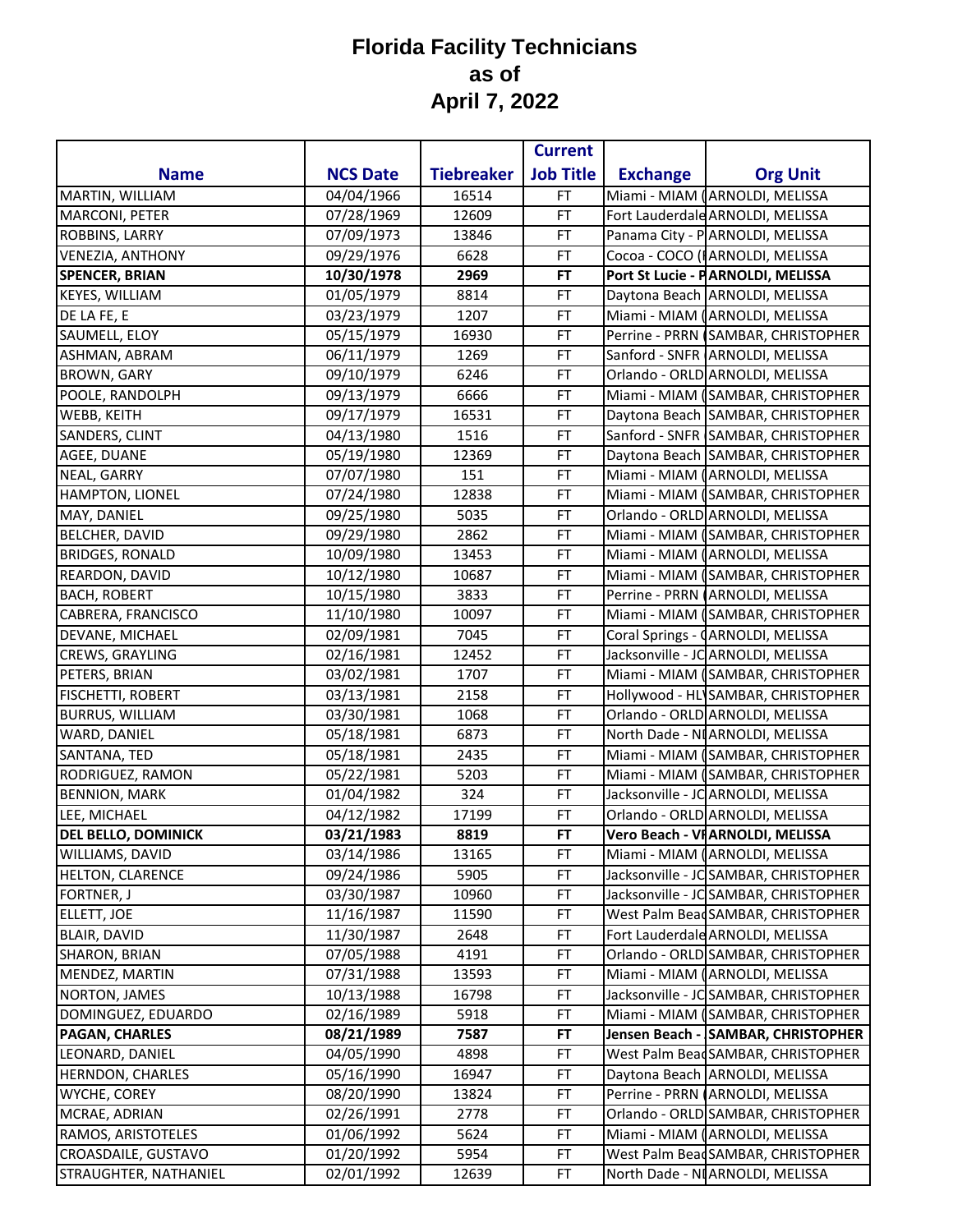|                            |                 |                   | <b>Current</b>   |                 |                                       |
|----------------------------|-----------------|-------------------|------------------|-----------------|---------------------------------------|
| <b>Name</b>                | <b>NCS Date</b> | <b>Tiebreaker</b> | <b>Job Title</b> | <b>Exchange</b> | <b>Org Unit</b>                       |
| MARTIN, WILLIAM            | 04/04/1966      | 16514             | <b>FT</b>        |                 | Miami - MIAM (ARNOLDI, MELISSA        |
| MARCONI, PETER             | 07/28/1969      | 12609             | FT               |                 | Fort Lauderdale ARNOLDI, MELISSA      |
| <b>ROBBINS, LARRY</b>      | 07/09/1973      | 13846             | <b>FT</b>        |                 | Panama City - PARNOLDI, MELISSA       |
| <b>VENEZIA, ANTHONY</b>    | 09/29/1976      | 6628              | FT               |                 | Cocoa - COCO (I ARNOLDI, MELISSA      |
| <b>SPENCER, BRIAN</b>      | 10/30/1978      | 2969              | <b>FT</b>        |                 | Port St Lucie - PARNOLDI, MELISSA     |
| KEYES, WILLIAM             | 01/05/1979      | 8814              | FT               |                 | Daytona Beach ARNOLDI, MELISSA        |
| DE LA FE, E                | 03/23/1979      | 1207              | FT               |                 | Miami - MIAM (ARNOLDI, MELISSA        |
| SAUMELL, ELOY              | 05/15/1979      | 16930             | FT               |                 | Perrine - PRRN (SAMBAR, CHRISTOPHER   |
| ASHMAN, ABRAM              | 06/11/1979      | 1269              | <b>FT</b>        |                 | Sanford - SNFR ARNOLDI, MELISSA       |
| <b>BROWN, GARY</b>         | 09/10/1979      | 6246              | <b>FT</b>        |                 | Orlando - ORLD ARNOLDI, MELISSA       |
| POOLE, RANDOLPH            | 09/13/1979      | 6666              | <b>FT</b>        |                 | Miami - MIAM (SAMBAR, CHRISTOPHER     |
| <b>WEBB, KEITH</b>         | 09/17/1979      | 16531             | FT               |                 | Daytona Beach SAMBAR, CHRISTOPHER     |
| SANDERS, CLINT             | 04/13/1980      | 1516              | FT               |                 | Sanford - SNFR SAMBAR, CHRISTOPHER    |
| AGEE, DUANE                | 05/19/1980      | 12369             | FT               |                 | Daytona Beach SAMBAR, CHRISTOPHER     |
| NEAL, GARRY                | 07/07/1980      | 151               | FT               |                 | Miami - MIAM (ARNOLDI, MELISSA        |
| HAMPTON, LIONEL            | 07/24/1980      | 12838             | FT               |                 | Miami - MIAM (SAMBAR, CHRISTOPHER     |
| MAY, DANIEL                | 09/25/1980      | 5035              | FT               |                 | Orlando - ORLD ARNOLDI, MELISSA       |
| <b>BELCHER, DAVID</b>      | 09/29/1980      | 2862              | <b>FT</b>        |                 | Miami - MIAM (SAMBAR, CHRISTOPHER     |
| <b>BRIDGES, RONALD</b>     | 10/09/1980      | 13453             | FT               |                 | Miami - MIAM (ARNOLDI, MELISSA        |
| REARDON, DAVID             | 10/12/1980      | 10687             | FT               |                 | Miami - MIAM (SAMBAR, CHRISTOPHER     |
| <b>BACH, ROBERT</b>        | 10/15/1980      | 3833              | FT               |                 | Perrine - PRRN (ARNOLDI, MELISSA      |
| CABRERA, FRANCISCO         | 11/10/1980      | 10097             | <b>FT</b>        |                 | Miami - MIAM (SAMBAR, CHRISTOPHER     |
| DEVANE, MICHAEL            | 02/09/1981      | 7045              | FT               |                 | Coral Springs - (ARNOLDI, MELISSA     |
| CREWS, GRAYLING            | 02/16/1981      | 12452             | FT               |                 | Jacksonville - JC ARNOLDI, MELISSA    |
| PETERS, BRIAN              | 03/02/1981      | 1707              | FT               |                 | Miami - MIAM (SAMBAR, CHRISTOPHER     |
| <b>FISCHETTI, ROBERT</b>   | 03/13/1981      | 2158              | FT               |                 | Hollywood - HL SAMBAR, CHRISTOPHER    |
| <b>BURRUS, WILLIAM</b>     | 03/30/1981      | 1068              | FT               |                 | Orlando - ORLD ARNOLDI, MELISSA       |
| WARD, DANIEL               | 05/18/1981      | 6873              | FT               |                 | North Dade - NI ARNOLDI, MELISSA      |
| SANTANA, TED               | 05/18/1981      | 2435              | <b>FT</b>        |                 | Miami - MIAM (SAMBAR, CHRISTOPHER     |
| RODRIGUEZ, RAMON           | 05/22/1981      | 5203              | FT               |                 | Miami - MIAM (SAMBAR, CHRISTOPHER     |
| <b>BENNION, MARK</b>       | 01/04/1982      | 324               | <b>FT</b>        |                 | Jacksonville - JC ARNOLDI, MELISSA    |
| LEE, MICHAEL               | 04/12/1982      | 17199             | <b>FT</b>        |                 | Orlando - ORLD ARNOLDI, MELISSA       |
| <b>DEL BELLO, DOMINICK</b> | 03/21/1983      | 8819              | FT               |                 | Vero Beach - VFARNOLDI, MELISSA       |
| WILLIAMS, DAVID            | 03/14/1986      | 13165             | FT               |                 | Miami - MIAM (ARNOLDI, MELISSA        |
| HELTON, CLARENCE           | 09/24/1986      | 5905              | FT               |                 | Jacksonville - JC SAMBAR, CHRISTOPHER |
| <b>FORTNER, J</b>          | 03/30/1987      | 10960             | FT               |                 | Jacksonville - JC SAMBAR, CHRISTOPHER |
| ELLETT, JOE                | 11/16/1987      | 11590             | FT               |                 | West Palm Bead SAMBAR, CHRISTOPHER    |
| <b>BLAIR, DAVID</b>        | 11/30/1987      | 2648              | FT               |                 | Fort Lauderdale ARNOLDI, MELISSA      |
| <b>SHARON, BRIAN</b>       | 07/05/1988      | 4191              | FT               |                 | Orlando - ORLD SAMBAR, CHRISTOPHER    |
| MENDEZ, MARTIN             | 07/31/1988      | 13593             | FT               |                 | Miami - MIAM (ARNOLDI, MELISSA        |
| NORTON, JAMES              | 10/13/1988      | 16798             | FT               |                 | Jacksonville - JC SAMBAR, CHRISTOPHER |
| DOMINGUEZ, EDUARDO         | 02/16/1989      | 5918              | FT               |                 | Miami - MIAM (SAMBAR, CHRISTOPHER     |
| <b>PAGAN, CHARLES</b>      | 08/21/1989      | 7587              | <b>FT</b>        |                 | Jensen Beach - SAMBAR, CHRISTOPHER    |
| LEONARD, DANIEL            | 04/05/1990      | 4898              | FT               |                 | West Palm Bead SAMBAR, CHRISTOPHER    |
| <b>HERNDON, CHARLES</b>    | 05/16/1990      | 16947             | FT               |                 | Daytona Beach ARNOLDI, MELISSA        |
| <b>WYCHE, COREY</b>        | 08/20/1990      | 13824             | FT               |                 | Perrine - PRRN (ARNOLDI, MELISSA      |
| MCRAE, ADRIAN              | 02/26/1991      | 2778              | FT               |                 | Orlando - ORLD SAMBAR, CHRISTOPHER    |
| RAMOS, ARISTOTELES         | 01/06/1992      | 5624              | FT               |                 | Miami - MIAM (ARNOLDI, MELISSA        |
| CROASDAILE, GUSTAVO        | 01/20/1992      | 5954              | FT               |                 | West Palm Bead SAMBAR, CHRISTOPHER    |
| STRAUGHTER, NATHANIEL      | 02/01/1992      | 12639             | <b>FT</b>        |                 | North Dade - NI ARNOLDI, MELISSA      |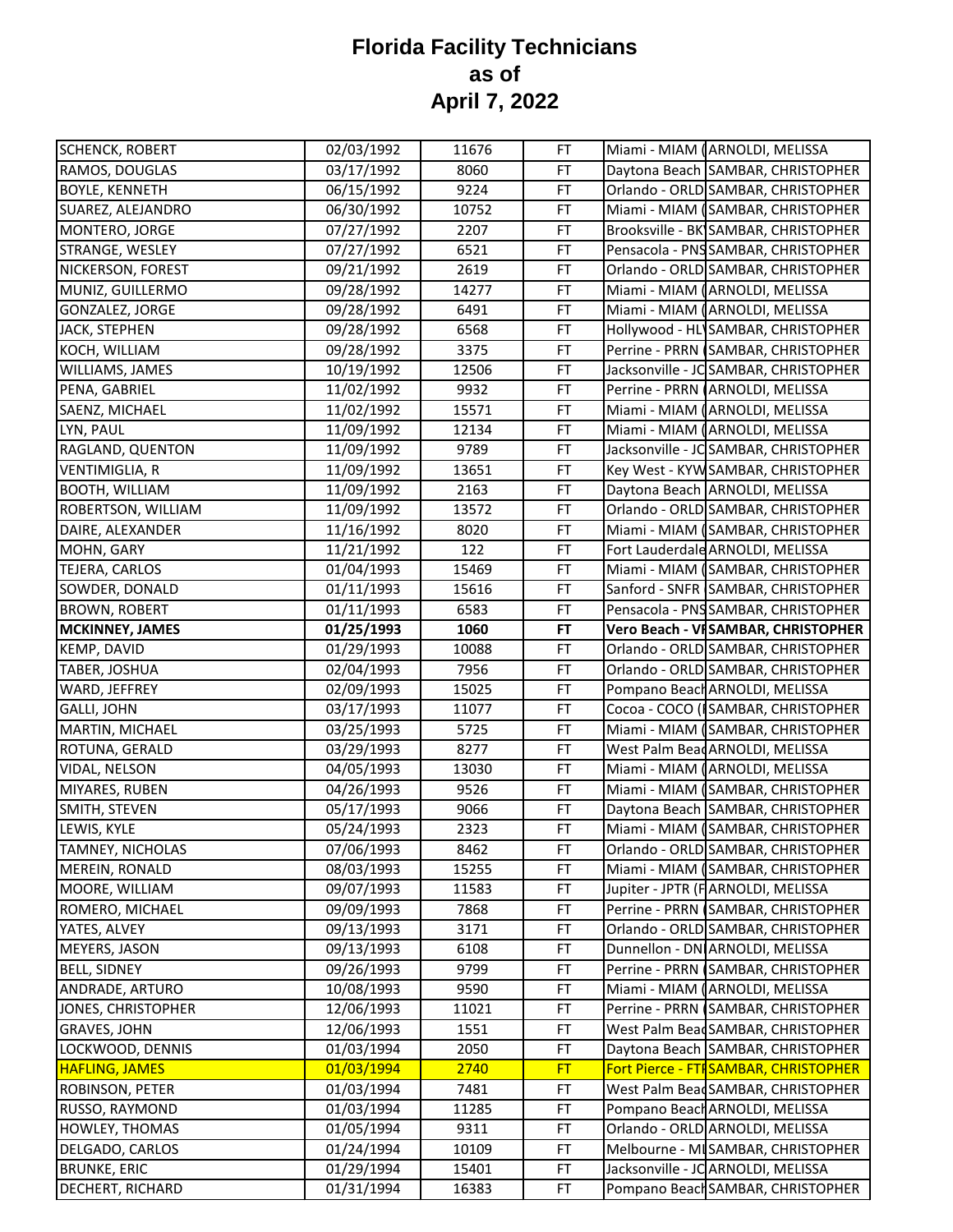| Daytona Beach SAMBAR, CHRISTOPHER<br>03/17/1992<br>8060<br>FT<br>Orlando - ORLD SAMBAR, CHRISTOPHER<br>06/15/1992<br>9224<br>FT<br>Miami - MIAM (SAMBAR, CHRISTOPHER<br>06/30/1992<br>10752<br>FT<br>Brooksville - BK SAMBAR, CHRISTOPHER<br>07/27/1992<br>2207<br>FT<br>Pensacola - PNS SAMBAR, CHRISTOPHER<br>07/27/1992<br>6521<br>FT<br>2619<br>Orlando - ORLD SAMBAR, CHRISTOPHER<br>09/21/1992<br>FT<br>Miami - MIAM (ARNOLDI, MELISSA<br>09/28/1992<br>14277<br>FT<br>09/28/1992<br>6491<br>Miami - MIAM (ARNOLDI, MELISSA<br>FT<br>6568<br>Hollywood - HL SAMBAR, CHRISTOPHER<br>09/28/1992<br>FT<br>3375<br>FT<br>Perrine - PRRN (SAMBAR, CHRISTOPHER<br>09/28/1992<br>Jacksonville - JC SAMBAR, CHRISTOPHER<br>10/19/1992<br>12506<br>FT<br>Perrine - PRRN (ARNOLDI, MELISSA<br>11/02/1992<br>9932<br>FT<br>15571<br><b>FT</b><br>Miami - MIAM (ARNOLDI, MELISSA<br>11/02/1992<br>Miami - MIAM (ARNOLDI, MELISSA<br>12134<br>FT<br>11/09/1992<br>Jacksonville - JC SAMBAR, CHRISTOPHER<br>11/09/1992<br>9789<br>FT<br>Key West - KYW SAMBAR, CHRISTOPHER<br>VENTIMIGLIA, R<br>11/09/1992<br>13651<br>FT<br>Daytona Beach ARNOLDI, MELISSA<br>2163<br>11/09/1992<br>FT<br>Orlando - ORLD SAMBAR, CHRISTOPHER<br>11/09/1992<br>13572<br>FT<br>Miami - MIAM (SAMBAR, CHRISTOPHER<br>11/16/1992<br>8020<br>FT<br>122<br>Fort Lauderdale ARNOLDI, MELISSA<br>11/21/1992<br><b>FT</b><br>Miami - MIAM (SAMBAR, CHRISTOPHER<br>01/04/1993<br>15469<br>FT<br>15616<br>Sanford - SNFR SAMBAR, CHRISTOPHER<br>01/11/1993<br>FT<br>6583<br>Pensacola - PNS SAMBAR, CHRISTOPHER<br><b>BROWN, ROBERT</b><br>01/11/1993<br>FT<br>Vero Beach - VISAMBAR, CHRISTOPHER<br><b>MCKINNEY, JAMES</b><br>01/25/1993<br>1060<br>FT<br>Orlando - ORLD SAMBAR, CHRISTOPHER<br>01/29/1993<br>FT<br>10088<br>Orlando - ORLD SAMBAR, CHRISTOPHER<br>7956<br>FT<br>02/04/1993<br>Pompano Beach ARNOLDI, MELISSA<br>02/09/1993<br>15025<br>FT<br>Cocoa - COCO (ISAMBAR, CHRISTOPHER<br>03/17/1993<br>FT<br>11077<br>03/25/1993<br>5725<br>FT<br>Miami - MIAM (SAMBAR, CHRISTOPHER<br>03/29/1993<br>West Palm Bead ARNOLDI, MELISSA<br>8277<br>FT<br>Miami - MIAM (ARNOLDI, MELISSA<br>04/05/1993<br>13030<br>FT<br>Miami - MIAM (SAMBAR, CHRISTOPHER<br>9526<br>04/26/1993<br>FT<br>Daytona Beach SAMBAR, CHRISTOPHER<br>05/17/1993<br>9066<br>FT<br>05/24/1993<br>2323<br>FT<br>Miami - MIAM (SAMBAR, CHRISTOPHER<br>Orlando - ORLD SAMBAR, CHRISTOPHER<br>07/06/1993<br>8462<br>FT<br>Miami - MIAM (SAMBAR, CHRISTOPHER<br>08/03/1993<br>15255<br>FT<br>Jupiter - JPTR (FARNOLDI, MELISSA<br>09/07/1993<br>11583<br>FT<br>09/09/1993<br>7868<br>FT<br>Perrine - PRRN (SAMBAR, CHRISTOPHER<br>3171<br>Orlando - ORLD SAMBAR, CHRISTOPHER<br>09/13/1993<br>FT<br>09/13/1993<br>Dunnellon - DN ARNOLDI, MELISSA<br>6108<br>FT<br>09/26/1993<br>9799<br>FT<br>Perrine - PRRN (SAMBAR, CHRISTOPHER<br>10/08/1993<br>9590<br>Miami - MIAM (ARNOLDI, MELISSA<br>FT<br>12/06/1993<br>11021<br>Perrine - PRRN (SAMBAR, CHRISTOPHER<br>FT<br>12/06/1993<br>1551<br>West Palm Bead SAMBAR, CHRISTOPHER<br>FT<br>01/03/1994<br>2050<br>FT<br>Daytona Beach SAMBAR, CHRISTOPHER<br>01/03/1994<br>2740<br><b>FT</b><br>Fort Pierce - FTI SAMBAR, CHRISTOPHER<br>01/03/1994<br>7481<br>West Palm Bead SAMBAR, CHRISTOPHER<br>FT<br>01/03/1994<br><b>FT</b><br>Pompano Beach ARNOLDI, MELISSA<br>11285<br>01/05/1994<br>Orlando - ORLD ARNOLDI, MELISSA<br>9311<br>FT<br>01/24/1994<br>10109<br>FT<br>Melbourne - MI SAMBAR, CHRISTOPHER<br>01/29/1994<br>15401<br>Jacksonville - JC ARNOLDI, MELISSA<br>FT<br>01/31/1994<br>Pompano Beach SAMBAR, CHRISTOPHER<br>16383<br>FT | <b>SCHENCK, ROBERT</b>  | 02/03/1992 | 11676 | <b>FT</b> | Miami - MIAM (ARNOLDI, MELISSA |
|---------------------------------------------------------------------------------------------------------------------------------------------------------------------------------------------------------------------------------------------------------------------------------------------------------------------------------------------------------------------------------------------------------------------------------------------------------------------------------------------------------------------------------------------------------------------------------------------------------------------------------------------------------------------------------------------------------------------------------------------------------------------------------------------------------------------------------------------------------------------------------------------------------------------------------------------------------------------------------------------------------------------------------------------------------------------------------------------------------------------------------------------------------------------------------------------------------------------------------------------------------------------------------------------------------------------------------------------------------------------------------------------------------------------------------------------------------------------------------------------------------------------------------------------------------------------------------------------------------------------------------------------------------------------------------------------------------------------------------------------------------------------------------------------------------------------------------------------------------------------------------------------------------------------------------------------------------------------------------------------------------------------------------------------------------------------------------------------------------------------------------------------------------------------------------------------------------------------------------------------------------------------------------------------------------------------------------------------------------------------------------------------------------------------------------------------------------------------------------------------------------------------------------------------------------------------------------------------------------------------------------------------------------------------------------------------------------------------------------------------------------------------------------------------------------------------------------------------------------------------------------------------------------------------------------------------------------------------------------------------------------------------------------------------------------------------------------------------------------------------------------------------------------------------------------------------------------------------------------------------------------------------------------------------------------------------------------------------------------------------------------------------------------------------------------------------------------------------------------------------------------------------------------------------------------------------------------------------------------------------------------------------|-------------------------|------------|-------|-----------|--------------------------------|
|                                                                                                                                                                                                                                                                                                                                                                                                                                                                                                                                                                                                                                                                                                                                                                                                                                                                                                                                                                                                                                                                                                                                                                                                                                                                                                                                                                                                                                                                                                                                                                                                                                                                                                                                                                                                                                                                                                                                                                                                                                                                                                                                                                                                                                                                                                                                                                                                                                                                                                                                                                                                                                                                                                                                                                                                                                                                                                                                                                                                                                                                                                                                                                                                                                                                                                                                                                                                                                                                                                                                                                                                                                             | RAMOS, DOUGLAS          |            |       |           |                                |
|                                                                                                                                                                                                                                                                                                                                                                                                                                                                                                                                                                                                                                                                                                                                                                                                                                                                                                                                                                                                                                                                                                                                                                                                                                                                                                                                                                                                                                                                                                                                                                                                                                                                                                                                                                                                                                                                                                                                                                                                                                                                                                                                                                                                                                                                                                                                                                                                                                                                                                                                                                                                                                                                                                                                                                                                                                                                                                                                                                                                                                                                                                                                                                                                                                                                                                                                                                                                                                                                                                                                                                                                                                             | <b>BOYLE, KENNETH</b>   |            |       |           |                                |
|                                                                                                                                                                                                                                                                                                                                                                                                                                                                                                                                                                                                                                                                                                                                                                                                                                                                                                                                                                                                                                                                                                                                                                                                                                                                                                                                                                                                                                                                                                                                                                                                                                                                                                                                                                                                                                                                                                                                                                                                                                                                                                                                                                                                                                                                                                                                                                                                                                                                                                                                                                                                                                                                                                                                                                                                                                                                                                                                                                                                                                                                                                                                                                                                                                                                                                                                                                                                                                                                                                                                                                                                                                             | SUAREZ, ALEJANDRO       |            |       |           |                                |
|                                                                                                                                                                                                                                                                                                                                                                                                                                                                                                                                                                                                                                                                                                                                                                                                                                                                                                                                                                                                                                                                                                                                                                                                                                                                                                                                                                                                                                                                                                                                                                                                                                                                                                                                                                                                                                                                                                                                                                                                                                                                                                                                                                                                                                                                                                                                                                                                                                                                                                                                                                                                                                                                                                                                                                                                                                                                                                                                                                                                                                                                                                                                                                                                                                                                                                                                                                                                                                                                                                                                                                                                                                             | MONTERO, JORGE          |            |       |           |                                |
|                                                                                                                                                                                                                                                                                                                                                                                                                                                                                                                                                                                                                                                                                                                                                                                                                                                                                                                                                                                                                                                                                                                                                                                                                                                                                                                                                                                                                                                                                                                                                                                                                                                                                                                                                                                                                                                                                                                                                                                                                                                                                                                                                                                                                                                                                                                                                                                                                                                                                                                                                                                                                                                                                                                                                                                                                                                                                                                                                                                                                                                                                                                                                                                                                                                                                                                                                                                                                                                                                                                                                                                                                                             | STRANGE, WESLEY         |            |       |           |                                |
|                                                                                                                                                                                                                                                                                                                                                                                                                                                                                                                                                                                                                                                                                                                                                                                                                                                                                                                                                                                                                                                                                                                                                                                                                                                                                                                                                                                                                                                                                                                                                                                                                                                                                                                                                                                                                                                                                                                                                                                                                                                                                                                                                                                                                                                                                                                                                                                                                                                                                                                                                                                                                                                                                                                                                                                                                                                                                                                                                                                                                                                                                                                                                                                                                                                                                                                                                                                                                                                                                                                                                                                                                                             | NICKERSON, FOREST       |            |       |           |                                |
|                                                                                                                                                                                                                                                                                                                                                                                                                                                                                                                                                                                                                                                                                                                                                                                                                                                                                                                                                                                                                                                                                                                                                                                                                                                                                                                                                                                                                                                                                                                                                                                                                                                                                                                                                                                                                                                                                                                                                                                                                                                                                                                                                                                                                                                                                                                                                                                                                                                                                                                                                                                                                                                                                                                                                                                                                                                                                                                                                                                                                                                                                                                                                                                                                                                                                                                                                                                                                                                                                                                                                                                                                                             | MUNIZ, GUILLERMO        |            |       |           |                                |
|                                                                                                                                                                                                                                                                                                                                                                                                                                                                                                                                                                                                                                                                                                                                                                                                                                                                                                                                                                                                                                                                                                                                                                                                                                                                                                                                                                                                                                                                                                                                                                                                                                                                                                                                                                                                                                                                                                                                                                                                                                                                                                                                                                                                                                                                                                                                                                                                                                                                                                                                                                                                                                                                                                                                                                                                                                                                                                                                                                                                                                                                                                                                                                                                                                                                                                                                                                                                                                                                                                                                                                                                                                             | GONZALEZ, JORGE         |            |       |           |                                |
|                                                                                                                                                                                                                                                                                                                                                                                                                                                                                                                                                                                                                                                                                                                                                                                                                                                                                                                                                                                                                                                                                                                                                                                                                                                                                                                                                                                                                                                                                                                                                                                                                                                                                                                                                                                                                                                                                                                                                                                                                                                                                                                                                                                                                                                                                                                                                                                                                                                                                                                                                                                                                                                                                                                                                                                                                                                                                                                                                                                                                                                                                                                                                                                                                                                                                                                                                                                                                                                                                                                                                                                                                                             | <b>JACK, STEPHEN</b>    |            |       |           |                                |
|                                                                                                                                                                                                                                                                                                                                                                                                                                                                                                                                                                                                                                                                                                                                                                                                                                                                                                                                                                                                                                                                                                                                                                                                                                                                                                                                                                                                                                                                                                                                                                                                                                                                                                                                                                                                                                                                                                                                                                                                                                                                                                                                                                                                                                                                                                                                                                                                                                                                                                                                                                                                                                                                                                                                                                                                                                                                                                                                                                                                                                                                                                                                                                                                                                                                                                                                                                                                                                                                                                                                                                                                                                             | KOCH, WILLIAM           |            |       |           |                                |
|                                                                                                                                                                                                                                                                                                                                                                                                                                                                                                                                                                                                                                                                                                                                                                                                                                                                                                                                                                                                                                                                                                                                                                                                                                                                                                                                                                                                                                                                                                                                                                                                                                                                                                                                                                                                                                                                                                                                                                                                                                                                                                                                                                                                                                                                                                                                                                                                                                                                                                                                                                                                                                                                                                                                                                                                                                                                                                                                                                                                                                                                                                                                                                                                                                                                                                                                                                                                                                                                                                                                                                                                                                             | WILLIAMS, JAMES         |            |       |           |                                |
|                                                                                                                                                                                                                                                                                                                                                                                                                                                                                                                                                                                                                                                                                                                                                                                                                                                                                                                                                                                                                                                                                                                                                                                                                                                                                                                                                                                                                                                                                                                                                                                                                                                                                                                                                                                                                                                                                                                                                                                                                                                                                                                                                                                                                                                                                                                                                                                                                                                                                                                                                                                                                                                                                                                                                                                                                                                                                                                                                                                                                                                                                                                                                                                                                                                                                                                                                                                                                                                                                                                                                                                                                                             | PENA, GABRIEL           |            |       |           |                                |
|                                                                                                                                                                                                                                                                                                                                                                                                                                                                                                                                                                                                                                                                                                                                                                                                                                                                                                                                                                                                                                                                                                                                                                                                                                                                                                                                                                                                                                                                                                                                                                                                                                                                                                                                                                                                                                                                                                                                                                                                                                                                                                                                                                                                                                                                                                                                                                                                                                                                                                                                                                                                                                                                                                                                                                                                                                                                                                                                                                                                                                                                                                                                                                                                                                                                                                                                                                                                                                                                                                                                                                                                                                             | SAENZ, MICHAEL          |            |       |           |                                |
|                                                                                                                                                                                                                                                                                                                                                                                                                                                                                                                                                                                                                                                                                                                                                                                                                                                                                                                                                                                                                                                                                                                                                                                                                                                                                                                                                                                                                                                                                                                                                                                                                                                                                                                                                                                                                                                                                                                                                                                                                                                                                                                                                                                                                                                                                                                                                                                                                                                                                                                                                                                                                                                                                                                                                                                                                                                                                                                                                                                                                                                                                                                                                                                                                                                                                                                                                                                                                                                                                                                                                                                                                                             | LYN, PAUL               |            |       |           |                                |
|                                                                                                                                                                                                                                                                                                                                                                                                                                                                                                                                                                                                                                                                                                                                                                                                                                                                                                                                                                                                                                                                                                                                                                                                                                                                                                                                                                                                                                                                                                                                                                                                                                                                                                                                                                                                                                                                                                                                                                                                                                                                                                                                                                                                                                                                                                                                                                                                                                                                                                                                                                                                                                                                                                                                                                                                                                                                                                                                                                                                                                                                                                                                                                                                                                                                                                                                                                                                                                                                                                                                                                                                                                             | RAGLAND, QUENTON        |            |       |           |                                |
|                                                                                                                                                                                                                                                                                                                                                                                                                                                                                                                                                                                                                                                                                                                                                                                                                                                                                                                                                                                                                                                                                                                                                                                                                                                                                                                                                                                                                                                                                                                                                                                                                                                                                                                                                                                                                                                                                                                                                                                                                                                                                                                                                                                                                                                                                                                                                                                                                                                                                                                                                                                                                                                                                                                                                                                                                                                                                                                                                                                                                                                                                                                                                                                                                                                                                                                                                                                                                                                                                                                                                                                                                                             |                         |            |       |           |                                |
|                                                                                                                                                                                                                                                                                                                                                                                                                                                                                                                                                                                                                                                                                                                                                                                                                                                                                                                                                                                                                                                                                                                                                                                                                                                                                                                                                                                                                                                                                                                                                                                                                                                                                                                                                                                                                                                                                                                                                                                                                                                                                                                                                                                                                                                                                                                                                                                                                                                                                                                                                                                                                                                                                                                                                                                                                                                                                                                                                                                                                                                                                                                                                                                                                                                                                                                                                                                                                                                                                                                                                                                                                                             | <b>BOOTH, WILLIAM</b>   |            |       |           |                                |
|                                                                                                                                                                                                                                                                                                                                                                                                                                                                                                                                                                                                                                                                                                                                                                                                                                                                                                                                                                                                                                                                                                                                                                                                                                                                                                                                                                                                                                                                                                                                                                                                                                                                                                                                                                                                                                                                                                                                                                                                                                                                                                                                                                                                                                                                                                                                                                                                                                                                                                                                                                                                                                                                                                                                                                                                                                                                                                                                                                                                                                                                                                                                                                                                                                                                                                                                                                                                                                                                                                                                                                                                                                             | ROBERTSON, WILLIAM      |            |       |           |                                |
|                                                                                                                                                                                                                                                                                                                                                                                                                                                                                                                                                                                                                                                                                                                                                                                                                                                                                                                                                                                                                                                                                                                                                                                                                                                                                                                                                                                                                                                                                                                                                                                                                                                                                                                                                                                                                                                                                                                                                                                                                                                                                                                                                                                                                                                                                                                                                                                                                                                                                                                                                                                                                                                                                                                                                                                                                                                                                                                                                                                                                                                                                                                                                                                                                                                                                                                                                                                                                                                                                                                                                                                                                                             | DAIRE, ALEXANDER        |            |       |           |                                |
|                                                                                                                                                                                                                                                                                                                                                                                                                                                                                                                                                                                                                                                                                                                                                                                                                                                                                                                                                                                                                                                                                                                                                                                                                                                                                                                                                                                                                                                                                                                                                                                                                                                                                                                                                                                                                                                                                                                                                                                                                                                                                                                                                                                                                                                                                                                                                                                                                                                                                                                                                                                                                                                                                                                                                                                                                                                                                                                                                                                                                                                                                                                                                                                                                                                                                                                                                                                                                                                                                                                                                                                                                                             | MOHN, GARY              |            |       |           |                                |
|                                                                                                                                                                                                                                                                                                                                                                                                                                                                                                                                                                                                                                                                                                                                                                                                                                                                                                                                                                                                                                                                                                                                                                                                                                                                                                                                                                                                                                                                                                                                                                                                                                                                                                                                                                                                                                                                                                                                                                                                                                                                                                                                                                                                                                                                                                                                                                                                                                                                                                                                                                                                                                                                                                                                                                                                                                                                                                                                                                                                                                                                                                                                                                                                                                                                                                                                                                                                                                                                                                                                                                                                                                             | TEJERA, CARLOS          |            |       |           |                                |
|                                                                                                                                                                                                                                                                                                                                                                                                                                                                                                                                                                                                                                                                                                                                                                                                                                                                                                                                                                                                                                                                                                                                                                                                                                                                                                                                                                                                                                                                                                                                                                                                                                                                                                                                                                                                                                                                                                                                                                                                                                                                                                                                                                                                                                                                                                                                                                                                                                                                                                                                                                                                                                                                                                                                                                                                                                                                                                                                                                                                                                                                                                                                                                                                                                                                                                                                                                                                                                                                                                                                                                                                                                             | SOWDER, DONALD          |            |       |           |                                |
|                                                                                                                                                                                                                                                                                                                                                                                                                                                                                                                                                                                                                                                                                                                                                                                                                                                                                                                                                                                                                                                                                                                                                                                                                                                                                                                                                                                                                                                                                                                                                                                                                                                                                                                                                                                                                                                                                                                                                                                                                                                                                                                                                                                                                                                                                                                                                                                                                                                                                                                                                                                                                                                                                                                                                                                                                                                                                                                                                                                                                                                                                                                                                                                                                                                                                                                                                                                                                                                                                                                                                                                                                                             |                         |            |       |           |                                |
|                                                                                                                                                                                                                                                                                                                                                                                                                                                                                                                                                                                                                                                                                                                                                                                                                                                                                                                                                                                                                                                                                                                                                                                                                                                                                                                                                                                                                                                                                                                                                                                                                                                                                                                                                                                                                                                                                                                                                                                                                                                                                                                                                                                                                                                                                                                                                                                                                                                                                                                                                                                                                                                                                                                                                                                                                                                                                                                                                                                                                                                                                                                                                                                                                                                                                                                                                                                                                                                                                                                                                                                                                                             |                         |            |       |           |                                |
|                                                                                                                                                                                                                                                                                                                                                                                                                                                                                                                                                                                                                                                                                                                                                                                                                                                                                                                                                                                                                                                                                                                                                                                                                                                                                                                                                                                                                                                                                                                                                                                                                                                                                                                                                                                                                                                                                                                                                                                                                                                                                                                                                                                                                                                                                                                                                                                                                                                                                                                                                                                                                                                                                                                                                                                                                                                                                                                                                                                                                                                                                                                                                                                                                                                                                                                                                                                                                                                                                                                                                                                                                                             | KEMP, DAVID             |            |       |           |                                |
|                                                                                                                                                                                                                                                                                                                                                                                                                                                                                                                                                                                                                                                                                                                                                                                                                                                                                                                                                                                                                                                                                                                                                                                                                                                                                                                                                                                                                                                                                                                                                                                                                                                                                                                                                                                                                                                                                                                                                                                                                                                                                                                                                                                                                                                                                                                                                                                                                                                                                                                                                                                                                                                                                                                                                                                                                                                                                                                                                                                                                                                                                                                                                                                                                                                                                                                                                                                                                                                                                                                                                                                                                                             | TABER, JOSHUA           |            |       |           |                                |
|                                                                                                                                                                                                                                                                                                                                                                                                                                                                                                                                                                                                                                                                                                                                                                                                                                                                                                                                                                                                                                                                                                                                                                                                                                                                                                                                                                                                                                                                                                                                                                                                                                                                                                                                                                                                                                                                                                                                                                                                                                                                                                                                                                                                                                                                                                                                                                                                                                                                                                                                                                                                                                                                                                                                                                                                                                                                                                                                                                                                                                                                                                                                                                                                                                                                                                                                                                                                                                                                                                                                                                                                                                             | WARD, JEFFREY           |            |       |           |                                |
|                                                                                                                                                                                                                                                                                                                                                                                                                                                                                                                                                                                                                                                                                                                                                                                                                                                                                                                                                                                                                                                                                                                                                                                                                                                                                                                                                                                                                                                                                                                                                                                                                                                                                                                                                                                                                                                                                                                                                                                                                                                                                                                                                                                                                                                                                                                                                                                                                                                                                                                                                                                                                                                                                                                                                                                                                                                                                                                                                                                                                                                                                                                                                                                                                                                                                                                                                                                                                                                                                                                                                                                                                                             | <b>GALLI, JOHN</b>      |            |       |           |                                |
|                                                                                                                                                                                                                                                                                                                                                                                                                                                                                                                                                                                                                                                                                                                                                                                                                                                                                                                                                                                                                                                                                                                                                                                                                                                                                                                                                                                                                                                                                                                                                                                                                                                                                                                                                                                                                                                                                                                                                                                                                                                                                                                                                                                                                                                                                                                                                                                                                                                                                                                                                                                                                                                                                                                                                                                                                                                                                                                                                                                                                                                                                                                                                                                                                                                                                                                                                                                                                                                                                                                                                                                                                                             | MARTIN, MICHAEL         |            |       |           |                                |
|                                                                                                                                                                                                                                                                                                                                                                                                                                                                                                                                                                                                                                                                                                                                                                                                                                                                                                                                                                                                                                                                                                                                                                                                                                                                                                                                                                                                                                                                                                                                                                                                                                                                                                                                                                                                                                                                                                                                                                                                                                                                                                                                                                                                                                                                                                                                                                                                                                                                                                                                                                                                                                                                                                                                                                                                                                                                                                                                                                                                                                                                                                                                                                                                                                                                                                                                                                                                                                                                                                                                                                                                                                             | ROTUNA, GERALD          |            |       |           |                                |
|                                                                                                                                                                                                                                                                                                                                                                                                                                                                                                                                                                                                                                                                                                                                                                                                                                                                                                                                                                                                                                                                                                                                                                                                                                                                                                                                                                                                                                                                                                                                                                                                                                                                                                                                                                                                                                                                                                                                                                                                                                                                                                                                                                                                                                                                                                                                                                                                                                                                                                                                                                                                                                                                                                                                                                                                                                                                                                                                                                                                                                                                                                                                                                                                                                                                                                                                                                                                                                                                                                                                                                                                                                             | VIDAL, NELSON           |            |       |           |                                |
|                                                                                                                                                                                                                                                                                                                                                                                                                                                                                                                                                                                                                                                                                                                                                                                                                                                                                                                                                                                                                                                                                                                                                                                                                                                                                                                                                                                                                                                                                                                                                                                                                                                                                                                                                                                                                                                                                                                                                                                                                                                                                                                                                                                                                                                                                                                                                                                                                                                                                                                                                                                                                                                                                                                                                                                                                                                                                                                                                                                                                                                                                                                                                                                                                                                                                                                                                                                                                                                                                                                                                                                                                                             | MIYARES, RUBEN          |            |       |           |                                |
|                                                                                                                                                                                                                                                                                                                                                                                                                                                                                                                                                                                                                                                                                                                                                                                                                                                                                                                                                                                                                                                                                                                                                                                                                                                                                                                                                                                                                                                                                                                                                                                                                                                                                                                                                                                                                                                                                                                                                                                                                                                                                                                                                                                                                                                                                                                                                                                                                                                                                                                                                                                                                                                                                                                                                                                                                                                                                                                                                                                                                                                                                                                                                                                                                                                                                                                                                                                                                                                                                                                                                                                                                                             | SMITH, STEVEN           |            |       |           |                                |
|                                                                                                                                                                                                                                                                                                                                                                                                                                                                                                                                                                                                                                                                                                                                                                                                                                                                                                                                                                                                                                                                                                                                                                                                                                                                                                                                                                                                                                                                                                                                                                                                                                                                                                                                                                                                                                                                                                                                                                                                                                                                                                                                                                                                                                                                                                                                                                                                                                                                                                                                                                                                                                                                                                                                                                                                                                                                                                                                                                                                                                                                                                                                                                                                                                                                                                                                                                                                                                                                                                                                                                                                                                             | LEWIS, KYLE             |            |       |           |                                |
|                                                                                                                                                                                                                                                                                                                                                                                                                                                                                                                                                                                                                                                                                                                                                                                                                                                                                                                                                                                                                                                                                                                                                                                                                                                                                                                                                                                                                                                                                                                                                                                                                                                                                                                                                                                                                                                                                                                                                                                                                                                                                                                                                                                                                                                                                                                                                                                                                                                                                                                                                                                                                                                                                                                                                                                                                                                                                                                                                                                                                                                                                                                                                                                                                                                                                                                                                                                                                                                                                                                                                                                                                                             | <b>TAMNEY, NICHOLAS</b> |            |       |           |                                |
|                                                                                                                                                                                                                                                                                                                                                                                                                                                                                                                                                                                                                                                                                                                                                                                                                                                                                                                                                                                                                                                                                                                                                                                                                                                                                                                                                                                                                                                                                                                                                                                                                                                                                                                                                                                                                                                                                                                                                                                                                                                                                                                                                                                                                                                                                                                                                                                                                                                                                                                                                                                                                                                                                                                                                                                                                                                                                                                                                                                                                                                                                                                                                                                                                                                                                                                                                                                                                                                                                                                                                                                                                                             | MEREIN, RONALD          |            |       |           |                                |
|                                                                                                                                                                                                                                                                                                                                                                                                                                                                                                                                                                                                                                                                                                                                                                                                                                                                                                                                                                                                                                                                                                                                                                                                                                                                                                                                                                                                                                                                                                                                                                                                                                                                                                                                                                                                                                                                                                                                                                                                                                                                                                                                                                                                                                                                                                                                                                                                                                                                                                                                                                                                                                                                                                                                                                                                                                                                                                                                                                                                                                                                                                                                                                                                                                                                                                                                                                                                                                                                                                                                                                                                                                             | MOORE, WILLIAM          |            |       |           |                                |
|                                                                                                                                                                                                                                                                                                                                                                                                                                                                                                                                                                                                                                                                                                                                                                                                                                                                                                                                                                                                                                                                                                                                                                                                                                                                                                                                                                                                                                                                                                                                                                                                                                                                                                                                                                                                                                                                                                                                                                                                                                                                                                                                                                                                                                                                                                                                                                                                                                                                                                                                                                                                                                                                                                                                                                                                                                                                                                                                                                                                                                                                                                                                                                                                                                                                                                                                                                                                                                                                                                                                                                                                                                             | ROMERO, MICHAEL         |            |       |           |                                |
|                                                                                                                                                                                                                                                                                                                                                                                                                                                                                                                                                                                                                                                                                                                                                                                                                                                                                                                                                                                                                                                                                                                                                                                                                                                                                                                                                                                                                                                                                                                                                                                                                                                                                                                                                                                                                                                                                                                                                                                                                                                                                                                                                                                                                                                                                                                                                                                                                                                                                                                                                                                                                                                                                                                                                                                                                                                                                                                                                                                                                                                                                                                                                                                                                                                                                                                                                                                                                                                                                                                                                                                                                                             | YATES, ALVEY            |            |       |           |                                |
|                                                                                                                                                                                                                                                                                                                                                                                                                                                                                                                                                                                                                                                                                                                                                                                                                                                                                                                                                                                                                                                                                                                                                                                                                                                                                                                                                                                                                                                                                                                                                                                                                                                                                                                                                                                                                                                                                                                                                                                                                                                                                                                                                                                                                                                                                                                                                                                                                                                                                                                                                                                                                                                                                                                                                                                                                                                                                                                                                                                                                                                                                                                                                                                                                                                                                                                                                                                                                                                                                                                                                                                                                                             | MEYERS, JASON           |            |       |           |                                |
|                                                                                                                                                                                                                                                                                                                                                                                                                                                                                                                                                                                                                                                                                                                                                                                                                                                                                                                                                                                                                                                                                                                                                                                                                                                                                                                                                                                                                                                                                                                                                                                                                                                                                                                                                                                                                                                                                                                                                                                                                                                                                                                                                                                                                                                                                                                                                                                                                                                                                                                                                                                                                                                                                                                                                                                                                                                                                                                                                                                                                                                                                                                                                                                                                                                                                                                                                                                                                                                                                                                                                                                                                                             | <b>BELL, SIDNEY</b>     |            |       |           |                                |
|                                                                                                                                                                                                                                                                                                                                                                                                                                                                                                                                                                                                                                                                                                                                                                                                                                                                                                                                                                                                                                                                                                                                                                                                                                                                                                                                                                                                                                                                                                                                                                                                                                                                                                                                                                                                                                                                                                                                                                                                                                                                                                                                                                                                                                                                                                                                                                                                                                                                                                                                                                                                                                                                                                                                                                                                                                                                                                                                                                                                                                                                                                                                                                                                                                                                                                                                                                                                                                                                                                                                                                                                                                             | ANDRADE, ARTURO         |            |       |           |                                |
|                                                                                                                                                                                                                                                                                                                                                                                                                                                                                                                                                                                                                                                                                                                                                                                                                                                                                                                                                                                                                                                                                                                                                                                                                                                                                                                                                                                                                                                                                                                                                                                                                                                                                                                                                                                                                                                                                                                                                                                                                                                                                                                                                                                                                                                                                                                                                                                                                                                                                                                                                                                                                                                                                                                                                                                                                                                                                                                                                                                                                                                                                                                                                                                                                                                                                                                                                                                                                                                                                                                                                                                                                                             | JONES, CHRISTOPHER      |            |       |           |                                |
|                                                                                                                                                                                                                                                                                                                                                                                                                                                                                                                                                                                                                                                                                                                                                                                                                                                                                                                                                                                                                                                                                                                                                                                                                                                                                                                                                                                                                                                                                                                                                                                                                                                                                                                                                                                                                                                                                                                                                                                                                                                                                                                                                                                                                                                                                                                                                                                                                                                                                                                                                                                                                                                                                                                                                                                                                                                                                                                                                                                                                                                                                                                                                                                                                                                                                                                                                                                                                                                                                                                                                                                                                                             | GRAVES, JOHN            |            |       |           |                                |
|                                                                                                                                                                                                                                                                                                                                                                                                                                                                                                                                                                                                                                                                                                                                                                                                                                                                                                                                                                                                                                                                                                                                                                                                                                                                                                                                                                                                                                                                                                                                                                                                                                                                                                                                                                                                                                                                                                                                                                                                                                                                                                                                                                                                                                                                                                                                                                                                                                                                                                                                                                                                                                                                                                                                                                                                                                                                                                                                                                                                                                                                                                                                                                                                                                                                                                                                                                                                                                                                                                                                                                                                                                             | LOCKWOOD, DENNIS        |            |       |           |                                |
|                                                                                                                                                                                                                                                                                                                                                                                                                                                                                                                                                                                                                                                                                                                                                                                                                                                                                                                                                                                                                                                                                                                                                                                                                                                                                                                                                                                                                                                                                                                                                                                                                                                                                                                                                                                                                                                                                                                                                                                                                                                                                                                                                                                                                                                                                                                                                                                                                                                                                                                                                                                                                                                                                                                                                                                                                                                                                                                                                                                                                                                                                                                                                                                                                                                                                                                                                                                                                                                                                                                                                                                                                                             | <b>HAFLING, JAMES</b>   |            |       |           |                                |
|                                                                                                                                                                                                                                                                                                                                                                                                                                                                                                                                                                                                                                                                                                                                                                                                                                                                                                                                                                                                                                                                                                                                                                                                                                                                                                                                                                                                                                                                                                                                                                                                                                                                                                                                                                                                                                                                                                                                                                                                                                                                                                                                                                                                                                                                                                                                                                                                                                                                                                                                                                                                                                                                                                                                                                                                                                                                                                                                                                                                                                                                                                                                                                                                                                                                                                                                                                                                                                                                                                                                                                                                                                             | ROBINSON, PETER         |            |       |           |                                |
|                                                                                                                                                                                                                                                                                                                                                                                                                                                                                                                                                                                                                                                                                                                                                                                                                                                                                                                                                                                                                                                                                                                                                                                                                                                                                                                                                                                                                                                                                                                                                                                                                                                                                                                                                                                                                                                                                                                                                                                                                                                                                                                                                                                                                                                                                                                                                                                                                                                                                                                                                                                                                                                                                                                                                                                                                                                                                                                                                                                                                                                                                                                                                                                                                                                                                                                                                                                                                                                                                                                                                                                                                                             | RUSSO, RAYMOND          |            |       |           |                                |
|                                                                                                                                                                                                                                                                                                                                                                                                                                                                                                                                                                                                                                                                                                                                                                                                                                                                                                                                                                                                                                                                                                                                                                                                                                                                                                                                                                                                                                                                                                                                                                                                                                                                                                                                                                                                                                                                                                                                                                                                                                                                                                                                                                                                                                                                                                                                                                                                                                                                                                                                                                                                                                                                                                                                                                                                                                                                                                                                                                                                                                                                                                                                                                                                                                                                                                                                                                                                                                                                                                                                                                                                                                             | HOWLEY, THOMAS          |            |       |           |                                |
|                                                                                                                                                                                                                                                                                                                                                                                                                                                                                                                                                                                                                                                                                                                                                                                                                                                                                                                                                                                                                                                                                                                                                                                                                                                                                                                                                                                                                                                                                                                                                                                                                                                                                                                                                                                                                                                                                                                                                                                                                                                                                                                                                                                                                                                                                                                                                                                                                                                                                                                                                                                                                                                                                                                                                                                                                                                                                                                                                                                                                                                                                                                                                                                                                                                                                                                                                                                                                                                                                                                                                                                                                                             | DELGADO, CARLOS         |            |       |           |                                |
|                                                                                                                                                                                                                                                                                                                                                                                                                                                                                                                                                                                                                                                                                                                                                                                                                                                                                                                                                                                                                                                                                                                                                                                                                                                                                                                                                                                                                                                                                                                                                                                                                                                                                                                                                                                                                                                                                                                                                                                                                                                                                                                                                                                                                                                                                                                                                                                                                                                                                                                                                                                                                                                                                                                                                                                                                                                                                                                                                                                                                                                                                                                                                                                                                                                                                                                                                                                                                                                                                                                                                                                                                                             | <b>BRUNKE, ERIC</b>     |            |       |           |                                |
|                                                                                                                                                                                                                                                                                                                                                                                                                                                                                                                                                                                                                                                                                                                                                                                                                                                                                                                                                                                                                                                                                                                                                                                                                                                                                                                                                                                                                                                                                                                                                                                                                                                                                                                                                                                                                                                                                                                                                                                                                                                                                                                                                                                                                                                                                                                                                                                                                                                                                                                                                                                                                                                                                                                                                                                                                                                                                                                                                                                                                                                                                                                                                                                                                                                                                                                                                                                                                                                                                                                                                                                                                                             | <b>DECHERT, RICHARD</b> |            |       |           |                                |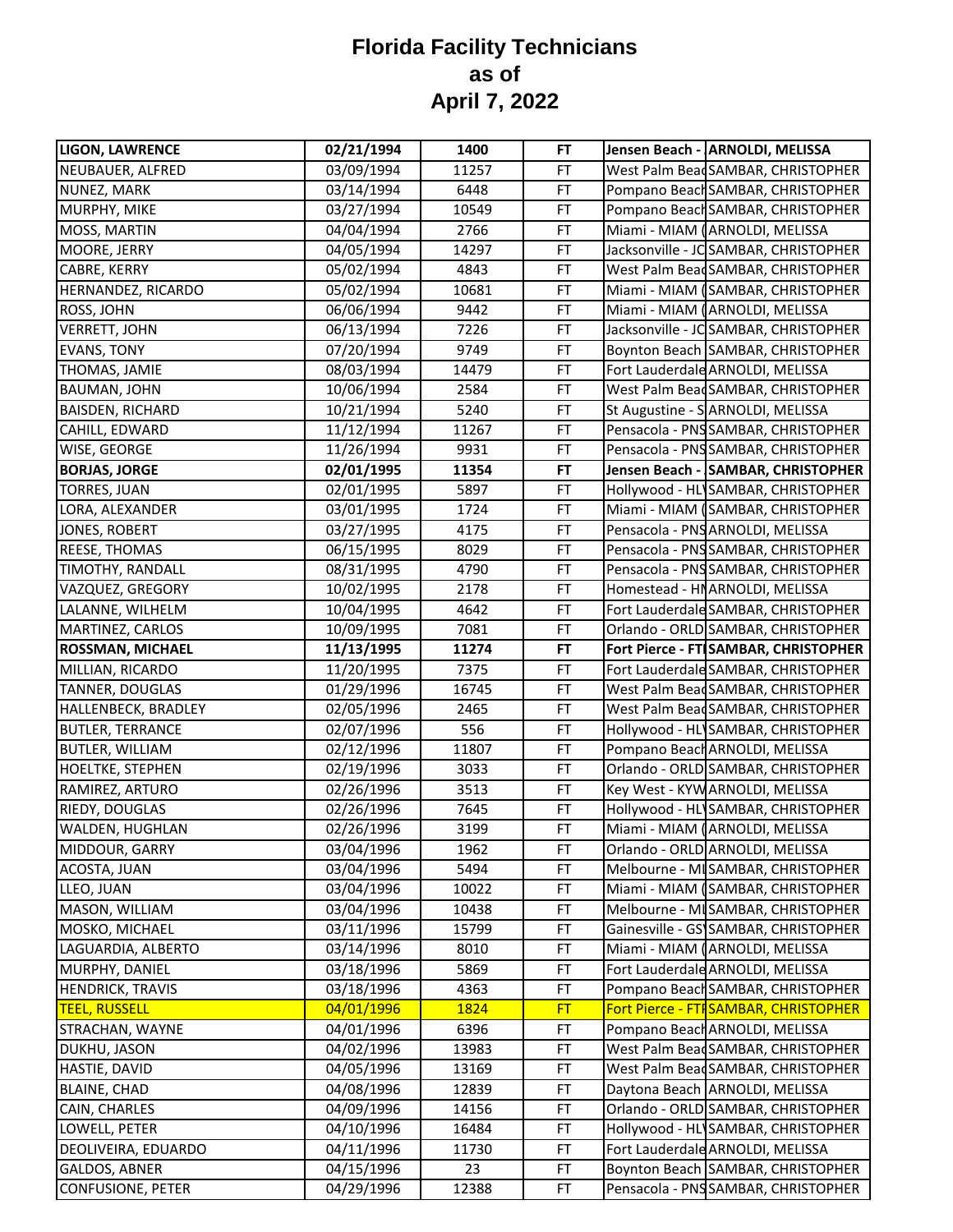| <b>LIGON, LAWRENCE</b>   | 02/21/1994 | 1400  | FT        | Jensen Beach - ARNOLDI, MELISSA       |
|--------------------------|------------|-------|-----------|---------------------------------------|
| NEUBAUER, ALFRED         | 03/09/1994 | 11257 | <b>FT</b> | West Palm BeadSAMBAR, CHRISTOPHER     |
| NUNEZ, MARK              | 03/14/1994 | 6448  | FT        | Pompano Beach SAMBAR, CHRISTOPHER     |
| MURPHY, MIKE             | 03/27/1994 | 10549 | <b>FT</b> | Pompano Beach SAMBAR, CHRISTOPHER     |
| MOSS, MARTIN             | 04/04/1994 | 2766  | <b>FT</b> | Miami - MIAM (ARNOLDI, MELISSA        |
| MOORE, JERRY             | 04/05/1994 | 14297 | FT        | Jacksonville - JC SAMBAR, CHRISTOPHER |
| CABRE, KERRY             | 05/02/1994 | 4843  | FT        | West Palm Bead SAMBAR, CHRISTOPHER    |
| HERNANDEZ, RICARDO       | 05/02/1994 | 10681 | FT        | Miami - MIAM (SAMBAR, CHRISTOPHER     |
| ROSS, JOHN               | 06/06/1994 | 9442  | FT        | Miami - MIAM (ARNOLDI, MELISSA        |
| <b>VERRETT, JOHN</b>     | 06/13/1994 | 7226  | FT        | Jacksonville - JC SAMBAR, CHRISTOPHER |
| <b>EVANS, TONY</b>       | 07/20/1994 | 9749  | FT        | Boynton Beach SAMBAR, CHRISTOPHER     |
| THOMAS, JAMIE            | 08/03/1994 | 14479 | FT        | Fort Lauderdale ARNOLDI, MELISSA      |
| <b>BAUMAN, JOHN</b>      | 10/06/1994 | 2584  | FT        | West Palm BeadSAMBAR, CHRISTOPHER     |
| <b>BAISDEN, RICHARD</b>  | 10/21/1994 | 5240  | <b>FT</b> | St Augustine - S ARNOLDI, MELISSA     |
| CAHILL, EDWARD           | 11/12/1994 | 11267 | <b>FT</b> | Pensacola - PNS SAMBAR, CHRISTOPHER   |
| WISE, GEORGE             | 11/26/1994 | 9931  | FT        | Pensacola - PNS SAMBAR, CHRISTOPHER   |
| <b>BORJAS, JORGE</b>     | 02/01/1995 | 11354 | <b>FT</b> | Jensen Beach - SAMBAR, CHRISTOPHER    |
| <b>TORRES, JUAN</b>      | 02/01/1995 | 5897  | FT        | Hollywood - HL SAMBAR, CHRISTOPHER    |
| LORA, ALEXANDER          | 03/01/1995 | 1724  | FT        | Miami - MIAM (SAMBAR, CHRISTOPHER     |
| JONES, ROBERT            | 03/27/1995 | 4175  | <b>FT</b> | Pensacola - PNS ARNOLDI, MELISSA      |
| REESE, THOMAS            | 06/15/1995 | 8029  | FT        | Pensacola - PNS SAMBAR, CHRISTOPHER   |
| TIMOTHY, RANDALL         | 08/31/1995 | 4790  | <b>FT</b> | Pensacola - PNS SAMBAR, CHRISTOPHER   |
| VAZQUEZ, GREGORY         | 10/02/1995 | 2178  | FT        | Homestead - HNARNOLDI, MELISSA        |
| LALANNE, WILHELM         | 10/04/1995 | 4642  | FT        | Fort Lauderdale SAMBAR, CHRISTOPHER   |
| MARTINEZ, CARLOS         | 10/09/1995 | 7081  | FT        | Orlando - ORLD SAMBAR, CHRISTOPHER    |
| ROSSMAN, MICHAEL         | 11/13/1995 | 11274 | FT        | Fort Pierce - FT SAMBAR, CHRISTOPHER  |
| MILLIAN, RICARDO         | 11/20/1995 | 7375  | FT        | Fort Lauderdale SAMBAR, CHRISTOPHER   |
| TANNER, DOUGLAS          | 01/29/1996 | 16745 | FT        | West Palm BeadSAMBAR, CHRISTOPHER     |
| HALLENBECK, BRADLEY      | 02/05/1996 | 2465  | <b>FT</b> | West Palm Bead SAMBAR, CHRISTOPHER    |
| <b>BUTLER, TERRANCE</b>  | 02/07/1996 | 556   | FT        | Hollywood - HL SAMBAR, CHRISTOPHER    |
| <b>BUTLER, WILLIAM</b>   | 02/12/1996 | 11807 | FT        | Pompano Beach ARNOLDI, MELISSA        |
| <b>HOELTKE, STEPHEN</b>  | 02/19/1996 | 3033  | FT        | Orlando - ORLD SAMBAR, CHRISTOPHER    |
| RAMIREZ, ARTURO          | 02/26/1996 | 3513  | FT        | Key West - KYWARNOLDI, MELISSA        |
| RIEDY, DOUGLAS           | 02/26/1996 | 7645  | FT        | Hollywood - HL SAMBAR, CHRISTOPHER    |
| WALDEN, HUGHLAN          | 02/26/1996 | 3199  | FT        | Miami - MIAM (ARNOLDI, MELISSA        |
| MIDDOUR, GARRY           | 03/04/1996 | 1962  | <b>FT</b> | Orlando - ORLD ARNOLDI, MELISSA       |
| ACOSTA, JUAN             | 03/04/1996 | 5494  | FT        | Melbourne - MISAMBAR, CHRISTOPHER     |
| LLEO, JUAN               | 03/04/1996 | 10022 | <b>FT</b> | Miami - MIAM (SAMBAR, CHRISTOPHER     |
| MASON, WILLIAM           | 03/04/1996 | 10438 | FT        | Melbourne - MI SAMBAR, CHRISTOPHER    |
| MOSKO, MICHAEL           | 03/11/1996 | 15799 | FT        | Gainesville - GS SAMBAR, CHRISTOPHER  |
| LAGUARDIA, ALBERTO       | 03/14/1996 | 8010  | <b>FT</b> | Miami - MIAM (ARNOLDI, MELISSA        |
| MURPHY, DANIEL           | 03/18/1996 | 5869  | FT        | Fort Lauderdale ARNOLDI, MELISSA      |
| <b>HENDRICK, TRAVIS</b>  | 03/18/1996 | 4363  | FT        | Pompano Beach SAMBAR, CHRISTOPHER     |
| <b>TEEL, RUSSELL</b>     | 04/01/1996 | 1824  | <b>FT</b> | Fort Pierce - FTI SAMBAR, CHRISTOPHER |
| STRACHAN, WAYNE          | 04/01/1996 | 6396  | FT        | Pompano Beach ARNOLDI, MELISSA        |
| DUKHU, JASON             | 04/02/1996 | 13983 | FT        | West Palm Bead SAMBAR, CHRISTOPHER    |
| HASTIE, DAVID            | 04/05/1996 | 13169 | FT        | West Palm BeadSAMBAR, CHRISTOPHER     |
| BLAINE, CHAD             | 04/08/1996 | 12839 | FT        | Daytona Beach ARNOLDI, MELISSA        |
| CAIN, CHARLES            | 04/09/1996 | 14156 | <b>FT</b> | Orlando - ORLD SAMBAR, CHRISTOPHER    |
| LOWELL, PETER            | 04/10/1996 | 16484 | <b>FT</b> | Hollywood - HL SAMBAR, CHRISTOPHER    |
| DEOLIVEIRA, EDUARDO      | 04/11/1996 | 11730 | <b>FT</b> | Fort Lauderdale ARNOLDI, MELISSA      |
| GALDOS, ABNER            | 04/15/1996 | 23    | <b>FT</b> | Boynton Beach SAMBAR, CHRISTOPHER     |
| <b>CONFUSIONE, PETER</b> | 04/29/1996 | 12388 | FT        | Pensacola - PNS SAMBAR, CHRISTOPHER   |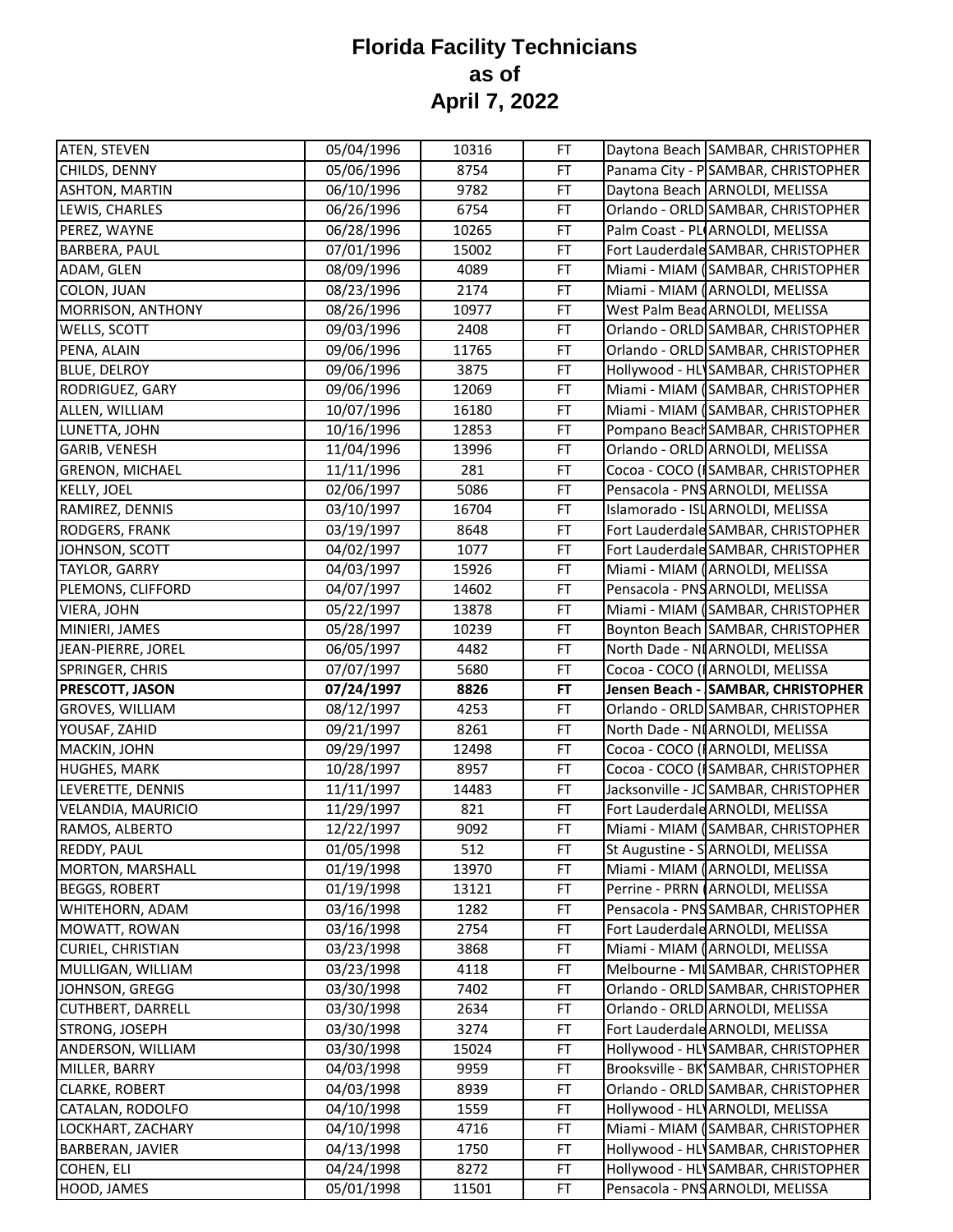| ATEN, STEVEN                    | 05/04/1996 | 10316 | <b>FT</b> | Daytona Beach SAMBAR, CHRISTOPHER     |
|---------------------------------|------------|-------|-----------|---------------------------------------|
| CHILDS, DENNY                   | 05/06/1996 | 8754  | FT        | Panama City - PSAMBAR, CHRISTOPHER    |
| <b>ASHTON, MARTIN</b>           | 06/10/1996 | 9782  | FT        | Daytona Beach ARNOLDI, MELISSA        |
| LEWIS, CHARLES                  | 06/26/1996 | 6754  | FT        | Orlando - ORLD SAMBAR, CHRISTOPHER    |
| PEREZ, WAYNE                    | 06/28/1996 | 10265 | FT        | Palm Coast - PLIARNOLDI, MELISSA      |
| <b>BARBERA, PAUL</b>            | 07/01/1996 | 15002 | FT        | Fort Lauderdale SAMBAR, CHRISTOPHER   |
| ADAM, GLEN                      | 08/09/1996 | 4089  | FT        | Miami - MIAM (SAMBAR, CHRISTOPHER     |
| COLON, JUAN                     | 08/23/1996 | 2174  | FT        | Miami - MIAM (ARNOLDI, MELISSA        |
| MORRISON, ANTHONY               | 08/26/1996 | 10977 | FT        | West Palm Bead ARNOLDI, MELISSA       |
| WELLS, SCOTT                    | 09/03/1996 | 2408  | FT        | Orlando - ORLD SAMBAR, CHRISTOPHER    |
| PENA, ALAIN                     | 09/06/1996 | 11765 | FT        | Orlando - ORLD SAMBAR, CHRISTOPHER    |
| <b>BLUE, DELROY</b>             | 09/06/1996 | 3875  | FT        | Hollywood - HL SAMBAR, CHRISTOPHER    |
| RODRIGUEZ, GARY                 | 09/06/1996 | 12069 | FT        | Miami - MIAM (SAMBAR, CHRISTOPHER     |
| ALLEN, WILLIAM                  | 10/07/1996 | 16180 | <b>FT</b> | Miami - MIAM (SAMBAR, CHRISTOPHER     |
| LUNETTA, JOHN                   | 10/16/1996 | 12853 | FT        | Pompano Beach SAMBAR, CHRISTOPHER     |
| <b>GARIB, VENESH</b>            | 11/04/1996 | 13996 | FT        | Orlando - ORLD ARNOLDI, MELISSA       |
| <b>GRENON, MICHAEL</b>          | 11/11/1996 | 281   | FT        | Cocoa - COCO (ISAMBAR, CHRISTOPHER    |
| KELLY, JOEL                     | 02/06/1997 | 5086  | FT        | Pensacola - PNS ARNOLDI, MELISSA      |
| RAMIREZ, DENNIS                 | 03/10/1997 | 16704 | FT        | Islamorado - ISL ARNOLDI, MELISSA     |
| RODGERS, FRANK                  | 03/19/1997 | 8648  | FT        | Fort Lauderdale SAMBAR, CHRISTOPHER   |
| JOHNSON, SCOTT                  | 04/02/1997 | 1077  | <b>FT</b> | Fort Lauderdale SAMBAR, CHRISTOPHER   |
| TAYLOR, GARRY                   | 04/03/1997 | 15926 | FT        | Miami - MIAM (ARNOLDI, MELISSA        |
| PLEMONS, CLIFFORD               | 04/07/1997 | 14602 | FT        | Pensacola - PNS ARNOLDI, MELISSA      |
| VIERA, JOHN                     | 05/22/1997 | 13878 | FT        | Miami - MIAM (SAMBAR, CHRISTOPHER     |
| MINIERI, JAMES                  | 05/28/1997 | 10239 | FT        | Boynton Beach SAMBAR, CHRISTOPHER     |
| JEAN-PIERRE, JOREL              | 06/05/1997 | 4482  | FT        | North Dade - NI ARNOLDI, MELISSA      |
|                                 |            |       |           |                                       |
| SPRINGER, CHRIS                 | 07/07/1997 | 5680  | FT        | Cocoa - COCO (IARNOLDI, MELISSA       |
|                                 | 07/24/1997 | 8826  | <b>FT</b> | Jensen Beach - SAMBAR, CHRISTOPHER    |
| <b>GROVES, WILLIAM</b>          | 08/12/1997 | 4253  | FT        | Orlando - ORLD SAMBAR, CHRISTOPHER    |
| YOUSAF, ZAHID                   | 09/21/1997 | 8261  | FT        | North Dade - NI ARNOLDI, MELISSA      |
| PRESCOTT, JASON<br>MACKIN, JOHN | 09/29/1997 | 12498 | FT        | Cocoa - COCO (I ARNOLDI, MELISSA      |
| HUGHES, MARK                    | 10/28/1997 | 8957  | FT        | Cocoa - COCO (ISAMBAR, CHRISTOPHER    |
| LEVERETTE, DENNIS               | 11/11/1997 | 14483 | FT        | Jacksonville - JC SAMBAR, CHRISTOPHER |
| VELANDIA, MAURICIO              | 11/29/1997 | 821   | FT        | Fort Lauderdale ARNOLDI, MELISSA      |
| RAMOS, ALBERTO                  | 12/22/1997 | 9092  | FT        | Miami - MIAM (SAMBAR, CHRISTOPHER     |
| REDDY, PAUL                     | 01/05/1998 | 512   | FT        | St Augustine - SARNOLDI, MELISSA      |
| MORTON, MARSHALL                | 01/19/1998 | 13970 | FT        | Miami - MIAM (ARNOLDI, MELISSA        |
| <b>BEGGS, ROBERT</b>            | 01/19/1998 | 13121 | FT        | Perrine - PRRN (ARNOLDI, MELISSA      |
| WHITEHORN, ADAM                 | 03/16/1998 | 1282  | FT        | Pensacola - PNS SAMBAR, CHRISTOPHER   |
| MOWATT, ROWAN                   | 03/16/1998 | 2754  | FT        | Fort Lauderdale ARNOLDI, MELISSA      |
| CURIEL, CHRISTIAN               | 03/23/1998 | 3868  | FT        | Miami - MIAM (ARNOLDI, MELISSA        |
| MULLIGAN, WILLIAM               | 03/23/1998 | 4118  | FT        | Melbourne - MI SAMBAR, CHRISTOPHER    |
| JOHNSON, GREGG                  | 03/30/1998 | 7402  | FT        | Orlando - ORLD SAMBAR, CHRISTOPHER    |
| <b>CUTHBERT, DARRELL</b>        | 03/30/1998 | 2634  | FT        | Orlando - ORLD ARNOLDI, MELISSA       |
| STRONG, JOSEPH                  | 03/30/1998 | 3274  | FT        | Fort Lauderdale ARNOLDI, MELISSA      |
| ANDERSON, WILLIAM               | 03/30/1998 | 15024 | FT        | Hollywood - HL SAMBAR, CHRISTOPHER    |
| MILLER, BARRY                   | 04/03/1998 | 9959  | FT        | Brooksville - BK SAMBAR, CHRISTOPHER  |
| <b>CLARKE, ROBERT</b>           | 04/03/1998 | 8939  | FT        | Orlando - ORLD SAMBAR, CHRISTOPHER    |
| CATALAN, RODOLFO                | 04/10/1998 | 1559  | FT        | Hollywood - HL ARNOLDI, MELISSA       |
| LOCKHART, ZACHARY               | 04/10/1998 | 4716  | FT        | Miami - MIAM (SAMBAR, CHRISTOPHER     |
| BARBERAN, JAVIER                | 04/13/1998 | 1750  | FT        | Hollywood - HL SAMBAR, CHRISTOPHER    |
| COHEN, ELI                      | 04/24/1998 | 8272  | FT        | Hollywood - HL SAMBAR, CHRISTOPHER    |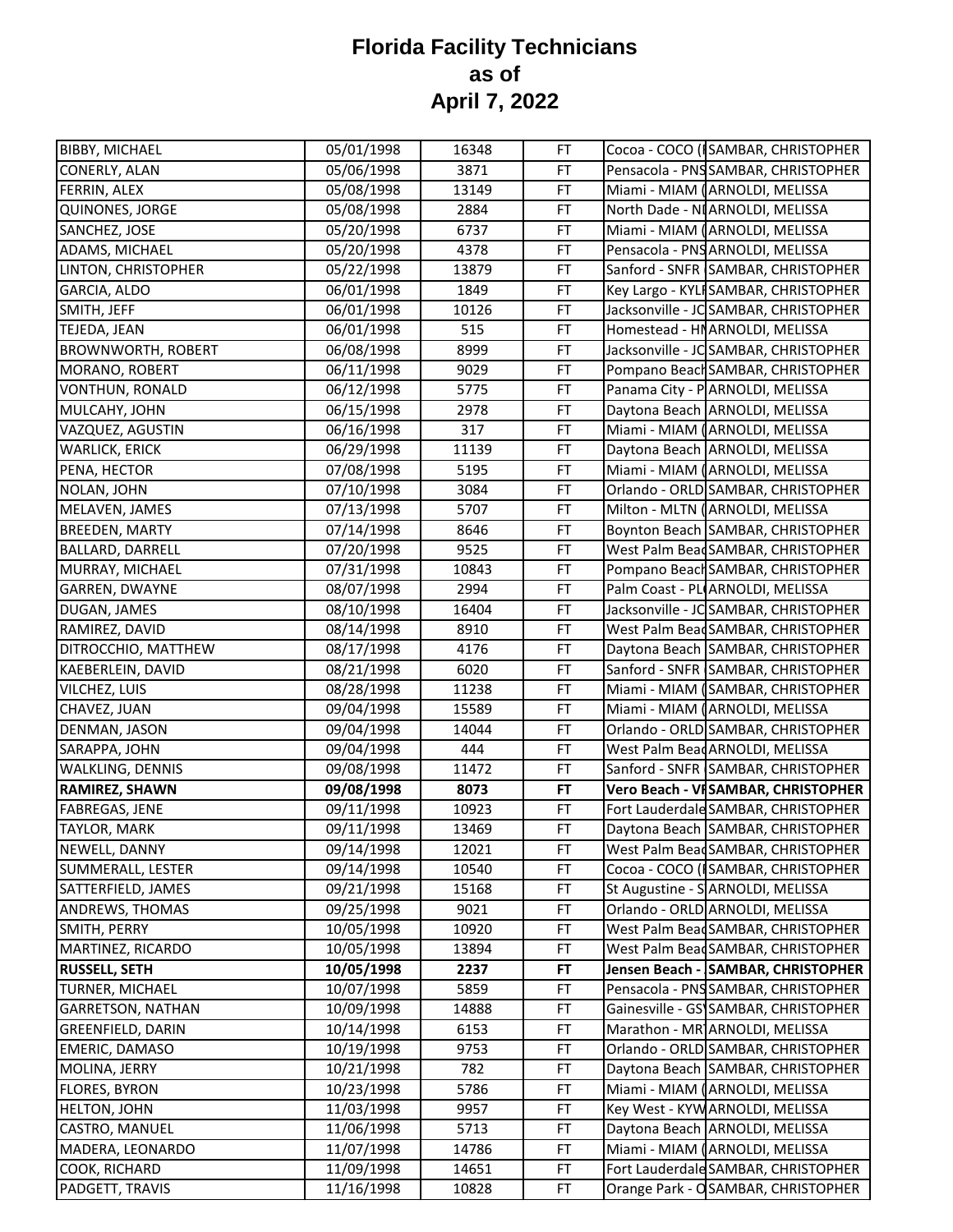| <b>BIBBY, MICHAEL</b>     | 05/01/1998 | 16348 | FT        | Cocoa - COCO (ISAMBAR, CHRISTOPHER    |
|---------------------------|------------|-------|-----------|---------------------------------------|
| CONERLY, ALAN             | 05/06/1998 | 3871  | FT        | Pensacola - PNS SAMBAR, CHRISTOPHER   |
| FERRIN, ALEX              | 05/08/1998 | 13149 | FT        | Miami - MIAM (ARNOLDI, MELISSA        |
| QUINONES, JORGE           | 05/08/1998 | 2884  | FT        | North Dade - NI ARNOLDI, MELISSA      |
| SANCHEZ, JOSE             | 05/20/1998 | 6737  | FT        | Miami - MIAM (ARNOLDI, MELISSA        |
| ADAMS, MICHAEL            | 05/20/1998 | 4378  | FT        | Pensacola - PNS ARNOLDI, MELISSA      |
| LINTON, CHRISTOPHER       | 05/22/1998 | 13879 | <b>FT</b> | Sanford - SNFR SAMBAR, CHRISTOPHER    |
| GARCIA, ALDO              | 06/01/1998 | 1849  | FT        | Key Largo - KYLI SAMBAR, CHRISTOPHER  |
| SMITH, JEFF               | 06/01/1998 | 10126 | FT        | Jacksonville - JC SAMBAR, CHRISTOPHER |
| TEJEDA, JEAN              | 06/01/1998 | 515   | FT        | Homestead - HNARNOLDI, MELISSA        |
| <b>BROWNWORTH, ROBERT</b> | 06/08/1998 | 8999  | FT        | Jacksonville - JC SAMBAR, CHRISTOPHER |
| MORANO, ROBERT            | 06/11/1998 | 9029  | <b>FT</b> | Pompano Beach SAMBAR, CHRISTOPHER     |
| VONTHUN, RONALD           | 06/12/1998 | 5775  | FT        | Panama City - PARNOLDI, MELISSA       |
| MULCAHY, JOHN             | 06/15/1998 | 2978  | <b>FT</b> | Daytona Beach ARNOLDI, MELISSA        |
| VAZQUEZ, AGUSTIN          | 06/16/1998 | 317   | FT        | Miami - MIAM (ARNOLDI, MELISSA        |
| <b>WARLICK, ERICK</b>     | 06/29/1998 | 11139 | FT        | Daytona Beach ARNOLDI, MELISSA        |
| PENA, HECTOR              | 07/08/1998 | 5195  | <b>FT</b> | Miami - MIAM (ARNOLDI, MELISSA        |
| NOLAN, JOHN               | 07/10/1998 | 3084  | FT        | Orlando - ORLD SAMBAR, CHRISTOPHER    |
| MELAVEN, JAMES            | 07/13/1998 | 5707  | FT        | Milton - MLTN (ARNOLDI, MELISSA       |
| BREEDEN, MARTY            | 07/14/1998 | 8646  | FT        | Boynton Beach SAMBAR, CHRISTOPHER     |
| <b>BALLARD, DARRELL</b>   | 07/20/1998 | 9525  | FT        | West Palm Bead SAMBAR, CHRISTOPHER    |
| MURRAY, MICHAEL           | 07/31/1998 | 10843 | FT        | Pompano Beach SAMBAR, CHRISTOPHER     |
| GARREN, DWAYNE            | 08/07/1998 | 2994  | FT        | Palm Coast - PL ARNOLDI, MELISSA      |
| DUGAN, JAMES              | 08/10/1998 | 16404 | FT        | Jacksonville - JC SAMBAR, CHRISTOPHER |
| RAMIREZ, DAVID            | 08/14/1998 | 8910  | FT        | West Palm Bead SAMBAR, CHRISTOPHER    |
| DITROCCHIO, MATTHEW       | 08/17/1998 | 4176  | FT        | Daytona Beach SAMBAR, CHRISTOPHER     |
| KAEBERLEIN, DAVID         | 08/21/1998 | 6020  | FT        | Sanford - SNFR SAMBAR, CHRISTOPHER    |
| VILCHEZ, LUIS             | 08/28/1998 | 11238 | <b>FT</b> | Miami - MIAM (SAMBAR, CHRISTOPHER     |
| CHAVEZ, JUAN              | 09/04/1998 | 15589 | FT        | Miami - MIAM (ARNOLDI, MELISSA        |
| DENMAN, JASON             | 09/04/1998 | 14044 | FT        | Orlando - ORLD SAMBAR, CHRISTOPHER    |
| SARAPPA, JOHN             | 09/04/1998 | 444   | FT        | West Palm Bead ARNOLDI, MELISSA       |
| <b>WALKLING, DENNIS</b>   | 09/08/1998 | 11472 | FT        | Sanford - SNFR SAMBAR, CHRISTOPHER    |
| <b>RAMIREZ, SHAWN</b>     | 09/08/1998 | 8073  | <b>FT</b> | Vero Beach - VISAMBAR, CHRISTOPHER    |
| FABREGAS, JENE            | 09/11/1998 | 10923 | FT        | Fort Lauderdale SAMBAR, CHRISTOPHER   |
| TAYLOR, MARK              | 09/11/1998 | 13469 | FT        | Daytona Beach SAMBAR, CHRISTOPHER     |
| NEWELL, DANNY             | 09/14/1998 | 12021 | FT        | West Palm BeadSAMBAR, CHRISTOPHER     |
| SUMMERALL, LESTER         | 09/14/1998 | 10540 | FT        | Cocoa - COCO (ISAMBAR, CHRISTOPHER    |
| SATTERFIELD, JAMES        | 09/21/1998 | 15168 | FT        | St Augustine - S ARNOLDI, MELISSA     |
| ANDREWS, THOMAS           | 09/25/1998 | 9021  | FT        | Orlando - ORLD ARNOLDI, MELISSA       |
| SMITH, PERRY              | 10/05/1998 | 10920 | <b>FT</b> | West Palm Bead SAMBAR, CHRISTOPHER    |
| MARTINEZ, RICARDO         | 10/05/1998 | 13894 | <b>FT</b> | West Palm BeadSAMBAR, CHRISTOPHER     |
| <b>RUSSELL, SETH</b>      | 10/05/1998 | 2237  | FT        | Jensen Beach - SAMBAR, CHRISTOPHER    |
| TURNER, MICHAEL           | 10/07/1998 | 5859  | FT        | Pensacola - PNS SAMBAR, CHRISTOPHER   |
| <b>GARRETSON, NATHAN</b>  | 10/09/1998 | 14888 | <b>FT</b> | Gainesville - GS SAMBAR, CHRISTOPHER  |
| <b>GREENFIELD, DARIN</b>  | 10/14/1998 | 6153  | FT        | Marathon - MR ARNOLDI, MELISSA        |
| EMERIC, DAMASO            | 10/19/1998 | 9753  | FT        | Orlando - ORLD SAMBAR, CHRISTOPHER    |
| MOLINA, JERRY             | 10/21/1998 | 782   | FT        | Daytona Beach SAMBAR, CHRISTOPHER     |
| FLORES, BYRON             | 10/23/1998 | 5786  | <b>FT</b> | Miami - MIAM (ARNOLDI, MELISSA        |
| <b>HELTON, JOHN</b>       | 11/03/1998 | 9957  | <b>FT</b> | Key West - KYW ARNOLDI, MELISSA       |
| CASTRO, MANUEL            | 11/06/1998 | 5713  | <b>FT</b> | Daytona Beach ARNOLDI, MELISSA        |
| MADERA, LEONARDO          | 11/07/1998 | 14786 | <b>FT</b> | Miami - MIAM (ARNOLDI, MELISSA        |
| COOK, RICHARD             | 11/09/1998 | 14651 | FT        | Fort Lauderdale SAMBAR, CHRISTOPHER   |
| PADGETT, TRAVIS           | 11/16/1998 | 10828 | FT        | Orange Park - OSAMBAR, CHRISTOPHER    |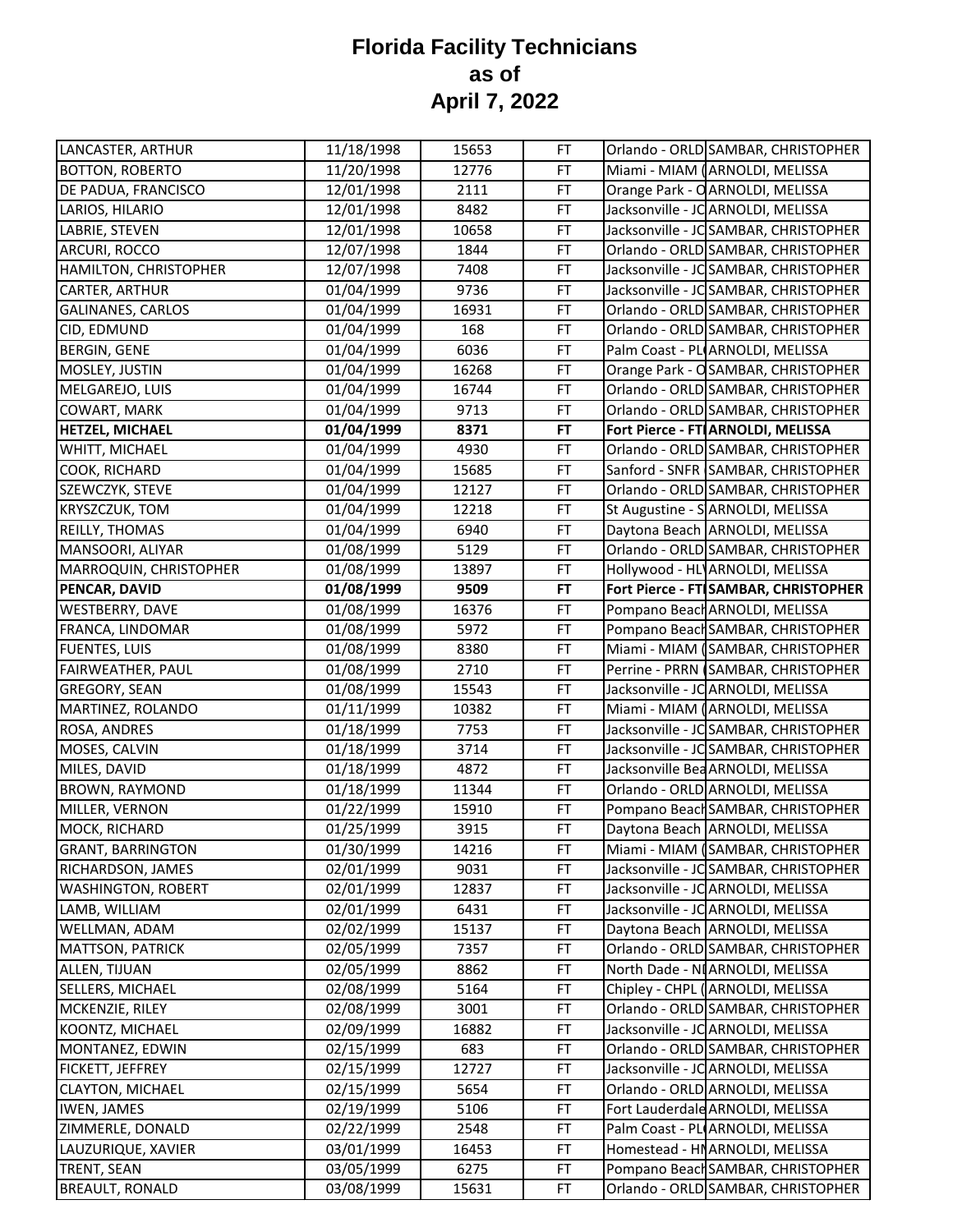| LANCASTER, ARTHUR         | 11/18/1998              | 15653 | FT | Orlando - ORLD SAMBAR, CHRISTOPHER    |
|---------------------------|-------------------------|-------|----|---------------------------------------|
| <b>BOTTON, ROBERTO</b>    | 11/20/1998              | 12776 | FT | Miami - MIAM (ARNOLDI, MELISSA        |
| DE PADUA, FRANCISCO       | 12/01/1998              | 2111  | FT | Orange Park - O ARNOLDI, MELISSA      |
| LARIOS, HILARIO           | 12/01/1998              | 8482  | FT | Jacksonville - JC ARNOLDI, MELISSA    |
| LABRIE, STEVEN            | 12/01/1998              | 10658 | FT | Jacksonville - JC SAMBAR, CHRISTOPHER |
| ARCURI, ROCCO             | 12/07/1998              | 1844  | FT | Orlando - ORLD SAMBAR, CHRISTOPHER    |
| HAMILTON, CHRISTOPHER     | 12/07/1998              | 7408  | FT | Jacksonville - JC SAMBAR, CHRISTOPHER |
| CARTER, ARTHUR            | 01/04/1999              | 9736  | FT | Jacksonville - JC SAMBAR, CHRISTOPHER |
| GALINANES, CARLOS         | 01/04/1999              | 16931 | FT | Orlando - ORLD SAMBAR, CHRISTOPHER    |
| CID, EDMUND               | 01/04/1999              | 168   | FT | Orlando - ORLD SAMBAR, CHRISTOPHER    |
| BERGIN, GENE              | 01/04/1999              | 6036  | FT | Palm Coast - PL ARNOLDI, MELISSA      |
| MOSLEY, JUSTIN            | 01/04/1999              | 16268 | FT | Orange Park - OSAMBAR, CHRISTOPHER    |
| MELGAREJO, LUIS           | 01/04/1999              | 16744 | FT | Orlando - ORLD SAMBAR, CHRISTOPHER    |
| COWART, MARK              | 01/04/1999              | 9713  | FT | Orlando - ORLD SAMBAR, CHRISTOPHER    |
| HETZEL, MICHAEL           | 01/04/1999              | 8371  | FT | Fort Pierce - FT ARNOLDI, MELISSA     |
| WHITT, MICHAEL            | 01/04/1999              | 4930  | FT | Orlando - ORLD SAMBAR, CHRISTOPHER    |
| COOK, RICHARD             | 01/04/1999              | 15685 | FT | Sanford - SNFR SAMBAR, CHRISTOPHER    |
| SZEWCZYK, STEVE           | 01/04/1999              | 12127 | FT | Orlando - ORLD SAMBAR, CHRISTOPHER    |
| KRYSZCZUK, TOM            | 01/04/1999              | 12218 | FT | St Augustine - S ARNOLDI, MELISSA     |
| REILLY, THOMAS            | 01/04/1999              | 6940  | FT | Daytona Beach ARNOLDI, MELISSA        |
| MANSOORI, ALIYAR          | 01/08/1999              | 5129  | FT | Orlando - ORLD SAMBAR, CHRISTOPHER    |
| MARROQUIN, CHRISTOPHER    | 01/08/1999              | 13897 | FT | Hollywood - HL ARNOLDI, MELISSA       |
| PENCAR, DAVID             | 01/08/1999              | 9509  | FT | Fort Pierce - FT SAMBAR, CHRISTOPHER  |
| WESTBERRY, DAVE           | 01/08/1999              | 16376 | FT | Pompano Beach ARNOLDI, MELISSA        |
| FRANCA, LINDOMAR          | 01/08/1999              | 5972  | FT | Pompano Beach SAMBAR, CHRISTOPHER     |
| FUENTES, LUIS             | 01/08/1999              | 8380  | FT | Miami - MIAM (SAMBAR, CHRISTOPHER     |
| FAIRWEATHER, PAUL         | 01/08/1999              | 2710  | FT | Perrine - PRRN (SAMBAR, CHRISTOPHER   |
| GREGORY, SEAN             | 01/08/1999              | 15543 | FT | Jacksonville - JC ARNOLDI, MELISSA    |
| MARTINEZ, ROLANDO         | 01/11/1999              | 10382 | FT | Miami - MIAM (ARNOLDI, MELISSA        |
| ROSA, ANDRES              | 01/18/1999              | 7753  | FT | Jacksonville - JC SAMBAR, CHRISTOPHER |
| MOSES, CALVIN             | 01/18/1999              | 3714  | FT | Jacksonville - JC SAMBAR, CHRISTOPHER |
| MILES, DAVID              | 01/18/1999              | 4872  | FT | Jacksonville Bea ARNOLDI, MELISSA     |
| <b>BROWN, RAYMOND</b>     | 01/18/1999              | 11344 | FT | Orlando - ORLD ARNOLDI, MELISSA       |
| MILLER, VERNON            | $\overline{01}/22/1999$ | 15910 | FT | Pompano Beach SAMBAR, CHRISTOPHER     |
| MOCK, RICHARD             | 01/25/1999              | 3915  | FT | Daytona Beach ARNOLDI, MELISSA        |
| <b>GRANT, BARRINGTON</b>  | 01/30/1999              | 14216 | FT | Miami - MIAM (SAMBAR, CHRISTOPHER     |
| RICHARDSON, JAMES         | 02/01/1999              | 9031  | FT | Jacksonville - JC SAMBAR, CHRISTOPHER |
| <b>WASHINGTON, ROBERT</b> | 02/01/1999              | 12837 | FT | Jacksonville - JC ARNOLDI, MELISSA    |
| LAMB, WILLIAM             | 02/01/1999              | 6431  | FT | Jacksonville - JC ARNOLDI, MELISSA    |
| WELLMAN, ADAM             | 02/02/1999              | 15137 | FT | Daytona Beach ARNOLDI, MELISSA        |
| <b>MATTSON, PATRICK</b>   | 02/05/1999              | 7357  | FT | Orlando - ORLD SAMBAR, CHRISTOPHER    |
| ALLEN, TIJUAN             | 02/05/1999              | 8862  | FT | North Dade - NI ARNOLDI, MELISSA      |
| SELLERS, MICHAEL          | 02/08/1999              | 5164  | FT | Chipley - CHPL (ARNOLDI, MELISSA      |
| MCKENZIE, RILEY           | 02/08/1999              | 3001  | FT | Orlando - ORLD SAMBAR, CHRISTOPHER    |
| KOONTZ, MICHAEL           | 02/09/1999              | 16882 | FT | Jacksonville - JC ARNOLDI, MELISSA    |
| MONTANEZ, EDWIN           | 02/15/1999              | 683   | FT | Orlando - ORLD SAMBAR, CHRISTOPHER    |
| FICKETT, JEFFREY          | 02/15/1999              | 12727 | FT | Jacksonville - JC ARNOLDI, MELISSA    |
| <b>CLAYTON, MICHAEL</b>   | 02/15/1999              | 5654  | FT | Orlando - ORLD ARNOLDI, MELISSA       |
| <b>IWEN, JAMES</b>        | 02/19/1999              | 5106  | FT | Fort Lauderdale ARNOLDI, MELISSA      |
| ZIMMERLE, DONALD          | 02/22/1999              | 2548  | FT | Palm Coast - PL ARNOLDI, MELISSA      |
| LAUZURIQUE, XAVIER        | 03/01/1999              | 16453 | FT | Homestead - HNARNOLDI, MELISSA        |
| TRENT, SEAN               | 03/05/1999              | 6275  | FT | Pompano Beach SAMBAR, CHRISTOPHER     |
| <b>BREAULT, RONALD</b>    | 03/08/1999              | 15631 | FT | Orlando - ORLD SAMBAR, CHRISTOPHER    |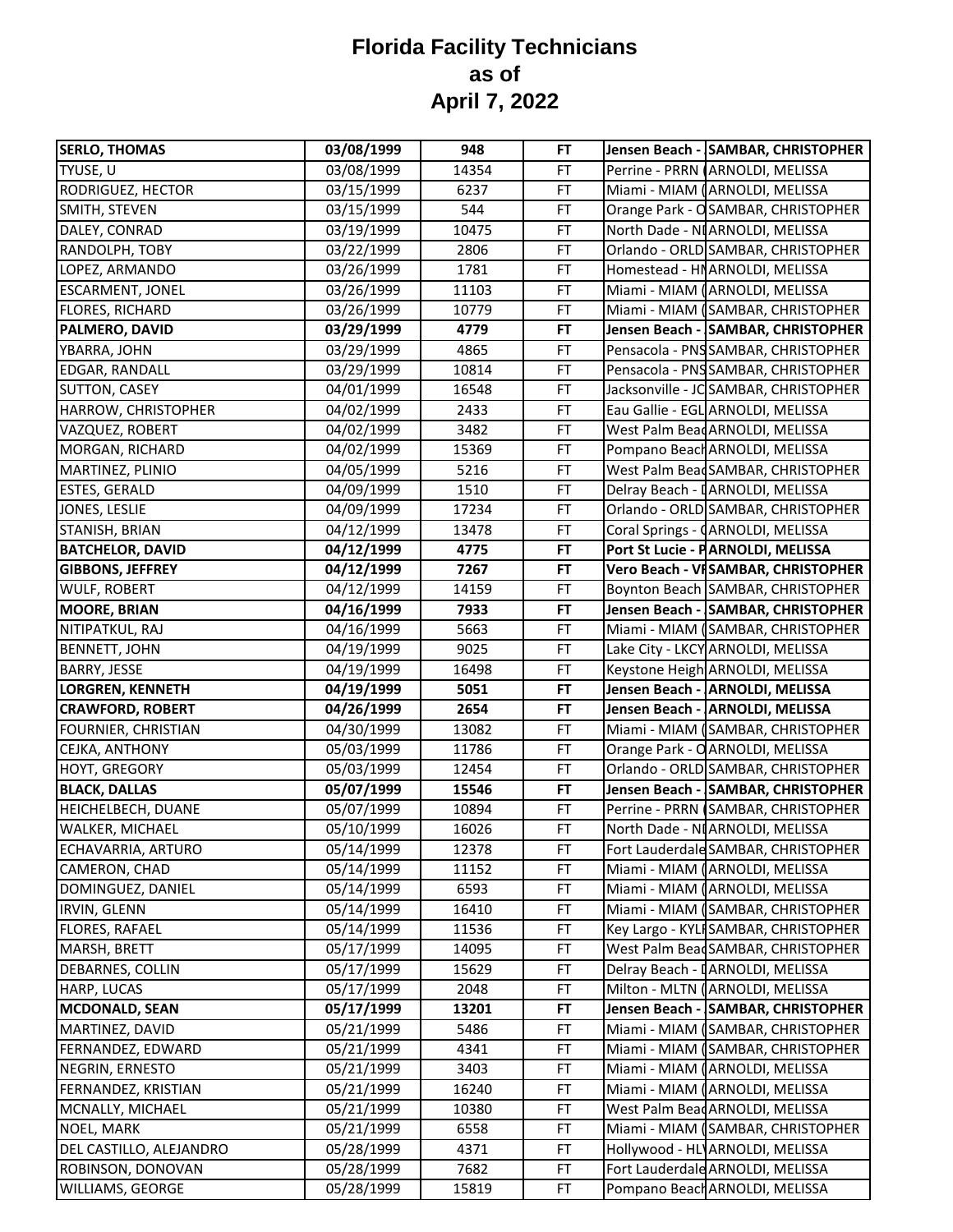| <b>SERLO, THOMAS</b>    | 03/08/1999 | 948   | FT        | Jensen Beach - SAMBAR, CHRISTOPHER    |
|-------------------------|------------|-------|-----------|---------------------------------------|
| TYUSE, U                | 03/08/1999 | 14354 | FT        | Perrine - PRRN (ARNOLDI, MELISSA      |
| RODRIGUEZ, HECTOR       | 03/15/1999 | 6237  | FT        | Miami - MIAM (ARNOLDI, MELISSA        |
| SMITH, STEVEN           | 03/15/1999 | 544   | FT        | Orange Park - OSAMBAR, CHRISTOPHER    |
| DALEY, CONRAD           | 03/19/1999 | 10475 | <b>FT</b> | North Dade - NI ARNOLDI, MELISSA      |
| RANDOLPH, TOBY          | 03/22/1999 | 2806  | FT        | Orlando - ORLD SAMBAR, CHRISTOPHER    |
| LOPEZ, ARMANDO          | 03/26/1999 | 1781  | FT        | Homestead - HNARNOLDI, MELISSA        |
| <b>ESCARMENT, JONEL</b> | 03/26/1999 | 11103 | FT        | Miami - MIAM (ARNOLDI, MELISSA        |
| FLORES, RICHARD         | 03/26/1999 | 10779 | FT        | Miami - MIAM (SAMBAR, CHRISTOPHER     |
| PALMERO, DAVID          | 03/29/1999 | 4779  | FT        | Jensen Beach - SAMBAR, CHRISTOPHER    |
| YBARRA, JOHN            | 03/29/1999 | 4865  | FT        | Pensacola - PNS SAMBAR, CHRISTOPHER   |
| EDGAR, RANDALL          | 03/29/1999 | 10814 | FT        | Pensacola - PNS SAMBAR, CHRISTOPHER   |
| SUTTON, CASEY           | 04/01/1999 | 16548 | FT        | Jacksonville - JC SAMBAR, CHRISTOPHER |
| HARROW, CHRISTOPHER     | 04/02/1999 | 2433  | FT        | Eau Gallie - EGL ARNOLDI, MELISSA     |
| VAZQUEZ, ROBERT         | 04/02/1999 | 3482  | FT        | West Palm Bead ARNOLDI, MELISSA       |
| MORGAN, RICHARD         | 04/02/1999 | 15369 | <b>FT</b> | Pompano Beach ARNOLDI, MELISSA        |
| MARTINEZ, PLINIO        | 04/05/1999 | 5216  | FT        | West Palm Bead SAMBAR, CHRISTOPHER    |
| <b>ESTES, GERALD</b>    | 04/09/1999 | 1510  | FT        | Delray Beach - I ARNOLDI, MELISSA     |
| JONES, LESLIE           | 04/09/1999 | 17234 | <b>FT</b> | Orlando - ORLD SAMBAR, CHRISTOPHER    |
| STANISH, BRIAN          | 04/12/1999 | 13478 | FT        | Coral Springs - (ARNOLDI, MELISSA     |
| <b>BATCHELOR, DAVID</b> | 04/12/1999 | 4775  | FT        | Port St Lucie - PARNOLDI, MELISSA     |
| <b>GIBBONS, JEFFREY</b> | 04/12/1999 | 7267  | FT        | Vero Beach - VISAMBAR, CHRISTOPHER    |
| <b>WULF, ROBERT</b>     | 04/12/1999 | 14159 | FT        | Boynton Beach SAMBAR, CHRISTOPHER     |
| <b>MOORE, BRIAN</b>     | 04/16/1999 | 7933  | FT        | Jensen Beach - SAMBAR, CHRISTOPHER    |
| NITIPATKUL, RAJ         | 04/16/1999 | 5663  | FT        | Miami - MIAM (SAMBAR, CHRISTOPHER     |
| <b>BENNETT, JOHN</b>    | 04/19/1999 | 9025  | FT        | Lake City - LKCY ARNOLDI, MELISSA     |
| <b>BARRY, JESSE</b>     | 04/19/1999 | 16498 | FT        | Keystone Heigh ARNOLDI, MELISSA       |
| <b>LORGREN, KENNETH</b> | 04/19/1999 | 5051  | <b>FT</b> | Jensen Beach - ARNOLDI, MELISSA       |
| <b>CRAWFORD, ROBERT</b> | 04/26/1999 | 2654  | <b>FT</b> | Jensen Beach - ARNOLDI, MELISSA       |
| FOURNIER, CHRISTIAN     | 04/30/1999 | 13082 | FT        | Miami - MIAM (SAMBAR, CHRISTOPHER     |
| CEJKA, ANTHONY          | 05/03/1999 | 11786 | FT        | Orange Park - O ARNOLDI, MELISSA      |
| <b>HOYT, GREGORY</b>    | 05/03/1999 | 12454 | FT        | Orlando - ORLD SAMBAR, CHRISTOPHER    |
| <b>BLACK, DALLAS</b>    | 05/07/1999 | 15546 | FT        | Jensen Beach - SAMBAR, CHRISTOPHER    |
| HEICHELBECH, DUANE      | 05/07/1999 | 10894 | FT        | Perrine - PRRN (SAMBAR, CHRISTOPHER   |
| WALKER, MICHAEL         | 05/10/1999 | 16026 | FT        | North Dade - NI ARNOLDI, MELISSA      |
| ECHAVARRIA, ARTURO      | 05/14/1999 | 12378 | <b>FT</b> | Fort Lauderdale SAMBAR, CHRISTOPHER   |
| CAMERON, CHAD           | 05/14/1999 | 11152 | FT        | Miami - MIAM (ARNOLDI, MELISSA        |
| DOMINGUEZ, DANIEL       | 05/14/1999 | 6593  | FT        | Miami - MIAM (ARNOLDI, MELISSA        |
| IRVIN, GLENN            | 05/14/1999 | 16410 | FT        | Miami - MIAM (SAMBAR, CHRISTOPHER     |
| <b>FLORES, RAFAEL</b>   | 05/14/1999 | 11536 | FT        | Key Largo - KYLI SAMBAR, CHRISTOPHER  |
| MARSH, BRETT            | 05/17/1999 | 14095 | <b>FT</b> | West Palm Bead SAMBAR, CHRISTOPHER    |
| DEBARNES, COLLIN        | 05/17/1999 | 15629 | FT        | Delray Beach - [ARNOLDI, MELISSA      |
| HARP, LUCAS             | 05/17/1999 | 2048  | FT        | Milton - MLTN (ARNOLDI, MELISSA       |
| <b>MCDONALD, SEAN</b>   | 05/17/1999 | 13201 | FT        | Jensen Beach - SAMBAR, CHRISTOPHER    |
| MARTINEZ, DAVID         | 05/21/1999 | 5486  | FT        | Miami - MIAM (SAMBAR, CHRISTOPHER     |
| FERNANDEZ, EDWARD       | 05/21/1999 | 4341  | FT        | Miami - MIAM (SAMBAR, CHRISTOPHER     |
| NEGRIN, ERNESTO         | 05/21/1999 | 3403  | FT        | Miami - MIAM (ARNOLDI, MELISSA        |
| FERNANDEZ, KRISTIAN     | 05/21/1999 | 16240 | FT        | Miami - MIAM (ARNOLDI, MELISSA        |
| MCNALLY, MICHAEL        | 05/21/1999 | 10380 | <b>FT</b> | West Palm Bead ARNOLDI, MELISSA       |
| NOEL, MARK              | 05/21/1999 | 6558  | <b>FT</b> | Miami - MIAM (SAMBAR, CHRISTOPHER     |
| DEL CASTILLO, ALEJANDRO | 05/28/1999 | 4371  | <b>FT</b> | Hollywood - HL ARNOLDI, MELISSA       |
| ROBINSON, DONOVAN       | 05/28/1999 | 7682  | FT        | Fort Lauderdale ARNOLDI, MELISSA      |
| WILLIAMS, GEORGE        | 05/28/1999 | 15819 | FT        | Pompano Beach ARNOLDI, MELISSA        |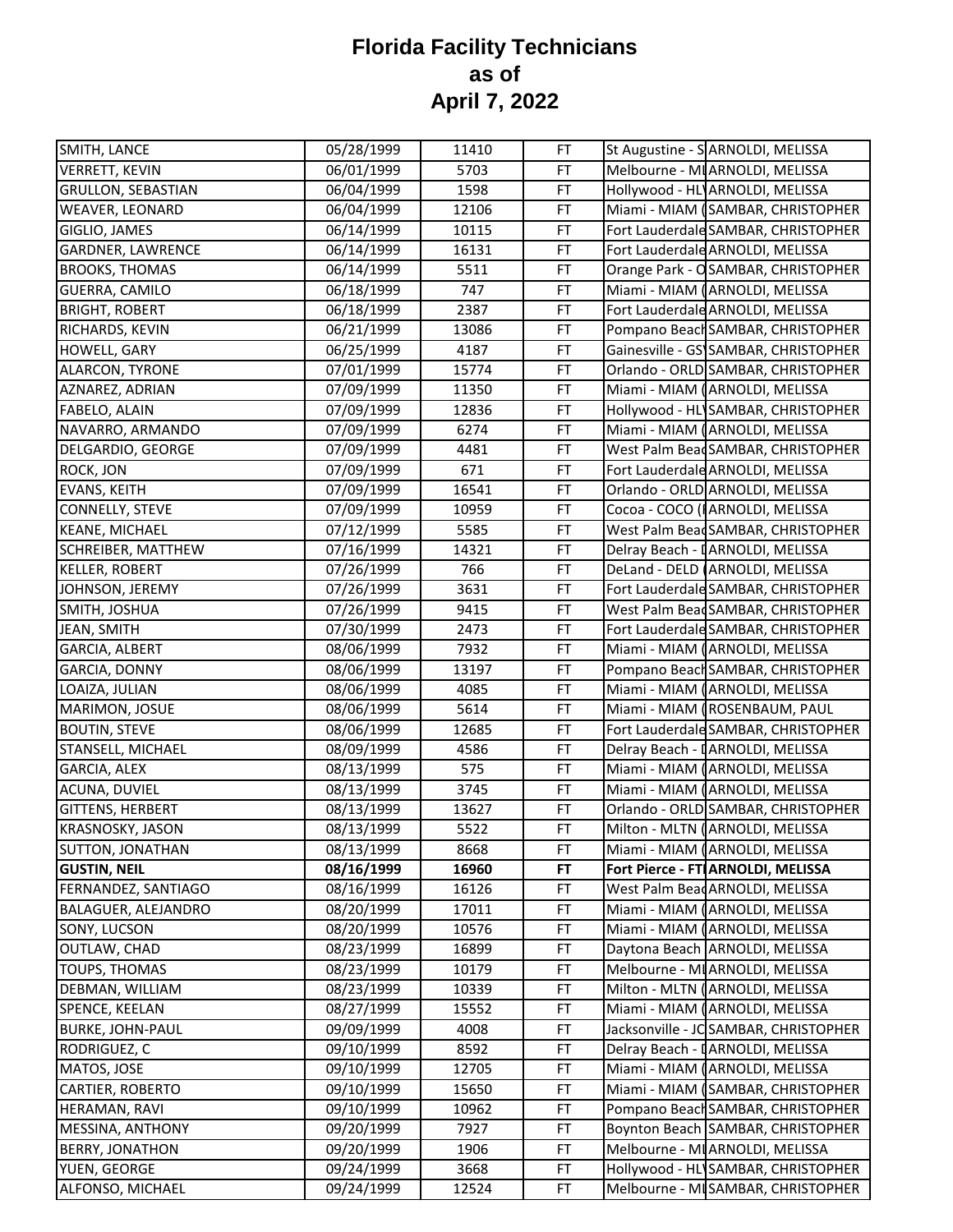| SMITH, LANCE              | 05/28/1999 | 11410 | FT        | St Augustine - SARNOLDI, MELISSA      |
|---------------------------|------------|-------|-----------|---------------------------------------|
| <b>VERRETT, KEVIN</b>     | 06/01/1999 | 5703  | FT        | Melbourne - MI ARNOLDI, MELISSA       |
| <b>GRULLON, SEBASTIAN</b> | 06/04/1999 | 1598  | <b>FT</b> | Hollywood - HL ARNOLDI, MELISSA       |
| WEAVER, LEONARD           | 06/04/1999 | 12106 | FT        | Miami - MIAM (SAMBAR, CHRISTOPHER     |
| GIGLIO, JAMES             | 06/14/1999 | 10115 | FT        | Fort Lauderdale SAMBAR, CHRISTOPHER   |
| GARDNER, LAWRENCE         | 06/14/1999 | 16131 | FT        | Fort Lauderdale ARNOLDI, MELISSA      |
| <b>BROOKS, THOMAS</b>     | 06/14/1999 | 5511  | FT        | Orange Park - OSAMBAR, CHRISTOPHER    |
| GUERRA, CAMILO            | 06/18/1999 | 747   | FT        | Miami - MIAM (ARNOLDI, MELISSA        |
| <b>BRIGHT, ROBERT</b>     | 06/18/1999 | 2387  | FT        | Fort Lauderdale ARNOLDI, MELISSA      |
| RICHARDS, KEVIN           | 06/21/1999 | 13086 | FT        | Pompano Beach SAMBAR, CHRISTOPHER     |
| <b>HOWELL, GARY</b>       | 06/25/1999 | 4187  | FT        | Gainesville - GS SAMBAR, CHRISTOPHER  |
| ALARCON, TYRONE           | 07/01/1999 | 15774 | FT        | Orlando - ORLD SAMBAR, CHRISTOPHER    |
| AZNAREZ, ADRIAN           | 07/09/1999 | 11350 | FT        | Miami - MIAM (ARNOLDI, MELISSA        |
| FABELO, ALAIN             | 07/09/1999 | 12836 | FT        | Hollywood - HL SAMBAR, CHRISTOPHER    |
| NAVARRO, ARMANDO          | 07/09/1999 | 6274  | <b>FT</b> | Miami - MIAM (ARNOLDI, MELISSA        |
| DELGARDIO, GEORGE         | 07/09/1999 | 4481  | FT        | West Palm Bead SAMBAR, CHRISTOPHER    |
| ROCK, JON                 | 07/09/1999 | 671   | FT        | Fort Lauderdale ARNOLDI, MELISSA      |
| <b>EVANS, KEITH</b>       | 07/09/1999 | 16541 | FT        | Orlando - ORLD ARNOLDI, MELISSA       |
| CONNELLY, STEVE           | 07/09/1999 | 10959 | <b>FT</b> | Cocoa - COCO (IARNOLDI, MELISSA       |
| <b>KEANE, MICHAEL</b>     | 07/12/1999 | 5585  | FT        | West Palm Bead SAMBAR, CHRISTOPHER    |
| SCHREIBER, MATTHEW        | 07/16/1999 | 14321 | FT        | Delray Beach - I ARNOLDI, MELISSA     |
| <b>KELLER, ROBERT</b>     | 07/26/1999 | 766   | <b>FT</b> | DeLand - DELD (ARNOLDI, MELISSA       |
| JOHNSON, JEREMY           | 07/26/1999 | 3631  | FT        | Fort Lauderdale SAMBAR, CHRISTOPHER   |
| SMITH, JOSHUA             | 07/26/1999 | 9415  | FT        | West Palm BeadSAMBAR, CHRISTOPHER     |
| JEAN, SMITH               | 07/30/1999 | 2473  | FT        | Fort Lauderdale SAMBAR, CHRISTOPHER   |
| GARCIA, ALBERT            | 08/06/1999 | 7932  | FT        | Miami - MIAM (ARNOLDI, MELISSA        |
| GARCIA, DONNY             | 08/06/1999 | 13197 | FT        | Pompano Beach SAMBAR, CHRISTOPHER     |
| LOAIZA, JULIAN            | 08/06/1999 | 4085  | FT        | Miami - MIAM (ARNOLDI, MELISSA        |
| MARIMON, JOSUE            | 08/06/1999 | 5614  | <b>FT</b> | Miami - MIAM (ROSENBAUM, PAUL         |
| <b>BOUTIN, STEVE</b>      | 08/06/1999 | 12685 | <b>FT</b> | Fort Lauderdale SAMBAR, CHRISTOPHER   |
| STANSELL, MICHAEL         | 08/09/1999 | 4586  | FT        | Delray Beach - I ARNOLDI, MELISSA     |
| GARCIA, ALEX              | 08/13/1999 | 575   | FT        | Miami - MIAM (ARNOLDI, MELISSA        |
| ACUNA, DUVIEL             | 08/13/1999 | 3745  | FT        | Miami - MIAM (ARNOLDI, MELISSA        |
| GITTENS, HERBERT          | 08/13/1999 | 13627 | FT        | Orlando - ORLD SAMBAR, CHRISTOPHER    |
| KRASNOSKY, JASON          | 08/13/1999 | 5522  | FT        | Milton - MLTN (ARNOLDI, MELISSA       |
| SUTTON, JONATHAN          | 08/13/1999 | 8668  | FT        | Miami - MIAM (ARNOLDI, MELISSA        |
| <b>GUSTIN, NEIL</b>       | 08/16/1999 | 16960 | <b>FT</b> | Fort Pierce - FT ARNOLDI, MELISSA     |
| FERNANDEZ, SANTIAGO       | 08/16/1999 | 16126 | <b>FT</b> | West Palm Bead ARNOLDI, MELISSA       |
| BALAGUER, ALEJANDRO       | 08/20/1999 | 17011 | FT        | Miami - MIAM (ARNOLDI, MELISSA        |
| SONY, LUCSON              | 08/20/1999 | 10576 | FT        | Miami - MIAM (ARNOLDI, MELISSA        |
| OUTLAW, CHAD              | 08/23/1999 | 16899 | FT        | Daytona Beach ARNOLDI, MELISSA        |
| TOUPS, THOMAS             | 08/23/1999 | 10179 | <b>FT</b> | Melbourne - MI ARNOLDI, MELISSA       |
| DEBMAN, WILLIAM           | 08/23/1999 | 10339 | FT        | Milton - MLTN (ARNOLDI, MELISSA       |
| SPENCE, KEELAN            | 08/27/1999 | 15552 | FT        | Miami - MIAM (ARNOLDI, MELISSA        |
| <b>BURKE, JOHN-PAUL</b>   | 09/09/1999 | 4008  | <b>FT</b> | Jacksonville - JC SAMBAR, CHRISTOPHER |
| RODRIGUEZ, C              | 09/10/1999 | 8592  | FT        | Delray Beach - [ARNOLDI, MELISSA      |
| MATOS, JOSE               | 09/10/1999 | 12705 | FT        | Miami - MIAM (ARNOLDI, MELISSA        |
| CARTIER, ROBERTO          | 09/10/1999 | 15650 | <b>FT</b> | Miami - MIAM (SAMBAR, CHRISTOPHER     |
| HERAMAN, RAVI             | 09/10/1999 | 10962 | <b>FT</b> | Pompano Beach SAMBAR, CHRISTOPHER     |
| MESSINA, ANTHONY          | 09/20/1999 | 7927  | <b>FT</b> | Boynton Beach SAMBAR, CHRISTOPHER     |
| <b>BERRY, JONATHON</b>    | 09/20/1999 | 1906  | <b>FT</b> | Melbourne - MI ARNOLDI, MELISSA       |
| YUEN, GEORGE              | 09/24/1999 | 3668  | <b>FT</b> | Hollywood - HL SAMBAR, CHRISTOPHER    |
| ALFONSO, MICHAEL          | 09/24/1999 | 12524 | FT        | Melbourne - MI SAMBAR, CHRISTOPHER    |
|                           |            |       |           |                                       |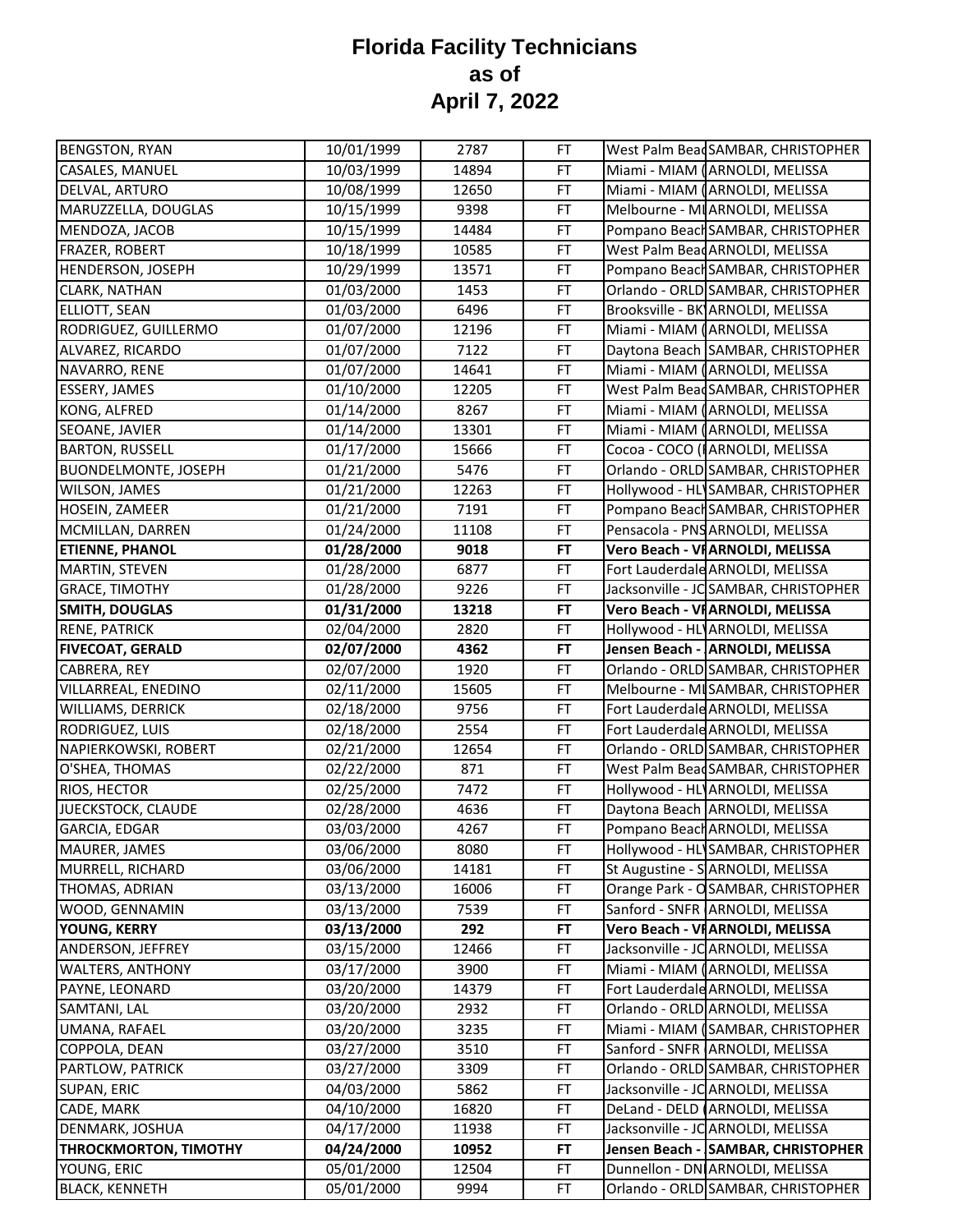| <b>BENGSTON, RYAN</b>        | 10/01/1999 | 2787  | FT        | West Palm Bead SAMBAR, CHRISTOPHER    |
|------------------------------|------------|-------|-----------|---------------------------------------|
| CASALES, MANUEL              | 10/03/1999 | 14894 | FT        | Miami - MIAM (ARNOLDI, MELISSA        |
| DELVAL, ARTURO               | 10/08/1999 | 12650 | FT        | Miami - MIAM (ARNOLDI, MELISSA        |
| MARUZZELLA, DOUGLAS          | 10/15/1999 | 9398  | FT        | Melbourne - MI ARNOLDI, MELISSA       |
| MENDOZA, JACOB               | 10/15/1999 | 14484 | FT        | Pompano Beach SAMBAR, CHRISTOPHER     |
| FRAZER, ROBERT               | 10/18/1999 | 10585 | FT        | West Palm Bead ARNOLDI, MELISSA       |
| HENDERSON, JOSEPH            | 10/29/1999 | 13571 | FT        | Pompano Beach SAMBAR, CHRISTOPHER     |
| CLARK, NATHAN                | 01/03/2000 | 1453  | FT        | Orlando - ORLD SAMBAR, CHRISTOPHER    |
| ELLIOTT, SEAN                | 01/03/2000 | 6496  | FT        | Brooksville - BK ARNOLDI, MELISSA     |
| RODRIGUEZ, GUILLERMO         | 01/07/2000 | 12196 | FT        | Miami - MIAM (ARNOLDI, MELISSA        |
| ALVAREZ, RICARDO             | 01/07/2000 | 7122  | FT        | Daytona Beach SAMBAR, CHRISTOPHER     |
| NAVARRO, RENE                | 01/07/2000 | 14641 | FT        | Miami - MIAM (ARNOLDI, MELISSA        |
| ESSERY, JAMES                | 01/10/2000 | 12205 | FT        | West Palm BeadSAMBAR, CHRISTOPHER     |
| KONG, ALFRED                 | 01/14/2000 | 8267  | FT        | Miami - MIAM (ARNOLDI, MELISSA        |
| SEOANE, JAVIER               | 01/14/2000 | 13301 | <b>FT</b> | Miami - MIAM (ARNOLDI, MELISSA        |
| <b>BARTON, RUSSELL</b>       | 01/17/2000 | 15666 | FT        | Cocoa - COCO (I ARNOLDI, MELISSA      |
| <b>BUONDELMONTE, JOSEPH</b>  | 01/21/2000 | 5476  | FT        | Orlando - ORLD SAMBAR, CHRISTOPHER    |
| WILSON, JAMES                | 01/21/2000 | 12263 | FT        | Hollywood - HL SAMBAR, CHRISTOPHER    |
| HOSEIN, ZAMEER               | 01/21/2000 | 7191  | FT        | Pompano Beach SAMBAR, CHRISTOPHER     |
| MCMILLAN, DARREN             | 01/24/2000 | 11108 | FT        | Pensacola - PNS ARNOLDI, MELISSA      |
| <b>ETIENNE, PHANOL</b>       | 01/28/2000 | 9018  | FT        | Vero Beach - VI ARNOLDI, MELISSA      |
| MARTIN, STEVEN               | 01/28/2000 | 6877  | FT        | Fort Lauderdale ARNOLDI, MELISSA      |
| <b>GRACE, TIMOTHY</b>        | 01/28/2000 | 9226  | FT        | Jacksonville - JC SAMBAR, CHRISTOPHER |
| <b>SMITH, DOUGLAS</b>        | 01/31/2000 | 13218 | FT        | Vero Beach - VI ARNOLDI, MELISSA      |
| <b>RENE, PATRICK</b>         | 02/04/2000 | 2820  | FT        | Hollywood - HL ARNOLDI, MELISSA       |
| <b>FIVECOAT, GERALD</b>      | 02/07/2000 | 4362  | FT        | Jensen Beach - ARNOLDI, MELISSA       |
| CABRERA, REY                 | 02/07/2000 | 1920  | FT        | Orlando - ORLD SAMBAR, CHRISTOPHER    |
| VILLARREAL, ENEDINO          | 02/11/2000 | 15605 | FT        | Melbourne - MI SAMBAR, CHRISTOPHER    |
| WILLIAMS, DERRICK            | 02/18/2000 | 9756  | FT        | Fort Lauderdale ARNOLDI, MELISSA      |
| RODRIGUEZ, LUIS              | 02/18/2000 | 2554  | FT        | Fort Lauderdale ARNOLDI, MELISSA      |
| NAPIERKOWSKI, ROBERT         | 02/21/2000 | 12654 | FT        | Orlando - ORLD SAMBAR, CHRISTOPHER    |
| O'SHEA, THOMAS               | 02/22/2000 | 871   | FT        | West Palm Bead SAMBAR, CHRISTOPHER    |
| RIOS, HECTOR                 | 02/25/2000 | 7472  | FT        | Hollywood - HL ARNOLDI, MELISSA       |
| JUECKSTOCK, CLAUDE           | 02/28/2000 | 4636  | FT        | Daytona Beach ARNOLDI, MELISSA        |
| GARCIA, EDGAR                | 03/03/2000 | 4267  | FT        | Pompano Beach ARNOLDI, MELISSA        |
| MAURER, JAMES                | 03/06/2000 | 8080  | FT        | Hollywood - HL SAMBAR, CHRISTOPHER    |
| MURRELL, RICHARD             | 03/06/2000 | 14181 | FT        | St Augustine - SARNOLDI, MELISSA      |
| THOMAS, ADRIAN               | 03/13/2000 | 16006 | FT        | Orange Park - OSAMBAR, CHRISTOPHER    |
| WOOD, GENNAMIN               | 03/13/2000 | 7539  | FT        | Sanford - SNFR ARNOLDI, MELISSA       |
| YOUNG, KERRY                 | 03/13/2000 | 292   | FT        | Vero Beach - VI ARNOLDI, MELISSA      |
| ANDERSON, JEFFREY            | 03/15/2000 | 12466 | FT        | Jacksonville - JC ARNOLDI, MELISSA    |
| WALTERS, ANTHONY             | 03/17/2000 | 3900  | FT        | Miami - MIAM (ARNOLDI, MELISSA        |
| PAYNE, LEONARD               | 03/20/2000 | 14379 | FT        | Fort Lauderdale ARNOLDI, MELISSA      |
| SAMTANI, LAL                 | 03/20/2000 | 2932  | FT        | Orlando - ORLD ARNOLDI, MELISSA       |
| UMANA, RAFAEL                | 03/20/2000 | 3235  | FT        | Miami - MIAM (SAMBAR, CHRISTOPHER     |
| COPPOLA, DEAN                | 03/27/2000 | 3510  | FT        | Sanford - SNFR ARNOLDI, MELISSA       |
| PARTLOW, PATRICK             | 03/27/2000 | 3309  | FT        | Orlando - ORLD SAMBAR, CHRISTOPHER    |
| SUPAN, ERIC                  | 04/03/2000 | 5862  | FT        | Jacksonville - JC ARNOLDI, MELISSA    |
| CADE, MARK                   | 04/10/2000 | 16820 | FT        | DeLand - DELD (ARNOLDI, MELISSA       |
| DENMARK, JOSHUA              | 04/17/2000 | 11938 | FT        | Jacksonville - JC ARNOLDI, MELISSA    |
| <b>THROCKMORTON, TIMOTHY</b> | 04/24/2000 | 10952 | FT        | Jensen Beach - SAMBAR, CHRISTOPHER    |
| YOUNG, ERIC                  | 05/01/2000 | 12504 | FT        | Dunnellon - DN ARNOLDI, MELISSA       |
| <b>BLACK, KENNETH</b>        | 05/01/2000 | 9994  | FT        | Orlando - ORLD SAMBAR, CHRISTOPHER    |
|                              |            |       |           |                                       |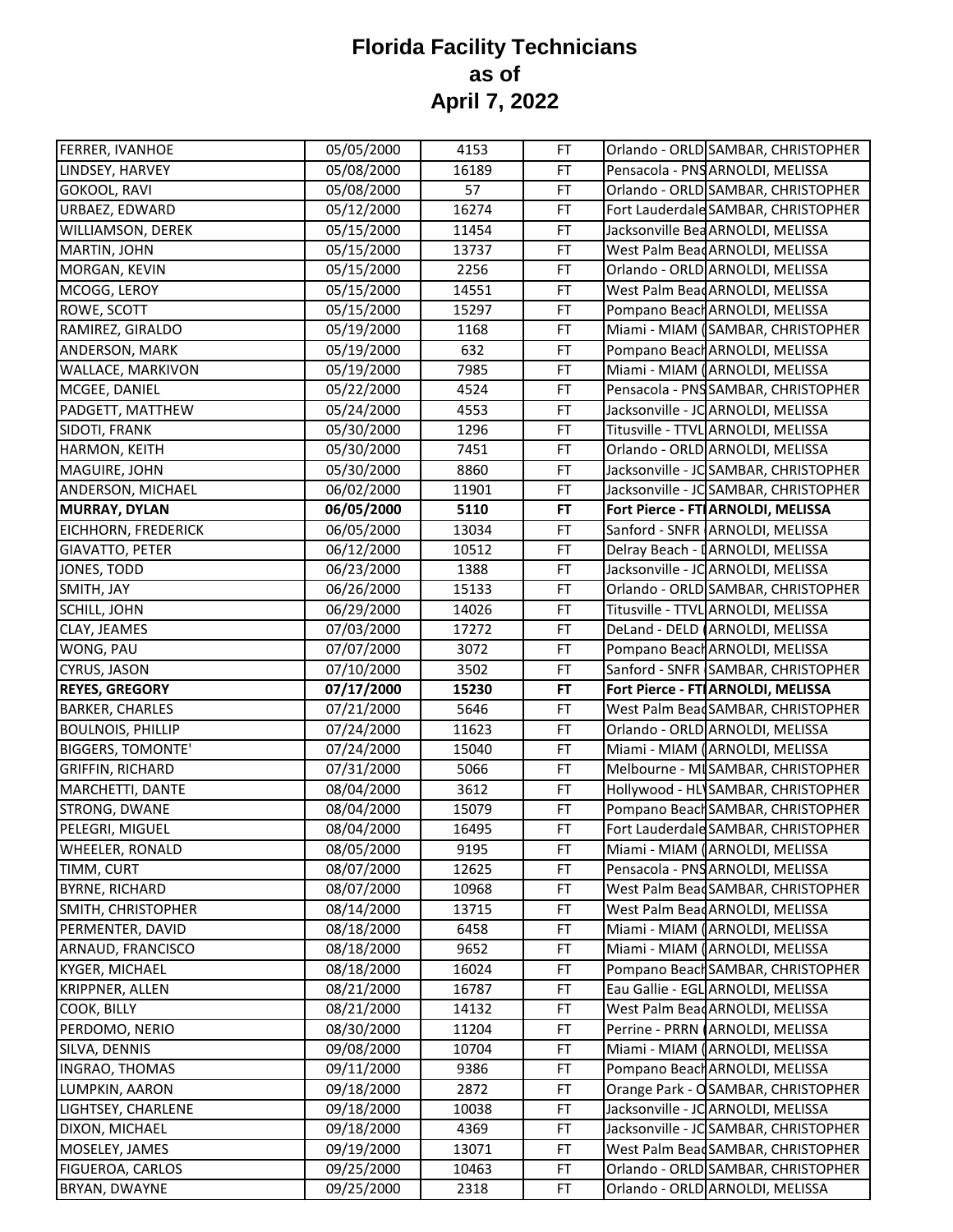| Pensacola - PNS ARNOLDI, MELISSA<br>16189<br>FT<br>05/08/2000<br>Orlando - ORLD SAMBAR, CHRISTOPHER<br>05/08/2000<br>57<br>FT<br>Fort Lauderdale SAMBAR, CHRISTOPHER<br>05/12/2000<br>16274<br>FT<br>Jacksonville Bea ARNOLDI, MELISSA<br>05/15/2000<br><b>FT</b><br>11454<br>West Palm Bead ARNOLDI, MELISSA<br>05/15/2000<br>13737<br>FT<br>MORGAN, KEVIN<br>Orlando - ORLD ARNOLDI, MELISSA<br>05/15/2000<br>2256<br>FT<br>West Palm Bead ARNOLDI, MELISSA<br>05/15/2000<br><b>FT</b><br>14551<br>05/15/2000<br>15297<br>Pompano Beach ARNOLDI, MELISSA<br>FT<br>Miami - MIAM (SAMBAR, CHRISTOPHER<br>05/19/2000<br>1168<br>FT<br>05/19/2000<br>632<br>FT<br>Pompano Beach ARNOLDI, MELISSA<br>Miami - MIAM (ARNOLDI, MELISSA<br>05/19/2000<br>7985<br>FT<br>Pensacola - PNS SAMBAR, CHRISTOPHER<br><b>FT</b><br>05/22/2000<br>4524<br>Jacksonville - JC ARNOLDI, MELISSA<br><b>FT</b><br>05/24/2000<br>4553<br><b>FT</b><br>Titusville - TTVL ARNOLDI, MELISSA<br>1296<br>05/30/2000<br>Orlando - ORLD ARNOLDI, MELISSA<br>05/30/2000<br>7451<br>FT<br>Jacksonville - JC SAMBAR, CHRISTOPHER<br>05/30/2000<br>8860<br>FT<br>Jacksonville - JC SAMBAR, CHRISTOPHER<br>FT<br>06/02/2000<br>11901<br>Fort Pierce - FT ARNOLDI, MELISSA<br>5110<br><b>FT</b><br>06/05/2000<br>EICHHORN, FREDERICK<br>Sanford - SNFR ARNOLDI, MELISSA<br>06/05/2000<br>13034<br>FT<br><b>GIAVATTO, PETER</b><br><b>FT</b><br>Delray Beach - IARNOLDI, MELISSA<br>06/12/2000<br>10512<br>JONES, TODD<br>Jacksonville - JC ARNOLDI, MELISSA<br>1388<br>FT<br>06/23/2000<br>SMITH, JAY<br>06/26/2000<br>15133<br>FT<br>Orlando - ORLD SAMBAR, CHRISTOPHER<br>SCHILL, JOHN<br>06/29/2000<br>14026<br>Titusville - TTVL ARNOLDI, MELISSA<br>FT<br>07/03/2000<br>17272<br>FT<br>DeLand - DELD (ARNOLDI, MELISSA<br>CLAY, JEAMES<br>WONG, PAU<br>07/07/2000<br>3072<br>Pompano Beach ARNOLDI, MELISSA<br>FT<br>CYRUS, JASON<br>FT<br>Sanford - SNFR SAMBAR, CHRISTOPHER<br>07/10/2000<br>3502<br><b>REYES, GREGORY</b><br>07/17/2000<br>15230<br><b>FT</b><br>Fort Pierce - FT ARNOLDI, MELISSA<br><b>BARKER, CHARLES</b><br>West Palm BeadSAMBAR, CHRISTOPHER<br>07/21/2000<br>5646<br>FT<br>11623<br><b>FT</b><br>Orlando - ORLD ARNOLDI, MELISSA<br>07/24/2000<br>Miami - MIAM (ARNOLDI, MELISSA<br>07/24/2000<br>15040<br>FT<br>Melbourne - MI SAMBAR, CHRISTOPHER<br>07/31/2000<br>FT<br>5066<br>MARCHETTI, DANTE<br>Hollywood - HL SAMBAR, CHRISTOPHER<br>08/04/2000<br>3612<br>FT<br>STRONG, DWANE<br>Pompano Beach SAMBAR, CHRISTOPHER<br>15079<br>FT<br>08/04/2000<br>PELEGRI, MIGUEL<br>08/04/2000<br>FT<br>Fort Lauderdale SAMBAR, CHRISTOPHER<br>16495<br><b>WHEELER, RONALD</b><br>08/05/2000<br>9195<br>FT<br>Miami - MIAM (ARNOLDI, MELISSA<br>TIMM, CURT<br>08/07/2000<br><b>FT</b><br>Pensacola - PNS ARNOLDI, MELISSA<br>12625<br>08/07/2000<br>10968<br>West Palm Bead SAMBAR, CHRISTOPHER<br><b>BYRNE, RICHARD</b><br>FT<br>08/14/2000<br>West Palm Bead ARNOLDI, MELISSA<br>SMITH, CHRISTOPHER<br>13715<br>FT<br>Miami - MIAM (ARNOLDI, MELISSA<br>PERMENTER, DAVID<br>08/18/2000<br>6458<br>FT<br>Miami - MIAM (ARNOLDI, MELISSA<br>ARNAUD, FRANCISCO<br>08/18/2000<br>9652<br>FT<br>KYGER, MICHAEL<br>08/18/2000<br>16024<br>FT<br>Pompano Beach SAMBAR, CHRISTOPHER<br>Eau Gallie - EGL ARNOLDI, MELISSA<br><b>KRIPPNER, ALLEN</b><br>08/21/2000<br>16787<br>FT<br>08/21/2000<br>FT<br>West Palm Bead ARNOLDI, MELISSA<br>COOK, BILLY<br>14132<br>08/30/2000<br>11204<br>Perrine - PRRN (ARNOLDI, MELISSA<br>PERDOMO, NERIO<br>FT<br>SILVA, DENNIS<br>09/08/2000<br>10704<br>FT<br>Miami - MIAM (ARNOLDI, MELISSA<br>09/11/2000<br>Pompano Beach ARNOLDI, MELISSA<br>INGRAO, THOMAS<br>9386<br>FT<br>LUMPKIN, AARON<br>Orange Park - OSAMBAR, CHRISTOPHER<br>09/18/2000<br>2872<br><b>FT</b><br>LIGHTSEY, CHARLENE<br>Jacksonville - JC ARNOLDI, MELISSA<br>09/18/2000<br>10038<br>FT<br>Jacksonville - JC SAMBAR, CHRISTOPHER<br>DIXON, MICHAEL<br>09/18/2000<br>4369<br><b>FT</b><br>09/19/2000<br>13071<br>West Palm Bead SAMBAR, CHRISTOPHER<br>MOSELEY, JAMES<br>FT<br>09/25/2000<br>10463<br>Orlando - ORLD SAMBAR, CHRISTOPHER<br><b>FIGUEROA, CARLOS</b><br>FT | FERRER, IVANHOE          | 05/05/2000 | 4153 | FT | Orlando - ORLD SAMBAR, CHRISTOPHER |
|------------------------------------------------------------------------------------------------------------------------------------------------------------------------------------------------------------------------------------------------------------------------------------------------------------------------------------------------------------------------------------------------------------------------------------------------------------------------------------------------------------------------------------------------------------------------------------------------------------------------------------------------------------------------------------------------------------------------------------------------------------------------------------------------------------------------------------------------------------------------------------------------------------------------------------------------------------------------------------------------------------------------------------------------------------------------------------------------------------------------------------------------------------------------------------------------------------------------------------------------------------------------------------------------------------------------------------------------------------------------------------------------------------------------------------------------------------------------------------------------------------------------------------------------------------------------------------------------------------------------------------------------------------------------------------------------------------------------------------------------------------------------------------------------------------------------------------------------------------------------------------------------------------------------------------------------------------------------------------------------------------------------------------------------------------------------------------------------------------------------------------------------------------------------------------------------------------------------------------------------------------------------------------------------------------------------------------------------------------------------------------------------------------------------------------------------------------------------------------------------------------------------------------------------------------------------------------------------------------------------------------------------------------------------------------------------------------------------------------------------------------------------------------------------------------------------------------------------------------------------------------------------------------------------------------------------------------------------------------------------------------------------------------------------------------------------------------------------------------------------------------------------------------------------------------------------------------------------------------------------------------------------------------------------------------------------------------------------------------------------------------------------------------------------------------------------------------------------------------------------------------------------------------------------------------------------------------------------------------------------------------------------------------------------------------------------------------------------------------------------------------------------------------------------------------------------------------------------------------------------------------------------------------------------------------------------------------------------------------------------------------------------------------------------------------------------------------------------------------------------------------------------------------------------|--------------------------|------------|------|----|------------------------------------|
|                                                                                                                                                                                                                                                                                                                                                                                                                                                                                                                                                                                                                                                                                                                                                                                                                                                                                                                                                                                                                                                                                                                                                                                                                                                                                                                                                                                                                                                                                                                                                                                                                                                                                                                                                                                                                                                                                                                                                                                                                                                                                                                                                                                                                                                                                                                                                                                                                                                                                                                                                                                                                                                                                                                                                                                                                                                                                                                                                                                                                                                                                                                                                                                                                                                                                                                                                                                                                                                                                                                                                                                                                                                                                                                                                                                                                                                                                                                                                                                                                                                                                                                                                                        | LINDSEY, HARVEY          |            |      |    |                                    |
|                                                                                                                                                                                                                                                                                                                                                                                                                                                                                                                                                                                                                                                                                                                                                                                                                                                                                                                                                                                                                                                                                                                                                                                                                                                                                                                                                                                                                                                                                                                                                                                                                                                                                                                                                                                                                                                                                                                                                                                                                                                                                                                                                                                                                                                                                                                                                                                                                                                                                                                                                                                                                                                                                                                                                                                                                                                                                                                                                                                                                                                                                                                                                                                                                                                                                                                                                                                                                                                                                                                                                                                                                                                                                                                                                                                                                                                                                                                                                                                                                                                                                                                                                                        | GOKOOL, RAVI             |            |      |    |                                    |
|                                                                                                                                                                                                                                                                                                                                                                                                                                                                                                                                                                                                                                                                                                                                                                                                                                                                                                                                                                                                                                                                                                                                                                                                                                                                                                                                                                                                                                                                                                                                                                                                                                                                                                                                                                                                                                                                                                                                                                                                                                                                                                                                                                                                                                                                                                                                                                                                                                                                                                                                                                                                                                                                                                                                                                                                                                                                                                                                                                                                                                                                                                                                                                                                                                                                                                                                                                                                                                                                                                                                                                                                                                                                                                                                                                                                                                                                                                                                                                                                                                                                                                                                                                        | URBAEZ, EDWARD           |            |      |    |                                    |
|                                                                                                                                                                                                                                                                                                                                                                                                                                                                                                                                                                                                                                                                                                                                                                                                                                                                                                                                                                                                                                                                                                                                                                                                                                                                                                                                                                                                                                                                                                                                                                                                                                                                                                                                                                                                                                                                                                                                                                                                                                                                                                                                                                                                                                                                                                                                                                                                                                                                                                                                                                                                                                                                                                                                                                                                                                                                                                                                                                                                                                                                                                                                                                                                                                                                                                                                                                                                                                                                                                                                                                                                                                                                                                                                                                                                                                                                                                                                                                                                                                                                                                                                                                        | WILLIAMSON, DEREK        |            |      |    |                                    |
|                                                                                                                                                                                                                                                                                                                                                                                                                                                                                                                                                                                                                                                                                                                                                                                                                                                                                                                                                                                                                                                                                                                                                                                                                                                                                                                                                                                                                                                                                                                                                                                                                                                                                                                                                                                                                                                                                                                                                                                                                                                                                                                                                                                                                                                                                                                                                                                                                                                                                                                                                                                                                                                                                                                                                                                                                                                                                                                                                                                                                                                                                                                                                                                                                                                                                                                                                                                                                                                                                                                                                                                                                                                                                                                                                                                                                                                                                                                                                                                                                                                                                                                                                                        | MARTIN, JOHN             |            |      |    |                                    |
|                                                                                                                                                                                                                                                                                                                                                                                                                                                                                                                                                                                                                                                                                                                                                                                                                                                                                                                                                                                                                                                                                                                                                                                                                                                                                                                                                                                                                                                                                                                                                                                                                                                                                                                                                                                                                                                                                                                                                                                                                                                                                                                                                                                                                                                                                                                                                                                                                                                                                                                                                                                                                                                                                                                                                                                                                                                                                                                                                                                                                                                                                                                                                                                                                                                                                                                                                                                                                                                                                                                                                                                                                                                                                                                                                                                                                                                                                                                                                                                                                                                                                                                                                                        |                          |            |      |    |                                    |
|                                                                                                                                                                                                                                                                                                                                                                                                                                                                                                                                                                                                                                                                                                                                                                                                                                                                                                                                                                                                                                                                                                                                                                                                                                                                                                                                                                                                                                                                                                                                                                                                                                                                                                                                                                                                                                                                                                                                                                                                                                                                                                                                                                                                                                                                                                                                                                                                                                                                                                                                                                                                                                                                                                                                                                                                                                                                                                                                                                                                                                                                                                                                                                                                                                                                                                                                                                                                                                                                                                                                                                                                                                                                                                                                                                                                                                                                                                                                                                                                                                                                                                                                                                        | MCOGG, LEROY             |            |      |    |                                    |
|                                                                                                                                                                                                                                                                                                                                                                                                                                                                                                                                                                                                                                                                                                                                                                                                                                                                                                                                                                                                                                                                                                                                                                                                                                                                                                                                                                                                                                                                                                                                                                                                                                                                                                                                                                                                                                                                                                                                                                                                                                                                                                                                                                                                                                                                                                                                                                                                                                                                                                                                                                                                                                                                                                                                                                                                                                                                                                                                                                                                                                                                                                                                                                                                                                                                                                                                                                                                                                                                                                                                                                                                                                                                                                                                                                                                                                                                                                                                                                                                                                                                                                                                                                        | ROWE, SCOTT              |            |      |    |                                    |
|                                                                                                                                                                                                                                                                                                                                                                                                                                                                                                                                                                                                                                                                                                                                                                                                                                                                                                                                                                                                                                                                                                                                                                                                                                                                                                                                                                                                                                                                                                                                                                                                                                                                                                                                                                                                                                                                                                                                                                                                                                                                                                                                                                                                                                                                                                                                                                                                                                                                                                                                                                                                                                                                                                                                                                                                                                                                                                                                                                                                                                                                                                                                                                                                                                                                                                                                                                                                                                                                                                                                                                                                                                                                                                                                                                                                                                                                                                                                                                                                                                                                                                                                                                        | RAMIREZ, GIRALDO         |            |      |    |                                    |
|                                                                                                                                                                                                                                                                                                                                                                                                                                                                                                                                                                                                                                                                                                                                                                                                                                                                                                                                                                                                                                                                                                                                                                                                                                                                                                                                                                                                                                                                                                                                                                                                                                                                                                                                                                                                                                                                                                                                                                                                                                                                                                                                                                                                                                                                                                                                                                                                                                                                                                                                                                                                                                                                                                                                                                                                                                                                                                                                                                                                                                                                                                                                                                                                                                                                                                                                                                                                                                                                                                                                                                                                                                                                                                                                                                                                                                                                                                                                                                                                                                                                                                                                                                        | ANDERSON, MARK           |            |      |    |                                    |
|                                                                                                                                                                                                                                                                                                                                                                                                                                                                                                                                                                                                                                                                                                                                                                                                                                                                                                                                                                                                                                                                                                                                                                                                                                                                                                                                                                                                                                                                                                                                                                                                                                                                                                                                                                                                                                                                                                                                                                                                                                                                                                                                                                                                                                                                                                                                                                                                                                                                                                                                                                                                                                                                                                                                                                                                                                                                                                                                                                                                                                                                                                                                                                                                                                                                                                                                                                                                                                                                                                                                                                                                                                                                                                                                                                                                                                                                                                                                                                                                                                                                                                                                                                        | WALLACE, MARKIVON        |            |      |    |                                    |
|                                                                                                                                                                                                                                                                                                                                                                                                                                                                                                                                                                                                                                                                                                                                                                                                                                                                                                                                                                                                                                                                                                                                                                                                                                                                                                                                                                                                                                                                                                                                                                                                                                                                                                                                                                                                                                                                                                                                                                                                                                                                                                                                                                                                                                                                                                                                                                                                                                                                                                                                                                                                                                                                                                                                                                                                                                                                                                                                                                                                                                                                                                                                                                                                                                                                                                                                                                                                                                                                                                                                                                                                                                                                                                                                                                                                                                                                                                                                                                                                                                                                                                                                                                        | MCGEE, DANIEL            |            |      |    |                                    |
|                                                                                                                                                                                                                                                                                                                                                                                                                                                                                                                                                                                                                                                                                                                                                                                                                                                                                                                                                                                                                                                                                                                                                                                                                                                                                                                                                                                                                                                                                                                                                                                                                                                                                                                                                                                                                                                                                                                                                                                                                                                                                                                                                                                                                                                                                                                                                                                                                                                                                                                                                                                                                                                                                                                                                                                                                                                                                                                                                                                                                                                                                                                                                                                                                                                                                                                                                                                                                                                                                                                                                                                                                                                                                                                                                                                                                                                                                                                                                                                                                                                                                                                                                                        | PADGETT, MATTHEW         |            |      |    |                                    |
|                                                                                                                                                                                                                                                                                                                                                                                                                                                                                                                                                                                                                                                                                                                                                                                                                                                                                                                                                                                                                                                                                                                                                                                                                                                                                                                                                                                                                                                                                                                                                                                                                                                                                                                                                                                                                                                                                                                                                                                                                                                                                                                                                                                                                                                                                                                                                                                                                                                                                                                                                                                                                                                                                                                                                                                                                                                                                                                                                                                                                                                                                                                                                                                                                                                                                                                                                                                                                                                                                                                                                                                                                                                                                                                                                                                                                                                                                                                                                                                                                                                                                                                                                                        | SIDOTI, FRANK            |            |      |    |                                    |
|                                                                                                                                                                                                                                                                                                                                                                                                                                                                                                                                                                                                                                                                                                                                                                                                                                                                                                                                                                                                                                                                                                                                                                                                                                                                                                                                                                                                                                                                                                                                                                                                                                                                                                                                                                                                                                                                                                                                                                                                                                                                                                                                                                                                                                                                                                                                                                                                                                                                                                                                                                                                                                                                                                                                                                                                                                                                                                                                                                                                                                                                                                                                                                                                                                                                                                                                                                                                                                                                                                                                                                                                                                                                                                                                                                                                                                                                                                                                                                                                                                                                                                                                                                        | HARMON, KEITH            |            |      |    |                                    |
|                                                                                                                                                                                                                                                                                                                                                                                                                                                                                                                                                                                                                                                                                                                                                                                                                                                                                                                                                                                                                                                                                                                                                                                                                                                                                                                                                                                                                                                                                                                                                                                                                                                                                                                                                                                                                                                                                                                                                                                                                                                                                                                                                                                                                                                                                                                                                                                                                                                                                                                                                                                                                                                                                                                                                                                                                                                                                                                                                                                                                                                                                                                                                                                                                                                                                                                                                                                                                                                                                                                                                                                                                                                                                                                                                                                                                                                                                                                                                                                                                                                                                                                                                                        | MAGUIRE, JOHN            |            |      |    |                                    |
|                                                                                                                                                                                                                                                                                                                                                                                                                                                                                                                                                                                                                                                                                                                                                                                                                                                                                                                                                                                                                                                                                                                                                                                                                                                                                                                                                                                                                                                                                                                                                                                                                                                                                                                                                                                                                                                                                                                                                                                                                                                                                                                                                                                                                                                                                                                                                                                                                                                                                                                                                                                                                                                                                                                                                                                                                                                                                                                                                                                                                                                                                                                                                                                                                                                                                                                                                                                                                                                                                                                                                                                                                                                                                                                                                                                                                                                                                                                                                                                                                                                                                                                                                                        | ANDERSON, MICHAEL        |            |      |    |                                    |
|                                                                                                                                                                                                                                                                                                                                                                                                                                                                                                                                                                                                                                                                                                                                                                                                                                                                                                                                                                                                                                                                                                                                                                                                                                                                                                                                                                                                                                                                                                                                                                                                                                                                                                                                                                                                                                                                                                                                                                                                                                                                                                                                                                                                                                                                                                                                                                                                                                                                                                                                                                                                                                                                                                                                                                                                                                                                                                                                                                                                                                                                                                                                                                                                                                                                                                                                                                                                                                                                                                                                                                                                                                                                                                                                                                                                                                                                                                                                                                                                                                                                                                                                                                        | <b>MURRAY, DYLAN</b>     |            |      |    |                                    |
|                                                                                                                                                                                                                                                                                                                                                                                                                                                                                                                                                                                                                                                                                                                                                                                                                                                                                                                                                                                                                                                                                                                                                                                                                                                                                                                                                                                                                                                                                                                                                                                                                                                                                                                                                                                                                                                                                                                                                                                                                                                                                                                                                                                                                                                                                                                                                                                                                                                                                                                                                                                                                                                                                                                                                                                                                                                                                                                                                                                                                                                                                                                                                                                                                                                                                                                                                                                                                                                                                                                                                                                                                                                                                                                                                                                                                                                                                                                                                                                                                                                                                                                                                                        |                          |            |      |    |                                    |
|                                                                                                                                                                                                                                                                                                                                                                                                                                                                                                                                                                                                                                                                                                                                                                                                                                                                                                                                                                                                                                                                                                                                                                                                                                                                                                                                                                                                                                                                                                                                                                                                                                                                                                                                                                                                                                                                                                                                                                                                                                                                                                                                                                                                                                                                                                                                                                                                                                                                                                                                                                                                                                                                                                                                                                                                                                                                                                                                                                                                                                                                                                                                                                                                                                                                                                                                                                                                                                                                                                                                                                                                                                                                                                                                                                                                                                                                                                                                                                                                                                                                                                                                                                        |                          |            |      |    |                                    |
|                                                                                                                                                                                                                                                                                                                                                                                                                                                                                                                                                                                                                                                                                                                                                                                                                                                                                                                                                                                                                                                                                                                                                                                                                                                                                                                                                                                                                                                                                                                                                                                                                                                                                                                                                                                                                                                                                                                                                                                                                                                                                                                                                                                                                                                                                                                                                                                                                                                                                                                                                                                                                                                                                                                                                                                                                                                                                                                                                                                                                                                                                                                                                                                                                                                                                                                                                                                                                                                                                                                                                                                                                                                                                                                                                                                                                                                                                                                                                                                                                                                                                                                                                                        |                          |            |      |    |                                    |
|                                                                                                                                                                                                                                                                                                                                                                                                                                                                                                                                                                                                                                                                                                                                                                                                                                                                                                                                                                                                                                                                                                                                                                                                                                                                                                                                                                                                                                                                                                                                                                                                                                                                                                                                                                                                                                                                                                                                                                                                                                                                                                                                                                                                                                                                                                                                                                                                                                                                                                                                                                                                                                                                                                                                                                                                                                                                                                                                                                                                                                                                                                                                                                                                                                                                                                                                                                                                                                                                                                                                                                                                                                                                                                                                                                                                                                                                                                                                                                                                                                                                                                                                                                        |                          |            |      |    |                                    |
|                                                                                                                                                                                                                                                                                                                                                                                                                                                                                                                                                                                                                                                                                                                                                                                                                                                                                                                                                                                                                                                                                                                                                                                                                                                                                                                                                                                                                                                                                                                                                                                                                                                                                                                                                                                                                                                                                                                                                                                                                                                                                                                                                                                                                                                                                                                                                                                                                                                                                                                                                                                                                                                                                                                                                                                                                                                                                                                                                                                                                                                                                                                                                                                                                                                                                                                                                                                                                                                                                                                                                                                                                                                                                                                                                                                                                                                                                                                                                                                                                                                                                                                                                                        |                          |            |      |    |                                    |
|                                                                                                                                                                                                                                                                                                                                                                                                                                                                                                                                                                                                                                                                                                                                                                                                                                                                                                                                                                                                                                                                                                                                                                                                                                                                                                                                                                                                                                                                                                                                                                                                                                                                                                                                                                                                                                                                                                                                                                                                                                                                                                                                                                                                                                                                                                                                                                                                                                                                                                                                                                                                                                                                                                                                                                                                                                                                                                                                                                                                                                                                                                                                                                                                                                                                                                                                                                                                                                                                                                                                                                                                                                                                                                                                                                                                                                                                                                                                                                                                                                                                                                                                                                        |                          |            |      |    |                                    |
|                                                                                                                                                                                                                                                                                                                                                                                                                                                                                                                                                                                                                                                                                                                                                                                                                                                                                                                                                                                                                                                                                                                                                                                                                                                                                                                                                                                                                                                                                                                                                                                                                                                                                                                                                                                                                                                                                                                                                                                                                                                                                                                                                                                                                                                                                                                                                                                                                                                                                                                                                                                                                                                                                                                                                                                                                                                                                                                                                                                                                                                                                                                                                                                                                                                                                                                                                                                                                                                                                                                                                                                                                                                                                                                                                                                                                                                                                                                                                                                                                                                                                                                                                                        |                          |            |      |    |                                    |
|                                                                                                                                                                                                                                                                                                                                                                                                                                                                                                                                                                                                                                                                                                                                                                                                                                                                                                                                                                                                                                                                                                                                                                                                                                                                                                                                                                                                                                                                                                                                                                                                                                                                                                                                                                                                                                                                                                                                                                                                                                                                                                                                                                                                                                                                                                                                                                                                                                                                                                                                                                                                                                                                                                                                                                                                                                                                                                                                                                                                                                                                                                                                                                                                                                                                                                                                                                                                                                                                                                                                                                                                                                                                                                                                                                                                                                                                                                                                                                                                                                                                                                                                                                        |                          |            |      |    |                                    |
|                                                                                                                                                                                                                                                                                                                                                                                                                                                                                                                                                                                                                                                                                                                                                                                                                                                                                                                                                                                                                                                                                                                                                                                                                                                                                                                                                                                                                                                                                                                                                                                                                                                                                                                                                                                                                                                                                                                                                                                                                                                                                                                                                                                                                                                                                                                                                                                                                                                                                                                                                                                                                                                                                                                                                                                                                                                                                                                                                                                                                                                                                                                                                                                                                                                                                                                                                                                                                                                                                                                                                                                                                                                                                                                                                                                                                                                                                                                                                                                                                                                                                                                                                                        |                          |            |      |    |                                    |
|                                                                                                                                                                                                                                                                                                                                                                                                                                                                                                                                                                                                                                                                                                                                                                                                                                                                                                                                                                                                                                                                                                                                                                                                                                                                                                                                                                                                                                                                                                                                                                                                                                                                                                                                                                                                                                                                                                                                                                                                                                                                                                                                                                                                                                                                                                                                                                                                                                                                                                                                                                                                                                                                                                                                                                                                                                                                                                                                                                                                                                                                                                                                                                                                                                                                                                                                                                                                                                                                                                                                                                                                                                                                                                                                                                                                                                                                                                                                                                                                                                                                                                                                                                        |                          |            |      |    |                                    |
|                                                                                                                                                                                                                                                                                                                                                                                                                                                                                                                                                                                                                                                                                                                                                                                                                                                                                                                                                                                                                                                                                                                                                                                                                                                                                                                                                                                                                                                                                                                                                                                                                                                                                                                                                                                                                                                                                                                                                                                                                                                                                                                                                                                                                                                                                                                                                                                                                                                                                                                                                                                                                                                                                                                                                                                                                                                                                                                                                                                                                                                                                                                                                                                                                                                                                                                                                                                                                                                                                                                                                                                                                                                                                                                                                                                                                                                                                                                                                                                                                                                                                                                                                                        | <b>BOULNOIS, PHILLIP</b> |            |      |    |                                    |
|                                                                                                                                                                                                                                                                                                                                                                                                                                                                                                                                                                                                                                                                                                                                                                                                                                                                                                                                                                                                                                                                                                                                                                                                                                                                                                                                                                                                                                                                                                                                                                                                                                                                                                                                                                                                                                                                                                                                                                                                                                                                                                                                                                                                                                                                                                                                                                                                                                                                                                                                                                                                                                                                                                                                                                                                                                                                                                                                                                                                                                                                                                                                                                                                                                                                                                                                                                                                                                                                                                                                                                                                                                                                                                                                                                                                                                                                                                                                                                                                                                                                                                                                                                        | <b>BIGGERS, TOMONTE'</b> |            |      |    |                                    |
|                                                                                                                                                                                                                                                                                                                                                                                                                                                                                                                                                                                                                                                                                                                                                                                                                                                                                                                                                                                                                                                                                                                                                                                                                                                                                                                                                                                                                                                                                                                                                                                                                                                                                                                                                                                                                                                                                                                                                                                                                                                                                                                                                                                                                                                                                                                                                                                                                                                                                                                                                                                                                                                                                                                                                                                                                                                                                                                                                                                                                                                                                                                                                                                                                                                                                                                                                                                                                                                                                                                                                                                                                                                                                                                                                                                                                                                                                                                                                                                                                                                                                                                                                                        | <b>GRIFFIN, RICHARD</b>  |            |      |    |                                    |
|                                                                                                                                                                                                                                                                                                                                                                                                                                                                                                                                                                                                                                                                                                                                                                                                                                                                                                                                                                                                                                                                                                                                                                                                                                                                                                                                                                                                                                                                                                                                                                                                                                                                                                                                                                                                                                                                                                                                                                                                                                                                                                                                                                                                                                                                                                                                                                                                                                                                                                                                                                                                                                                                                                                                                                                                                                                                                                                                                                                                                                                                                                                                                                                                                                                                                                                                                                                                                                                                                                                                                                                                                                                                                                                                                                                                                                                                                                                                                                                                                                                                                                                                                                        |                          |            |      |    |                                    |
|                                                                                                                                                                                                                                                                                                                                                                                                                                                                                                                                                                                                                                                                                                                                                                                                                                                                                                                                                                                                                                                                                                                                                                                                                                                                                                                                                                                                                                                                                                                                                                                                                                                                                                                                                                                                                                                                                                                                                                                                                                                                                                                                                                                                                                                                                                                                                                                                                                                                                                                                                                                                                                                                                                                                                                                                                                                                                                                                                                                                                                                                                                                                                                                                                                                                                                                                                                                                                                                                                                                                                                                                                                                                                                                                                                                                                                                                                                                                                                                                                                                                                                                                                                        |                          |            |      |    |                                    |
|                                                                                                                                                                                                                                                                                                                                                                                                                                                                                                                                                                                                                                                                                                                                                                                                                                                                                                                                                                                                                                                                                                                                                                                                                                                                                                                                                                                                                                                                                                                                                                                                                                                                                                                                                                                                                                                                                                                                                                                                                                                                                                                                                                                                                                                                                                                                                                                                                                                                                                                                                                                                                                                                                                                                                                                                                                                                                                                                                                                                                                                                                                                                                                                                                                                                                                                                                                                                                                                                                                                                                                                                                                                                                                                                                                                                                                                                                                                                                                                                                                                                                                                                                                        |                          |            |      |    |                                    |
|                                                                                                                                                                                                                                                                                                                                                                                                                                                                                                                                                                                                                                                                                                                                                                                                                                                                                                                                                                                                                                                                                                                                                                                                                                                                                                                                                                                                                                                                                                                                                                                                                                                                                                                                                                                                                                                                                                                                                                                                                                                                                                                                                                                                                                                                                                                                                                                                                                                                                                                                                                                                                                                                                                                                                                                                                                                                                                                                                                                                                                                                                                                                                                                                                                                                                                                                                                                                                                                                                                                                                                                                                                                                                                                                                                                                                                                                                                                                                                                                                                                                                                                                                                        |                          |            |      |    |                                    |
|                                                                                                                                                                                                                                                                                                                                                                                                                                                                                                                                                                                                                                                                                                                                                                                                                                                                                                                                                                                                                                                                                                                                                                                                                                                                                                                                                                                                                                                                                                                                                                                                                                                                                                                                                                                                                                                                                                                                                                                                                                                                                                                                                                                                                                                                                                                                                                                                                                                                                                                                                                                                                                                                                                                                                                                                                                                                                                                                                                                                                                                                                                                                                                                                                                                                                                                                                                                                                                                                                                                                                                                                                                                                                                                                                                                                                                                                                                                                                                                                                                                                                                                                                                        |                          |            |      |    |                                    |
|                                                                                                                                                                                                                                                                                                                                                                                                                                                                                                                                                                                                                                                                                                                                                                                                                                                                                                                                                                                                                                                                                                                                                                                                                                                                                                                                                                                                                                                                                                                                                                                                                                                                                                                                                                                                                                                                                                                                                                                                                                                                                                                                                                                                                                                                                                                                                                                                                                                                                                                                                                                                                                                                                                                                                                                                                                                                                                                                                                                                                                                                                                                                                                                                                                                                                                                                                                                                                                                                                                                                                                                                                                                                                                                                                                                                                                                                                                                                                                                                                                                                                                                                                                        |                          |            |      |    |                                    |
|                                                                                                                                                                                                                                                                                                                                                                                                                                                                                                                                                                                                                                                                                                                                                                                                                                                                                                                                                                                                                                                                                                                                                                                                                                                                                                                                                                                                                                                                                                                                                                                                                                                                                                                                                                                                                                                                                                                                                                                                                                                                                                                                                                                                                                                                                                                                                                                                                                                                                                                                                                                                                                                                                                                                                                                                                                                                                                                                                                                                                                                                                                                                                                                                                                                                                                                                                                                                                                                                                                                                                                                                                                                                                                                                                                                                                                                                                                                                                                                                                                                                                                                                                                        |                          |            |      |    |                                    |
|                                                                                                                                                                                                                                                                                                                                                                                                                                                                                                                                                                                                                                                                                                                                                                                                                                                                                                                                                                                                                                                                                                                                                                                                                                                                                                                                                                                                                                                                                                                                                                                                                                                                                                                                                                                                                                                                                                                                                                                                                                                                                                                                                                                                                                                                                                                                                                                                                                                                                                                                                                                                                                                                                                                                                                                                                                                                                                                                                                                                                                                                                                                                                                                                                                                                                                                                                                                                                                                                                                                                                                                                                                                                                                                                                                                                                                                                                                                                                                                                                                                                                                                                                                        |                          |            |      |    |                                    |
|                                                                                                                                                                                                                                                                                                                                                                                                                                                                                                                                                                                                                                                                                                                                                                                                                                                                                                                                                                                                                                                                                                                                                                                                                                                                                                                                                                                                                                                                                                                                                                                                                                                                                                                                                                                                                                                                                                                                                                                                                                                                                                                                                                                                                                                                                                                                                                                                                                                                                                                                                                                                                                                                                                                                                                                                                                                                                                                                                                                                                                                                                                                                                                                                                                                                                                                                                                                                                                                                                                                                                                                                                                                                                                                                                                                                                                                                                                                                                                                                                                                                                                                                                                        |                          |            |      |    |                                    |
|                                                                                                                                                                                                                                                                                                                                                                                                                                                                                                                                                                                                                                                                                                                                                                                                                                                                                                                                                                                                                                                                                                                                                                                                                                                                                                                                                                                                                                                                                                                                                                                                                                                                                                                                                                                                                                                                                                                                                                                                                                                                                                                                                                                                                                                                                                                                                                                                                                                                                                                                                                                                                                                                                                                                                                                                                                                                                                                                                                                                                                                                                                                                                                                                                                                                                                                                                                                                                                                                                                                                                                                                                                                                                                                                                                                                                                                                                                                                                                                                                                                                                                                                                                        |                          |            |      |    |                                    |
|                                                                                                                                                                                                                                                                                                                                                                                                                                                                                                                                                                                                                                                                                                                                                                                                                                                                                                                                                                                                                                                                                                                                                                                                                                                                                                                                                                                                                                                                                                                                                                                                                                                                                                                                                                                                                                                                                                                                                                                                                                                                                                                                                                                                                                                                                                                                                                                                                                                                                                                                                                                                                                                                                                                                                                                                                                                                                                                                                                                                                                                                                                                                                                                                                                                                                                                                                                                                                                                                                                                                                                                                                                                                                                                                                                                                                                                                                                                                                                                                                                                                                                                                                                        |                          |            |      |    |                                    |
|                                                                                                                                                                                                                                                                                                                                                                                                                                                                                                                                                                                                                                                                                                                                                                                                                                                                                                                                                                                                                                                                                                                                                                                                                                                                                                                                                                                                                                                                                                                                                                                                                                                                                                                                                                                                                                                                                                                                                                                                                                                                                                                                                                                                                                                                                                                                                                                                                                                                                                                                                                                                                                                                                                                                                                                                                                                                                                                                                                                                                                                                                                                                                                                                                                                                                                                                                                                                                                                                                                                                                                                                                                                                                                                                                                                                                                                                                                                                                                                                                                                                                                                                                                        |                          |            |      |    |                                    |
|                                                                                                                                                                                                                                                                                                                                                                                                                                                                                                                                                                                                                                                                                                                                                                                                                                                                                                                                                                                                                                                                                                                                                                                                                                                                                                                                                                                                                                                                                                                                                                                                                                                                                                                                                                                                                                                                                                                                                                                                                                                                                                                                                                                                                                                                                                                                                                                                                                                                                                                                                                                                                                                                                                                                                                                                                                                                                                                                                                                                                                                                                                                                                                                                                                                                                                                                                                                                                                                                                                                                                                                                                                                                                                                                                                                                                                                                                                                                                                                                                                                                                                                                                                        |                          |            |      |    |                                    |
|                                                                                                                                                                                                                                                                                                                                                                                                                                                                                                                                                                                                                                                                                                                                                                                                                                                                                                                                                                                                                                                                                                                                                                                                                                                                                                                                                                                                                                                                                                                                                                                                                                                                                                                                                                                                                                                                                                                                                                                                                                                                                                                                                                                                                                                                                                                                                                                                                                                                                                                                                                                                                                                                                                                                                                                                                                                                                                                                                                                                                                                                                                                                                                                                                                                                                                                                                                                                                                                                                                                                                                                                                                                                                                                                                                                                                                                                                                                                                                                                                                                                                                                                                                        |                          |            |      |    |                                    |
|                                                                                                                                                                                                                                                                                                                                                                                                                                                                                                                                                                                                                                                                                                                                                                                                                                                                                                                                                                                                                                                                                                                                                                                                                                                                                                                                                                                                                                                                                                                                                                                                                                                                                                                                                                                                                                                                                                                                                                                                                                                                                                                                                                                                                                                                                                                                                                                                                                                                                                                                                                                                                                                                                                                                                                                                                                                                                                                                                                                                                                                                                                                                                                                                                                                                                                                                                                                                                                                                                                                                                                                                                                                                                                                                                                                                                                                                                                                                                                                                                                                                                                                                                                        |                          |            |      |    |                                    |
|                                                                                                                                                                                                                                                                                                                                                                                                                                                                                                                                                                                                                                                                                                                                                                                                                                                                                                                                                                                                                                                                                                                                                                                                                                                                                                                                                                                                                                                                                                                                                                                                                                                                                                                                                                                                                                                                                                                                                                                                                                                                                                                                                                                                                                                                                                                                                                                                                                                                                                                                                                                                                                                                                                                                                                                                                                                                                                                                                                                                                                                                                                                                                                                                                                                                                                                                                                                                                                                                                                                                                                                                                                                                                                                                                                                                                                                                                                                                                                                                                                                                                                                                                                        |                          |            |      |    |                                    |
|                                                                                                                                                                                                                                                                                                                                                                                                                                                                                                                                                                                                                                                                                                                                                                                                                                                                                                                                                                                                                                                                                                                                                                                                                                                                                                                                                                                                                                                                                                                                                                                                                                                                                                                                                                                                                                                                                                                                                                                                                                                                                                                                                                                                                                                                                                                                                                                                                                                                                                                                                                                                                                                                                                                                                                                                                                                                                                                                                                                                                                                                                                                                                                                                                                                                                                                                                                                                                                                                                                                                                                                                                                                                                                                                                                                                                                                                                                                                                                                                                                                                                                                                                                        |                          |            |      |    |                                    |
|                                                                                                                                                                                                                                                                                                                                                                                                                                                                                                                                                                                                                                                                                                                                                                                                                                                                                                                                                                                                                                                                                                                                                                                                                                                                                                                                                                                                                                                                                                                                                                                                                                                                                                                                                                                                                                                                                                                                                                                                                                                                                                                                                                                                                                                                                                                                                                                                                                                                                                                                                                                                                                                                                                                                                                                                                                                                                                                                                                                                                                                                                                                                                                                                                                                                                                                                                                                                                                                                                                                                                                                                                                                                                                                                                                                                                                                                                                                                                                                                                                                                                                                                                                        |                          |            |      |    |                                    |
|                                                                                                                                                                                                                                                                                                                                                                                                                                                                                                                                                                                                                                                                                                                                                                                                                                                                                                                                                                                                                                                                                                                                                                                                                                                                                                                                                                                                                                                                                                                                                                                                                                                                                                                                                                                                                                                                                                                                                                                                                                                                                                                                                                                                                                                                                                                                                                                                                                                                                                                                                                                                                                                                                                                                                                                                                                                                                                                                                                                                                                                                                                                                                                                                                                                                                                                                                                                                                                                                                                                                                                                                                                                                                                                                                                                                                                                                                                                                                                                                                                                                                                                                                                        |                          |            |      |    |                                    |
|                                                                                                                                                                                                                                                                                                                                                                                                                                                                                                                                                                                                                                                                                                                                                                                                                                                                                                                                                                                                                                                                                                                                                                                                                                                                                                                                                                                                                                                                                                                                                                                                                                                                                                                                                                                                                                                                                                                                                                                                                                                                                                                                                                                                                                                                                                                                                                                                                                                                                                                                                                                                                                                                                                                                                                                                                                                                                                                                                                                                                                                                                                                                                                                                                                                                                                                                                                                                                                                                                                                                                                                                                                                                                                                                                                                                                                                                                                                                                                                                                                                                                                                                                                        |                          |            |      |    |                                    |
| 09/25/2000<br>Orlando - ORLD ARNOLDI, MELISSA<br>2318<br>FT                                                                                                                                                                                                                                                                                                                                                                                                                                                                                                                                                                                                                                                                                                                                                                                                                                                                                                                                                                                                                                                                                                                                                                                                                                                                                                                                                                                                                                                                                                                                                                                                                                                                                                                                                                                                                                                                                                                                                                                                                                                                                                                                                                                                                                                                                                                                                                                                                                                                                                                                                                                                                                                                                                                                                                                                                                                                                                                                                                                                                                                                                                                                                                                                                                                                                                                                                                                                                                                                                                                                                                                                                                                                                                                                                                                                                                                                                                                                                                                                                                                                                                            | BRYAN, DWAYNE            |            |      |    |                                    |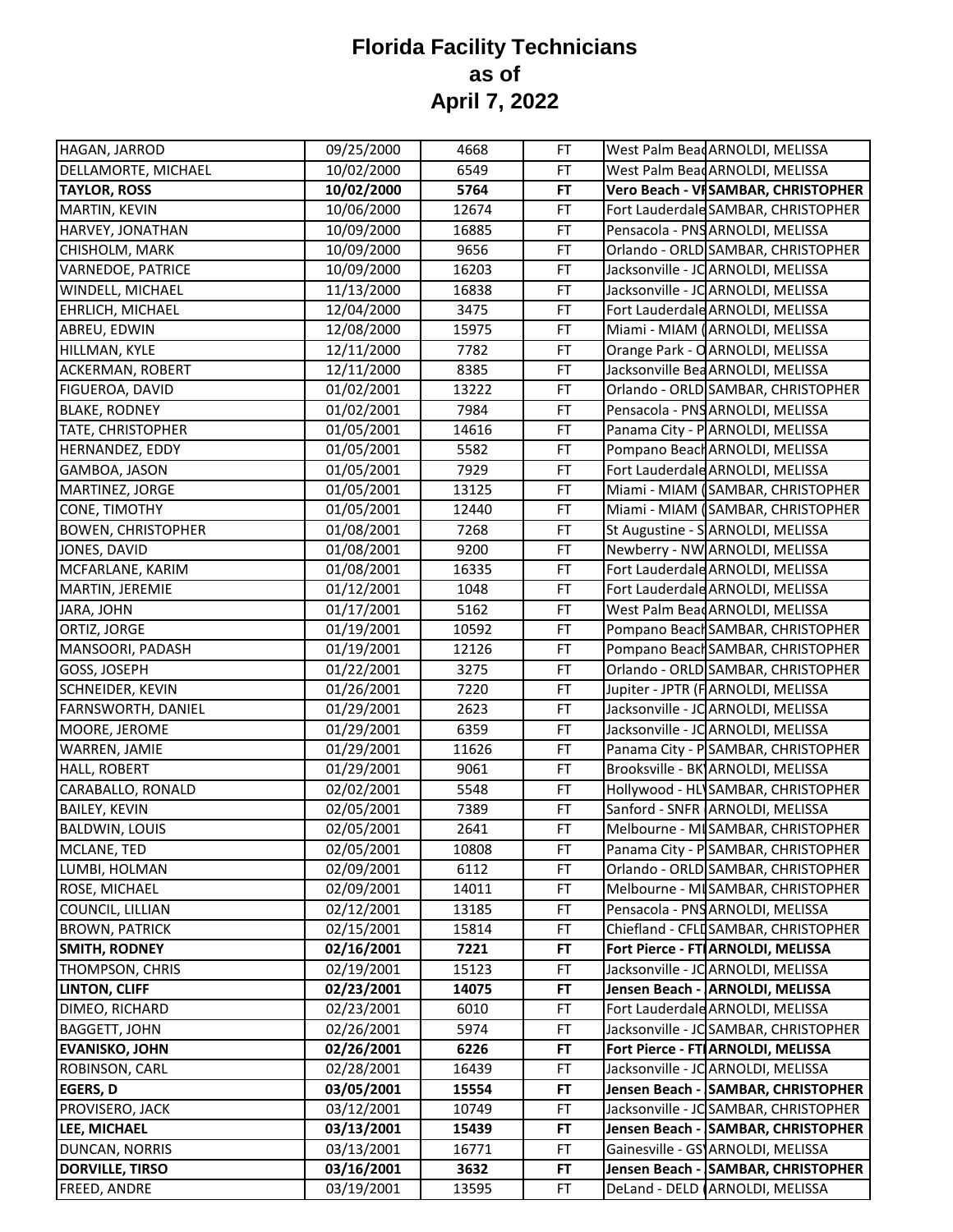| HAGAN, JARROD             | 09/25/2000 | 4668  | FT        | West Palm Bead ARNOLDI, MELISSA       |
|---------------------------|------------|-------|-----------|---------------------------------------|
| DELLAMORTE, MICHAEL       | 10/02/2000 | 6549  | FT        | West Palm Bead ARNOLDI, MELISSA       |
| <b>TAYLOR, ROSS</b>       | 10/02/2000 | 5764  | FT        | Vero Beach - VI SAMBAR, CHRISTOPHER   |
| MARTIN, KEVIN             | 10/06/2000 | 12674 | FT        | Fort Lauderdale SAMBAR, CHRISTOPHER   |
| HARVEY, JONATHAN          | 10/09/2000 | 16885 | FT        | Pensacola - PNS ARNOLDI, MELISSA      |
| CHISHOLM, MARK            | 10/09/2000 | 9656  | FT        | Orlando - ORLD SAMBAR, CHRISTOPHER    |
| VARNEDOE, PATRICE         | 10/09/2000 | 16203 | FT        | Jacksonville - JC ARNOLDI, MELISSA    |
| WINDELL, MICHAEL          | 11/13/2000 | 16838 | FT        | Jacksonville - JC ARNOLDI, MELISSA    |
| EHRLICH, MICHAEL          | 12/04/2000 | 3475  | FT        | Fort Lauderdale ARNOLDI, MELISSA      |
| ABREU, EDWIN              | 12/08/2000 | 15975 | FT        | Miami - MIAM (ARNOLDI, MELISSA        |
| HILLMAN, KYLE             | 12/11/2000 | 7782  | FT        | Orange Park - O ARNOLDI, MELISSA      |
| ACKERMAN, ROBERT          | 12/11/2000 | 8385  | FT        | Jacksonville Bea ARNOLDI, MELISSA     |
| FIGUEROA, DAVID           | 01/02/2001 | 13222 | FT        | Orlando - ORLD SAMBAR, CHRISTOPHER    |
| <b>BLAKE, RODNEY</b>      | 01/02/2001 | 7984  | FT        | Pensacola - PNS ARNOLDI, MELISSA      |
| <b>TATE, CHRISTOPHER</b>  | 01/05/2001 | 14616 | FT        | Panama City - PARNOLDI, MELISSA       |
| HERNANDEZ, EDDY           | 01/05/2001 | 5582  | FT        | Pompano Beach ARNOLDI, MELISSA        |
| GAMBOA, JASON             | 01/05/2001 | 7929  | FT        | Fort Lauderdale ARNOLDI, MELISSA      |
| MARTINEZ, JORGE           | 01/05/2001 | 13125 | FT        | Miami - MIAM (SAMBAR, CHRISTOPHER     |
| CONE, TIMOTHY             | 01/05/2001 | 12440 | FT        | Miami - MIAM (SAMBAR, CHRISTOPHER     |
| <b>BOWEN, CHRISTOPHER</b> | 01/08/2001 | 7268  | FT        | St Augustine - SARNOLDI, MELISSA      |
| JONES, DAVID              | 01/08/2001 | 9200  | FT        | Newberry - NW ARNOLDI, MELISSA        |
| MCFARLANE, KARIM          | 01/08/2001 | 16335 | FT        | Fort Lauderdale ARNOLDI, MELISSA      |
| MARTIN, JEREMIE           | 01/12/2001 | 1048  | FT        | Fort Lauderdale ARNOLDI, MELISSA      |
| JARA, JOHN                | 01/17/2001 | 5162  | FT        | West Palm BeadARNOLDI, MELISSA        |
| ORTIZ, JORGE              | 01/19/2001 | 10592 | FT        | Pompano Beach SAMBAR, CHRISTOPHER     |
| MANSOORI, PADASH          | 01/19/2001 | 12126 | FT        | Pompano Beach SAMBAR, CHRISTOPHER     |
| GOSS, JOSEPH              | 01/22/2001 | 3275  | FT        | Orlando - ORLD SAMBAR, CHRISTOPHER    |
| SCHNEIDER, KEVIN          | 01/26/2001 | 7220  | FT        | Jupiter - JPTR (FARNOLDI, MELISSA     |
| FARNSWORTH, DANIEL        | 01/29/2001 | 2623  | FT        | Jacksonville - JC ARNOLDI, MELISSA    |
| MOORE, JEROME             | 01/29/2001 | 6359  | <b>FT</b> | Jacksonville - JC ARNOLDI, MELISSA    |
| WARREN, JAMIE             | 01/29/2001 | 11626 | FT        | Panama City - PSAMBAR, CHRISTOPHER    |
| HALL, ROBERT              | 01/29/2001 | 9061  | FT        | Brooksville - BK ARNOLDI, MELISSA     |
| CARABALLO, RONALD         | 02/02/2001 | 5548  | FT        | Hollywood - HL SAMBAR, CHRISTOPHER    |
| <b>BAILEY, KEVIN</b>      | 02/05/2001 | 7389  | FT        | Sanford - SNFR ARNOLDI, MELISSA       |
| <b>BALDWIN, LOUIS</b>     | 02/05/2001 | 2641  | FT        | Melbourne - MISAMBAR, CHRISTOPHER     |
| MCLANE, TED               | 02/05/2001 | 10808 | FT        | Panama City - PSAMBAR, CHRISTOPHER    |
| LUMBI, HOLMAN             | 02/09/2001 | 6112  | <b>FT</b> | Orlando - ORLD SAMBAR, CHRISTOPHER    |
| ROSE, MICHAEL             | 02/09/2001 | 14011 | FT        | Melbourne - MISAMBAR, CHRISTOPHER     |
| COUNCIL, LILLIAN          | 02/12/2001 | 13185 | FT        | Pensacola - PNS ARNOLDI, MELISSA      |
| <b>BROWN, PATRICK</b>     | 02/15/2001 | 15814 | FT        | Chiefland - CFLD SAMBAR, CHRISTOPHER  |
| <b>SMITH, RODNEY</b>      | 02/16/2001 | 7221  | FT        | Fort Pierce - FT ARNOLDI, MELISSA     |
| THOMPSON, CHRIS           | 02/19/2001 | 15123 | FT        | Jacksonville - JC ARNOLDI, MELISSA    |
| <b>LINTON, CLIFF</b>      | 02/23/2001 | 14075 | FT        | Jensen Beach - ARNOLDI, MELISSA       |
| DIMEO, RICHARD            | 02/23/2001 | 6010  | FT        | Fort Lauderdale ARNOLDI, MELISSA      |
| <b>BAGGETT, JOHN</b>      | 02/26/2001 | 5974  | FT        | Jacksonville - JC SAMBAR, CHRISTOPHER |
| <b>EVANISKO, JOHN</b>     | 02/26/2001 | 6226  | FT        | Fort Pierce - FT ARNOLDI, MELISSA     |
| ROBINSON, CARL            | 02/28/2001 | 16439 | FT        | Jacksonville - JC ARNOLDI, MELISSA    |
| <b>EGERS, D</b>           | 03/05/2001 | 15554 | FT        | Jensen Beach - SAMBAR, CHRISTOPHER    |
| PROVISERO, JACK           | 03/12/2001 | 10749 | FT        | Jacksonville - JC SAMBAR, CHRISTOPHER |
| LEE, MICHAEL              | 03/13/2001 | 15439 | FT        | Jensen Beach - SAMBAR, CHRISTOPHER    |
| DUNCAN, NORRIS            | 03/13/2001 | 16771 | FT        | Gainesville - GS ARNOLDI, MELISSA     |
| <b>DORVILLE, TIRSO</b>    | 03/16/2001 | 3632  | FT        | Jensen Beach - SAMBAR, CHRISTOPHER    |
| FREED, ANDRE              | 03/19/2001 | 13595 | FT        | DeLand - DELD (ARNOLDI, MELISSA       |
|                           |            |       |           |                                       |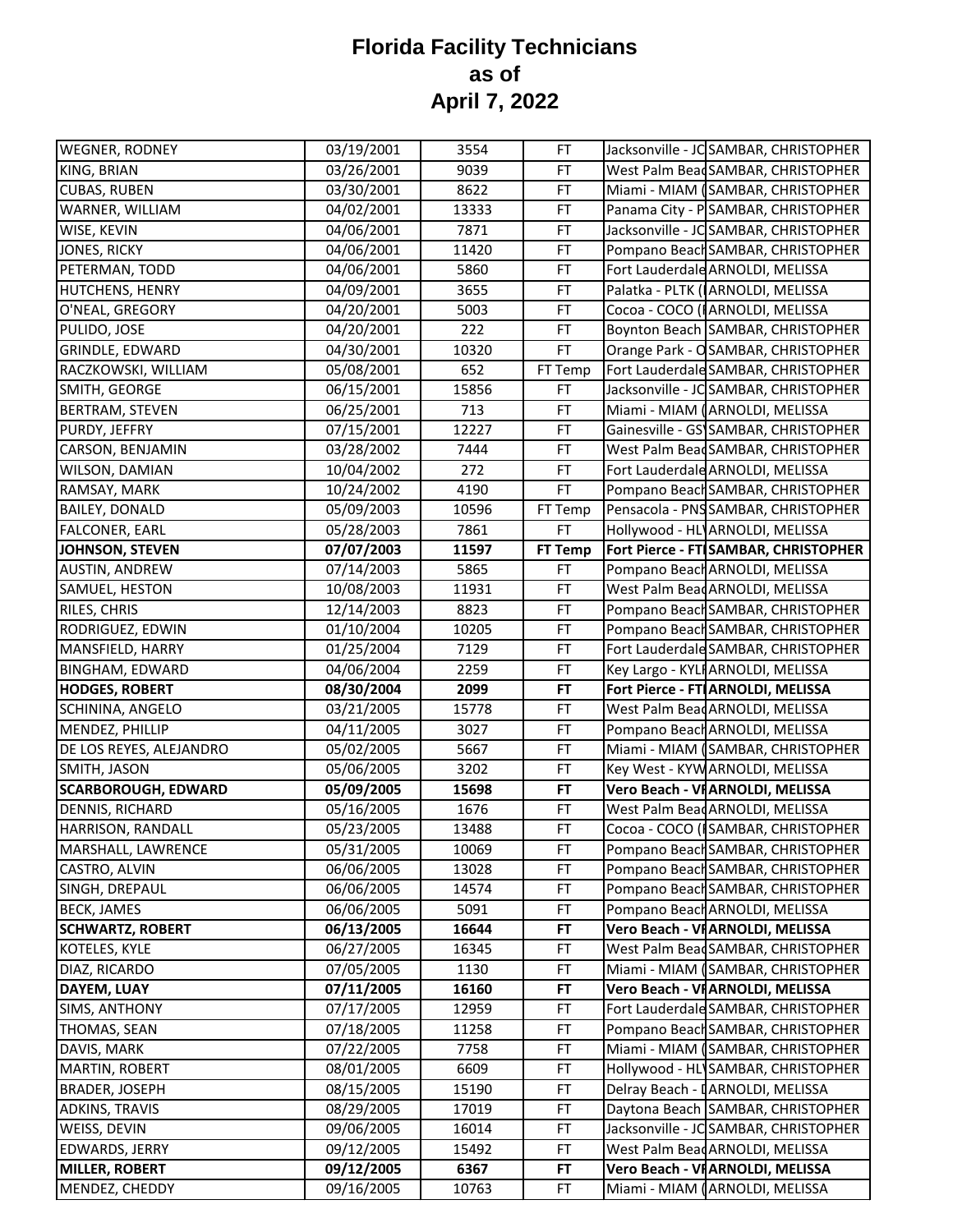| <b>WEGNER, RODNEY</b>      | 03/19/2001 | 3554  | <b>FT</b>      | Jacksonville - JC SAMBAR, CHRISTOPHER |
|----------------------------|------------|-------|----------------|---------------------------------------|
| KING, BRIAN                | 03/26/2001 | 9039  | FT             | West Palm Bead SAMBAR, CHRISTOPHER    |
| <b>CUBAS, RUBEN</b>        | 03/30/2001 | 8622  | FT             | Miami - MIAM (SAMBAR, CHRISTOPHER     |
| WARNER, WILLIAM            | 04/02/2001 | 13333 | FT             | Panama City - PSAMBAR, CHRISTOPHER    |
| WISE, KEVIN                | 04/06/2001 | 7871  | FT             | Jacksonville - JC SAMBAR, CHRISTOPHER |
| JONES, RICKY               | 04/06/2001 | 11420 | FT             | Pompano Beach SAMBAR, CHRISTOPHER     |
| PETERMAN, TODD             | 04/06/2001 | 5860  | FT             | Fort Lauderdale ARNOLDI, MELISSA      |
| <b>HUTCHENS, HENRY</b>     | 04/09/2001 | 3655  | FT             | Palatka - PLTK (ARNOLDI, MELISSA      |
| O'NEAL, GREGORY            | 04/20/2001 | 5003  | FT             | Cocoa - COCO (IARNOLDI, MELISSA       |
| PULIDO, JOSE               | 04/20/2001 | 222   | FT             | Boynton Beach SAMBAR, CHRISTOPHER     |
| GRINDLE, EDWARD            | 04/30/2001 | 10320 | FT             | Orange Park - OSAMBAR, CHRISTOPHER    |
| RACZKOWSKI, WILLIAM        | 05/08/2001 | 652   | FT Temp        | Fort Lauderdale SAMBAR, CHRISTOPHER   |
| SMITH, GEORGE              | 06/15/2001 | 15856 | FT             | Jacksonville - JC SAMBAR, CHRISTOPHER |
| <b>BERTRAM, STEVEN</b>     | 06/25/2001 | 713   | FT             | Miami - MIAM (ARNOLDI, MELISSA        |
| PURDY, JEFFRY              | 07/15/2001 | 12227 | FT             | Gainesville - GS SAMBAR, CHRISTOPHER  |
| CARSON, BENJAMIN           | 03/28/2002 | 7444  | FT             | West Palm Bead SAMBAR, CHRISTOPHER    |
| WILSON, DAMIAN             | 10/04/2002 | 272   | FT             | Fort Lauderdale ARNOLDI, MELISSA      |
| RAMSAY, MARK               | 10/24/2002 | 4190  | FT.            | Pompano Beach SAMBAR, CHRISTOPHER     |
| <b>BAILEY, DONALD</b>      | 05/09/2003 | 10596 | FT Temp        | Pensacola - PNS SAMBAR, CHRISTOPHER   |
| <b>FALCONER, EARL</b>      | 05/28/2003 | 7861  | FT             | Hollywood - HL ARNOLDI, MELISSA       |
| JOHNSON, STEVEN            | 07/07/2003 | 11597 | <b>FT Temp</b> | Fort Pierce - FT SAMBAR, CHRISTOPHER  |
| AUSTIN, ANDREW             | 07/14/2003 | 5865  | FT             | Pompano Beach ARNOLDI, MELISSA        |
| SAMUEL, HESTON             | 10/08/2003 | 11931 | FT             | West Palm Bead ARNOLDI, MELISSA       |
| RILES, CHRIS               | 12/14/2003 | 8823  | FT             | Pompano Beach SAMBAR, CHRISTOPHER     |
| RODRIGUEZ, EDWIN           | 01/10/2004 | 10205 | FT             | Pompano Beach SAMBAR, CHRISTOPHER     |
| MANSFIELD, HARRY           | 01/25/2004 | 7129  | FT             | Fort Lauderdale SAMBAR, CHRISTOPHER   |
| <b>BINGHAM, EDWARD</b>     | 04/06/2004 | 2259  | FT             | Key Largo - KYLI ARNOLDI, MELISSA     |
| <b>HODGES, ROBERT</b>      | 08/30/2004 | 2099  | <b>FT</b>      | Fort Pierce - FT ARNOLDI, MELISSA     |
| SCHININA, ANGELO           | 03/21/2005 | 15778 | FT             | West Palm Bead ARNOLDI, MELISSA       |
| MENDEZ, PHILLIP            | 04/11/2005 | 3027  | FT             | Pompano Beach ARNOLDI, MELISSA        |
| DE LOS REYES, ALEJANDRO    | 05/02/2005 | 5667  | FT             | Miami - MIAM (SAMBAR, CHRISTOPHER     |
| SMITH, JASON               | 05/06/2005 | 3202  | FT             | Key West - KYW ARNOLDI, MELISSA       |
| <b>SCARBOROUGH, EDWARD</b> | 05/09/2005 | 15698 | <b>FT</b>      | Vero Beach - VI ARNOLDI, MELISSA      |
| <b>DENNIS, RICHARD</b>     | 05/16/2005 | 1676  | FT             | West Palm Bead ARNOLDI, MELISSA       |
| <b>HARRISON, RANDALL</b>   | 05/23/2005 | 13488 | FT             | Cocoa - COCO (ISAMBAR, CHRISTOPHER    |
| MARSHALL, LAWRENCE         | 05/31/2005 | 10069 | FT             | Pompano Beach SAMBAR, CHRISTOPHER     |
| CASTRO, ALVIN              | 06/06/2005 | 13028 | FT             | Pompano Beach SAMBAR, CHRISTOPHER     |
| SINGH, DREPAUL             | 06/06/2005 | 14574 | FT             | Pompano Beach SAMBAR, CHRISTOPHER     |
| <b>BECK, JAMES</b>         | 06/06/2005 | 5091  | FT             | Pompano Beach ARNOLDI, MELISSA        |
| <b>SCHWARTZ, ROBERT</b>    | 06/13/2005 | 16644 | FT             | Vero Beach - VI ARNOLDI, MELISSA      |
| KOTELES, KYLE              | 06/27/2005 | 16345 | <b>FT</b>      | West Palm Bead SAMBAR, CHRISTOPHER    |
| DIAZ, RICARDO              | 07/05/2005 | 1130  | FT             | Miami - MIAM (SAMBAR, CHRISTOPHER     |
| DAYEM, LUAY                | 07/11/2005 | 16160 | <b>FT</b>      | Vero Beach - VI ARNOLDI, MELISSA      |
| <b>SIMS, ANTHONY</b>       | 07/17/2005 | 12959 | FT             | Fort Lauderdale SAMBAR, CHRISTOPHER   |
| THOMAS, SEAN               | 07/18/2005 | 11258 | FT             | Pompano Beach SAMBAR, CHRISTOPHER     |
| DAVIS, MARK                | 07/22/2005 | 7758  | FT             | Miami - MIAM (SAMBAR, CHRISTOPHER     |
| MARTIN, ROBERT             | 08/01/2005 | 6609  | FT             | Hollywood - HL SAMBAR, CHRISTOPHER    |
| <b>BRADER, JOSEPH</b>      | 08/15/2005 | 15190 | FT             | Delray Beach - IARNOLDI, MELISSA      |
| ADKINS, TRAVIS             | 08/29/2005 | 17019 | FT.            | Daytona Beach SAMBAR, CHRISTOPHER     |
| WEISS, DEVIN               | 09/06/2005 | 16014 | <b>FT</b>      | Jacksonville - JC SAMBAR, CHRISTOPHER |
| EDWARDS, JERRY             | 09/12/2005 | 15492 | FT             | West Palm Bead ARNOLDI, MELISSA       |
| <b>MILLER, ROBERT</b>      | 09/12/2005 | 6367  | <b>FT</b>      | Vero Beach - VI ARNOLDI, MELISSA      |
| MENDEZ, CHEDDY             | 09/16/2005 | 10763 | FT             | Miami - MIAM (ARNOLDI, MELISSA        |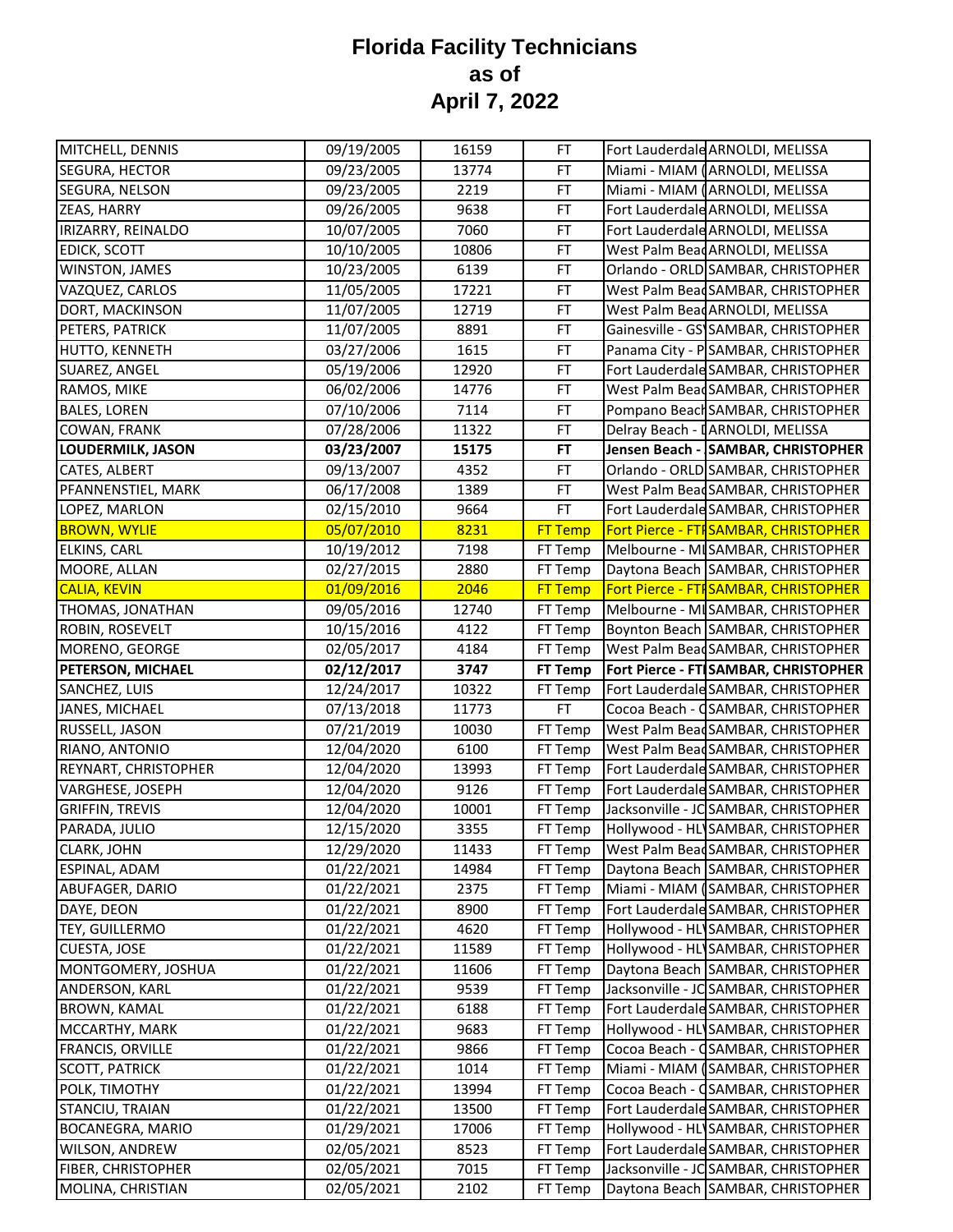| MITCHELL, DENNIS          | 09/19/2005 | 16159 | FT             | Fort Lauderdale ARNOLDI, MELISSA      |
|---------------------------|------------|-------|----------------|---------------------------------------|
| SEGURA, HECTOR            | 09/23/2005 | 13774 | FT             | Miami - MIAM (ARNOLDI, MELISSA        |
| SEGURA, NELSON            | 09/23/2005 | 2219  | FT             | Miami - MIAM (ARNOLDI, MELISSA        |
| ZEAS, HARRY               | 09/26/2005 | 9638  | FT             | Fort Lauderdale ARNOLDI, MELISSA      |
| IRIZARRY, REINALDO        | 10/07/2005 | 7060  | FT             | Fort Lauderdale ARNOLDI, MELISSA      |
| <b>EDICK, SCOTT</b>       | 10/10/2005 | 10806 | FT             | West Palm Bead ARNOLDI, MELISSA       |
| WINSTON, JAMES            | 10/23/2005 | 6139  | FT             | Orlando - ORLD SAMBAR, CHRISTOPHER    |
| VAZQUEZ, CARLOS           | 11/05/2005 | 17221 | FT             | West Palm BeadSAMBAR, CHRISTOPHER     |
| DORT, MACKINSON           | 11/07/2005 | 12719 | FT             | West Palm BeadARNOLDI, MELISSA        |
| PETERS, PATRICK           | 11/07/2005 | 8891  | FT             | Gainesville - GS SAMBAR, CHRISTOPHER  |
| HUTTO, KENNETH            | 03/27/2006 | 1615  | FT             | Panama City - PSAMBAR, CHRISTOPHER    |
| SUAREZ, ANGEL             | 05/19/2006 | 12920 | FT             | Fort Lauderdale SAMBAR, CHRISTOPHER   |
| RAMOS, MIKE               | 06/02/2006 | 14776 | <b>FT</b>      | West Palm BeadSAMBAR, CHRISTOPHER     |
| <b>BALES, LOREN</b>       | 07/10/2006 | 7114  | <b>FT</b>      | Pompano Beach SAMBAR, CHRISTOPHER     |
| COWAN, FRANK              | 07/28/2006 | 11322 | <b>FT</b>      | Delray Beach - [ARNOLDI, MELISSA      |
| <b>LOUDERMILK, JASON</b>  | 03/23/2007 | 15175 | <b>FT</b>      | Jensen Beach - SAMBAR, CHRISTOPHER    |
| CATES, ALBERT             | 09/13/2007 | 4352  | FT             | Orlando - ORLD SAMBAR, CHRISTOPHER    |
| PFANNENSTIEL, MARK        | 06/17/2008 | 1389  | FT             | West Palm Bead SAMBAR, CHRISTOPHER    |
| LOPEZ, MARLON             | 02/15/2010 | 9664  | <b>FT</b>      | Fort Lauderdale SAMBAR, CHRISTOPHER   |
| <b>BROWN, WYLIE</b>       | 05/07/2010 | 8231  | <b>FT Temp</b> | Fort Pierce - FTF SAMBAR, CHRISTOPHER |
| ELKINS, CARL              | 10/19/2012 | 7198  | FT Temp        | Melbourne - MI SAMBAR, CHRISTOPHER    |
| MOORE, ALLAN              | 02/27/2015 | 2880  | FT Temp        | Daytona Beach SAMBAR, CHRISTOPHER     |
| <b>CALIA, KEVIN</b>       | 01/09/2016 | 2046  | <b>FT Temp</b> | Fort Pierce - FTI SAMBAR, CHRISTOPHER |
| THOMAS, JONATHAN          | 09/05/2016 | 12740 | FT Temp        | Melbourne - MI SAMBAR, CHRISTOPHER    |
| ROBIN, ROSEVELT           | 10/15/2016 | 4122  | FT Temp        | Boynton Beach SAMBAR, CHRISTOPHER     |
| MORENO, GEORGE            | 02/05/2017 | 4184  | FT Temp        | West Palm Bead SAMBAR, CHRISTOPHER    |
| PETERSON, MICHAEL         | 02/12/2017 | 3747  | FT Temp        | Fort Pierce - FT SAMBAR, CHRISTOPHER  |
| SANCHEZ, LUIS             | 12/24/2017 | 10322 | FT Temp        | Fort Lauderdale SAMBAR, CHRISTOPHER   |
| JANES, MICHAEL            | 07/13/2018 | 11773 | <b>FT</b>      | Cocoa Beach - CSAMBAR, CHRISTOPHER    |
| RUSSELL, JASON            | 07/21/2019 | 10030 | FT Temp        | West Palm Bead SAMBAR, CHRISTOPHER    |
| RIANO, ANTONIO            | 12/04/2020 | 6100  | FT Temp        | West Palm Bead SAMBAR, CHRISTOPHER    |
| REYNART, CHRISTOPHER      | 12/04/2020 | 13993 | FT Temp        | Fort Lauderdale SAMBAR, CHRISTOPHER   |
| VARGHESE, JOSEPH          | 12/04/2020 | 9126  | FT Temp        | Fort Lauderdale SAMBAR, CHRISTOPHER   |
| <b>GRIFFIN, TREVIS</b>    | 12/04/2020 | 10001 | FT Temp        | Jacksonville - JC SAMBAR, CHRISTOPHER |
| PARADA, JULIO             | 12/15/2020 | 3355  | FT Temp        | Hollywood - HL SAMBAR, CHRISTOPHER    |
| CLARK, JOHN               | 12/29/2020 | 11433 | FT Temp        | West Palm Bead SAMBAR, CHRISTOPHER    |
| ESPINAL, ADAM             | 01/22/2021 | 14984 | FT Temp        | Daytona Beach SAMBAR, CHRISTOPHER     |
| ABUFAGER, DARIO           | 01/22/2021 | 2375  | FT Temp        | Miami - MIAM (SAMBAR, CHRISTOPHER     |
| DAYE, DEON                | 01/22/2021 | 8900  | FT Temp        | Fort Lauderdale SAMBAR, CHRISTOPHER   |
| TEY, GUILLERMO            | 01/22/2021 | 4620  | FT Temp        | Hollywood - HL SAMBAR, CHRISTOPHER    |
| CUESTA, JOSE              | 01/22/2021 | 11589 | FT Temp        | Hollywood - HLISAMBAR, CHRISTOPHER    |
| MONTGOMERY, JOSHUA        | 01/22/2021 | 11606 | FT Temp        | Daytona Beach SAMBAR, CHRISTOPHER     |
| ANDERSON, KARL            | 01/22/2021 | 9539  | FT Temp        | Jacksonville - JC SAMBAR, CHRISTOPHER |
| <b>BROWN, KAMAL</b>       | 01/22/2021 | 6188  | FT Temp        | Fort Lauderdale SAMBAR, CHRISTOPHER   |
| MCCARTHY, MARK            | 01/22/2021 | 9683  | FT Temp        | Hollywood - HL SAMBAR, CHRISTOPHER    |
| FRANCIS, ORVILLE          | 01/22/2021 | 9866  | FT Temp        | Cocoa Beach - CSAMBAR, CHRISTOPHER    |
| <b>SCOTT, PATRICK</b>     | 01/22/2021 | 1014  | FT Temp        | Miami - MIAM (SAMBAR, CHRISTOPHER     |
| POLK, TIMOTHY             | 01/22/2021 | 13994 | FT Temp        | Cocoa Beach - CSAMBAR, CHRISTOPHER    |
| STANCIU, TRAIAN           | 01/22/2021 | 13500 | FT Temp        | Fort Lauderdale SAMBAR, CHRISTOPHER   |
| BOCANEGRA, MARIO          | 01/29/2021 | 17006 | FT Temp        | Hollywood - HL SAMBAR, CHRISTOPHER    |
| <b>WILSON, ANDREW</b>     | 02/05/2021 | 8523  | FT Temp        | Fort Lauderdale SAMBAR, CHRISTOPHER   |
| <b>FIBER, CHRISTOPHER</b> | 02/05/2021 | 7015  | FT Temp        | Jacksonville - JC SAMBAR, CHRISTOPHER |
| MOLINA, CHRISTIAN         | 02/05/2021 | 2102  | FT Temp        | Daytona Beach SAMBAR, CHRISTOPHER     |
|                           |            |       |                |                                       |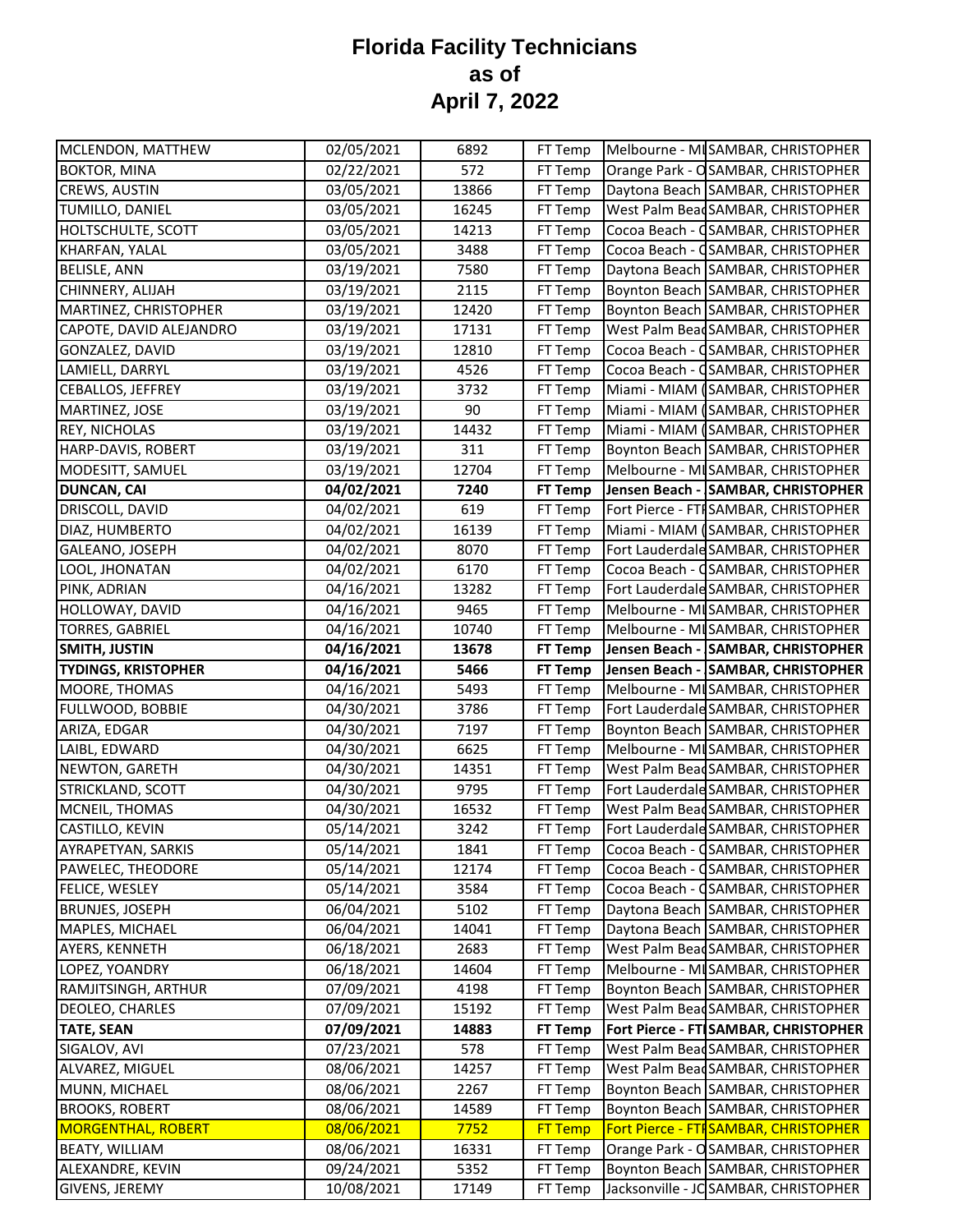| MCLENDON, MATTHEW                                                                                                                                                                                                                                                                                                                                                     | 02/05/2021               | 6892  | FT Temp            | Melbourne - MISAMBAR, CHRISTOPHER                                          |
|-----------------------------------------------------------------------------------------------------------------------------------------------------------------------------------------------------------------------------------------------------------------------------------------------------------------------------------------------------------------------|--------------------------|-------|--------------------|----------------------------------------------------------------------------|
| <b>BOKTOR, MINA</b>                                                                                                                                                                                                                                                                                                                                                   | 02/22/2021               | 572   | FT Temp            | Orange Park - OSAMBAR, CHRISTOPHER                                         |
| <b>CREWS, AUSTIN</b>                                                                                                                                                                                                                                                                                                                                                  | 03/05/2021               | 13866 | FT Temp            | Daytona Beach SAMBAR, CHRISTOPHER                                          |
| TUMILLO, DANIEL                                                                                                                                                                                                                                                                                                                                                       | 03/05/2021               | 16245 | FT Temp            | West Palm Bead SAMBAR, CHRISTOPHER                                         |
| HOLTSCHULTE, SCOTT                                                                                                                                                                                                                                                                                                                                                    | 03/05/2021               | 14213 | FT Temp            | Cocoa Beach - CSAMBAR, CHRISTOPHER                                         |
| KHARFAN, YALAL                                                                                                                                                                                                                                                                                                                                                        | 03/05/2021               | 3488  | FT Temp            | Cocoa Beach - CSAMBAR, CHRISTOPHER                                         |
| <b>BELISLE, ANN</b>                                                                                                                                                                                                                                                                                                                                                   | 03/19/2021               | 7580  | FT Temp            | Daytona Beach SAMBAR, CHRISTOPHER                                          |
| CHINNERY, ALIJAH                                                                                                                                                                                                                                                                                                                                                      | 03/19/2021               | 2115  | FT Temp            | Boynton Beach SAMBAR, CHRISTOPHER                                          |
| MARTINEZ, CHRISTOPHER                                                                                                                                                                                                                                                                                                                                                 | 03/19/2021               | 12420 | FT Temp            | Boynton Beach SAMBAR, CHRISTOPHER                                          |
| CAPOTE, DAVID ALEJANDRO                                                                                                                                                                                                                                                                                                                                               | 03/19/2021               | 17131 | FT Temp            | West Palm Bead SAMBAR, CHRISTOPHER                                         |
| GONZALEZ, DAVID                                                                                                                                                                                                                                                                                                                                                       | 03/19/2021               | 12810 | FT Temp            | Cocoa Beach - CSAMBAR, CHRISTOPHER                                         |
| LAMIELL, DARRYL                                                                                                                                                                                                                                                                                                                                                       | 03/19/2021               | 4526  | FT Temp            | Cocoa Beach - CSAMBAR, CHRISTOPHER                                         |
| CEBALLOS, JEFFREY                                                                                                                                                                                                                                                                                                                                                     | 03/19/2021               | 3732  | FT Temp            | Miami - MIAM (SAMBAR, CHRISTOPHER                                          |
| MARTINEZ, JOSE                                                                                                                                                                                                                                                                                                                                                        | 03/19/2021               | 90    | FT Temp            | Miami - MIAM (SAMBAR, CHRISTOPHER                                          |
| <b>REY, NICHOLAS</b>                                                                                                                                                                                                                                                                                                                                                  | 03/19/2021               | 14432 | FT Temp            | Miami - MIAM (SAMBAR, CHRISTOPHER                                          |
| HARP-DAVIS, ROBERT                                                                                                                                                                                                                                                                                                                                                    | 03/19/2021               | 311   | FT Temp            | Boynton Beach SAMBAR, CHRISTOPHER                                          |
| MODESITT, SAMUEL                                                                                                                                                                                                                                                                                                                                                      | 03/19/2021               | 12704 | FT Temp            | Melbourne - MI SAMBAR, CHRISTOPHER                                         |
| <b>DUNCAN, CAI</b>                                                                                                                                                                                                                                                                                                                                                    | 04/02/2021               | 7240  | <b>FT Temp</b>     | Jensen Beach - SAMBAR, CHRISTOPHER                                         |
| DRISCOLL, DAVID                                                                                                                                                                                                                                                                                                                                                       | 04/02/2021               | 619   | FT Temp            | Fort Pierce - FTI SAMBAR, CHRISTOPHER                                      |
| DIAZ, HUMBERTO                                                                                                                                                                                                                                                                                                                                                        | 04/02/2021               | 16139 | FT Temp            | Miami - MIAM (SAMBAR, CHRISTOPHER                                          |
| GALEANO, JOSEPH                                                                                                                                                                                                                                                                                                                                                       | 04/02/2021               | 8070  | FT Temp            | Fort Lauderdale SAMBAR, CHRISTOPHER                                        |
| LOOL, JHONATAN                                                                                                                                                                                                                                                                                                                                                        | 04/02/2021               | 6170  | FT Temp            | Cocoa Beach - CSAMBAR, CHRISTOPHER                                         |
| PINK, ADRIAN                                                                                                                                                                                                                                                                                                                                                          | 04/16/2021               | 13282 | FT Temp            | Fort Lauderdale SAMBAR, CHRISTOPHER                                        |
| HOLLOWAY, DAVID                                                                                                                                                                                                                                                                                                                                                       | 04/16/2021               | 9465  | FT Temp            | Melbourne - MI SAMBAR, CHRISTOPHER                                         |
| <b>TORRES, GABRIEL</b>                                                                                                                                                                                                                                                                                                                                                | 04/16/2021               | 10740 | FT Temp            | Melbourne - MI SAMBAR, CHRISTOPHER                                         |
| <b>SMITH, JUSTIN</b>                                                                                                                                                                                                                                                                                                                                                  | 04/16/2021               | 13678 | FT Temp            | Jensen Beach - SAMBAR, CHRISTOPHER                                         |
| <b>TYDINGS, KRISTOPHER</b>                                                                                                                                                                                                                                                                                                                                            | 04/16/2021               | 5466  | <b>FT Temp</b>     | Jensen Beach - SAMBAR, CHRISTOPHER                                         |
| MOORE, THOMAS                                                                                                                                                                                                                                                                                                                                                         | 04/16/2021               | 5493  | FT Temp            | Melbourne - MISAMBAR, CHRISTOPHER                                          |
| FULLWOOD, BOBBIE                                                                                                                                                                                                                                                                                                                                                      | 04/30/2021               | 3786  | FT Temp            | Fort Lauderdale SAMBAR, CHRISTOPHER                                        |
| ARIZA, EDGAR                                                                                                                                                                                                                                                                                                                                                          | 04/30/2021               | 7197  | FT Temp            | Boynton Beach SAMBAR, CHRISTOPHER                                          |
| LAIBL, EDWARD                                                                                                                                                                                                                                                                                                                                                         |                          |       |                    |                                                                            |
|                                                                                                                                                                                                                                                                                                                                                                       | 04/30/2021               | 6625  | FT Temp            | Melbourne - MI SAMBAR, CHRISTOPHER                                         |
|                                                                                                                                                                                                                                                                                                                                                                       | 04/30/2021               | 14351 |                    | West Palm Bead SAMBAR, CHRISTOPHER                                         |
| NEWTON, GARETH<br>STRICKLAND, SCOTT                                                                                                                                                                                                                                                                                                                                   |                          | 9795  | FT Temp<br>FT Temp | Fort Lauderdale SAMBAR, CHRISTOPHER                                        |
|                                                                                                                                                                                                                                                                                                                                                                       | 04/30/2021               | 16532 |                    | West Palm Bead SAMBAR, CHRISTOPHER                                         |
|                                                                                                                                                                                                                                                                                                                                                                       | 04/30/2021<br>05/14/2021 | 3242  | FT Temp<br>FT Temp |                                                                            |
|                                                                                                                                                                                                                                                                                                                                                                       |                          | 1841  |                    | Fort Lauderdale SAMBAR, CHRISTOPHER                                        |
|                                                                                                                                                                                                                                                                                                                                                                       | 05/14/2021<br>05/14/2021 | 12174 | FT Temp<br>FT Temp | Cocoa Beach - CSAMBAR, CHRISTOPHER<br>Cocoa Beach - CSAMBAR, CHRISTOPHER   |
|                                                                                                                                                                                                                                                                                                                                                                       | 05/14/2021               | 3584  | FT Temp            | Cocoa Beach - CSAMBAR, CHRISTOPHER                                         |
|                                                                                                                                                                                                                                                                                                                                                                       |                          | 5102  | FT Temp            | Daytona Beach SAMBAR, CHRISTOPHER                                          |
|                                                                                                                                                                                                                                                                                                                                                                       | 06/04/2021<br>06/04/2021 | 14041 | FT Temp            | Daytona Beach SAMBAR, CHRISTOPHER                                          |
|                                                                                                                                                                                                                                                                                                                                                                       |                          | 2683  |                    | West Palm Bead SAMBAR, CHRISTOPHER                                         |
|                                                                                                                                                                                                                                                                                                                                                                       | 06/18/2021<br>06/18/2021 | 14604 | FT Temp<br>FT Temp | Melbourne - MI SAMBAR, CHRISTOPHER                                         |
|                                                                                                                                                                                                                                                                                                                                                                       | 07/09/2021               | 4198  | FT Temp            | Boynton Beach SAMBAR, CHRISTOPHER                                          |
| DEOLEO, CHARLES                                                                                                                                                                                                                                                                                                                                                       | 07/09/2021               | 15192 | FT Temp            |                                                                            |
|                                                                                                                                                                                                                                                                                                                                                                       |                          | 14883 | <b>FT Temp</b>     | West Palm BeadSAMBAR, CHRISTOPHER                                          |
|                                                                                                                                                                                                                                                                                                                                                                       | 07/09/2021<br>07/23/2021 | 578   | FT Temp            | Fort Pierce - FT SAMBAR, CHRISTOPHER<br>West Palm Bead SAMBAR, CHRISTOPHER |
|                                                                                                                                                                                                                                                                                                                                                                       | 08/06/2021               | 14257 | FT Temp            | West Palm Bead SAMBAR, CHRISTOPHER                                         |
|                                                                                                                                                                                                                                                                                                                                                                       | 08/06/2021               | 2267  | FT Temp            | Boynton Beach SAMBAR, CHRISTOPHER                                          |
|                                                                                                                                                                                                                                                                                                                                                                       | 08/06/2021               | 14589 | FT Temp            |                                                                            |
|                                                                                                                                                                                                                                                                                                                                                                       | 08/06/2021               | 7752  | <b>FT Temp</b>     | Boynton Beach SAMBAR, CHRISTOPHER<br>Fort Pierce - FTI SAMBAR, CHRISTOPHER |
| MCNEIL, THOMAS<br><b>CASTILLO, KEVIN</b><br>AYRAPETYAN, SARKIS<br>PAWELEC, THEODORE<br>FELICE, WESLEY<br><b>BRUNJES, JOSEPH</b><br>MAPLES, MICHAEL<br>AYERS, KENNETH<br>LOPEZ, YOANDRY<br>RAMJITSINGH, ARTHUR<br><b>TATE, SEAN</b><br>SIGALOV, AVI<br>ALVAREZ, MIGUEL<br>MUNN, MICHAEL<br><b>BROOKS, ROBERT</b><br><b>MORGENTHAL, ROBERT</b><br><b>BEATY, WILLIAM</b> | 08/06/2021               | 16331 | FT Temp            | Orange Park - OSAMBAR, CHRISTOPHER                                         |
| ALEXANDRE, KEVIN                                                                                                                                                                                                                                                                                                                                                      | 09/24/2021               | 5352  | FT Temp            | Boynton Beach SAMBAR, CHRISTOPHER                                          |